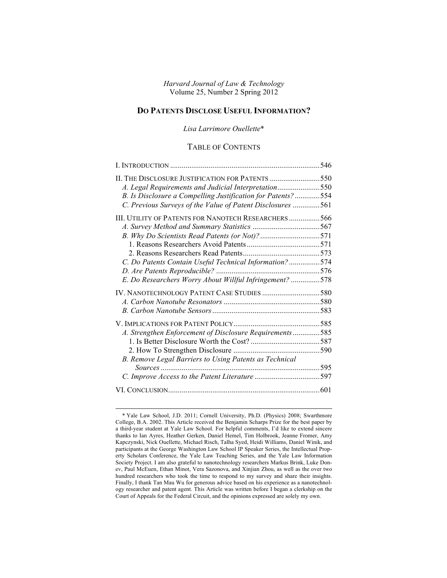*Harvard Journal of Law & Technology* Volume 25, Number 2 Spring 2012

## **DO PATENTS DISCLOSE USEFUL INFORMATION?**

*Lisa Larrimore Ouellette*\*

### TABLE OF CONTENTS

| A. Legal Requirements and Judicial Interpretation550         |  |
|--------------------------------------------------------------|--|
| B. Is Disclosure a Compelling Justification for Patents?554  |  |
| C. Previous Surveys of the Value of Patent Disclosures 561   |  |
| <b>III. UTILITY OF PATENTS FOR NANOTECH RESEARCHERS  566</b> |  |
|                                                              |  |
|                                                              |  |
|                                                              |  |
|                                                              |  |
| C. Do Patents Contain Useful Technical Information? 574      |  |
|                                                              |  |
| E. Do Researchers Worry About Willful Infringement? 578      |  |
|                                                              |  |
|                                                              |  |
|                                                              |  |
|                                                              |  |
| A. Strengthen Enforcement of Disclosure Requirements585      |  |
|                                                              |  |
|                                                              |  |
| B. Remove Legal Barriers to Using Patents as Technical       |  |
|                                                              |  |
|                                                              |  |
|                                                              |  |
|                                                              |  |

 <sup>\*</sup> Yale Law School, J.D. 2011; Cornell University, Ph.D. (Physics) 2008; Swarthmore College, B.A. 2002. This Article received the Benjamin Scharps Prize for the best paper by a third-year student at Yale Law School. For helpful comments, I'd like to extend sincere thanks to Ian Ayres, Heather Gerken, Daniel Hemel, Tim Holbrook, Jeanne Fromer, Amy Kapczynski, Nick Ouellette, Michael Risch, Talha Syed, Heidi Williams, Daniel Winik, and participants at the George Washington Law School IP Speaker Series, the Intellectual Property Scholars Conference, the Yale Law Teaching Series, and the Yale Law Information Society Project. I am also grateful to nanotechnology researchers Markus Brink, Luke Donev, Paul McEuen, Ethan Minot, Vera Sazonova, and Xinjian Zhou, as well as the over two hundred researchers who took the time to respond to my survey and share their insights. Finally, I thank Tan Mau Wu for generous advice based on his experience as a nanotechnology researcher and patent agent. This Article was written before I began a clerkship on the Court of Appeals for the Federal Circuit, and the opinions expressed are solely my own.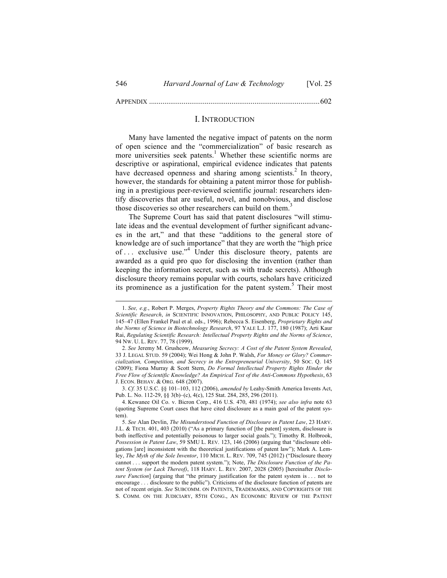APPENDIX .........................................................................................602

#### I. INTRODUCTION

Many have lamented the negative impact of patents on the norm of open science and the "commercialization" of basic research as more universities seek patents.<sup>1</sup> Whether these scientific norms are descriptive or aspirational, empirical evidence indicates that patents have decreased openness and sharing among scientists.<sup>2</sup> In theory, however, the standards for obtaining a patent mirror those for publishing in a prestigious peer-reviewed scientific journal: researchers identify discoveries that are useful, novel, and nonobvious, and disclose those discoveries so other researchers can build on them.<sup>3</sup>

The Supreme Court has said that patent disclosures "will stimulate ideas and the eventual development of further significant advances in the art," and that these "additions to the general store of knowledge are of such importance" that they are worth the "high price of . . . exclusive use." <sup>4</sup> Under this disclosure theory, patents are awarded as a quid pro quo for disclosing the invention (rather than keeping the information secret, such as with trade secrets). Although disclosure theory remains popular with courts, scholars have criticized its prominence as a justification for the patent system.<sup>5</sup> Their most

 <sup>1.</sup> *See, e.g.*, Robert P. Merges, *Property Rights Theory and the Commons: The Case of Scientific Research*, *in* SCIENTIFIC INNOVATION, PHILOSOPHY, AND PUBLIC POLICY 145, 145–47 (Ellen Frankel Paul et al. eds., 1996); Rebecca S. Eisenberg, *Proprietary Rights and the Norms of Science in Biotechnology Research*, 97 YALE L.J. 177, 180 (1987); Arti Kaur Rai, *Regulating Scientific Research: Intellectual Property Rights and the Norms of Science*, 94 NW. U. L. REV. 77, 78 (1999).

<sup>2.</sup> *See* Jeremy M. Grushcow, *Measuring Secrecy: A Cost of the Patent System Revealed*, 33 J. LEGAL STUD. 59 (2004); Wei Hong & John P. Walsh, *For Money or Glory? Commercialization, Competition, and Secrecy in the Entrepreneurial University*, 50 SOC. Q. 145 (2009); Fiona Murray & Scott Stern, *Do Formal Intellectual Property Rights Hinder the Free Flow of Scientific Knowledge? An Empirical Test of the Anti-Commons Hypothesis*, 63 J. ECON. BEHAV. & ORG. 648 (2007).

<sup>3.</sup> *Cf.* 35 U.S.C. §§ 101–103, 112 (2006), *amended by* Leahy-Smith America Invents Act, Pub. L. No. 112-29, §§ 3(b)–(c), 4(c), 125 Stat. 284, 285, 296 (2011).

<sup>4.</sup> Kewanee Oil Co. v. Bicron Corp., 416 U.S. 470, 481 (1974); *see also infra* note 63 (quoting Supreme Court cases that have cited disclosure as a main goal of the patent system).

<sup>5.</sup> *See* Alan Devlin, *The Misunderstood Function of Disclosure in Patent Law*, 23 HARV. J.L. & TECH. 401, 403 (2010) ("As a primary function of [the patent] system, disclosure is both ineffective and potentially poisonous to larger social goals."); Timothy R. Holbrook, *Possession in Patent Law*, 59 SMU L. REV. 123, 146 (2006) (arguing that "disclosure obligations [are] inconsistent with the theoretical justifications of patent law"); Mark A. Lemley, *The Myth of the Sole Inventor*, 110 MICH. L. REV. 709, 745 (2012) ("Disclosure theory cannot . . . support the modern patent system."); Note, *The Disclosure Function of the Patent System (or Lack Thereof)*, 118 HARV. L. REV. 2007, 2028 (2005) [hereinafter *Disclosure Function*] (arguing that "the primary justification for the patent system is . . . not to encourage . . . disclosure to the public"). Criticisms of the disclosure function of patents are not of recent origin. *See* SUBCOMM. ON PATENTS, TRADEMARKS, AND COPYRIGHTS OF THE S. COMM. ON THE JUDICIARY, 85TH CONG., AN ECONOMIC REVIEW OF THE PATENT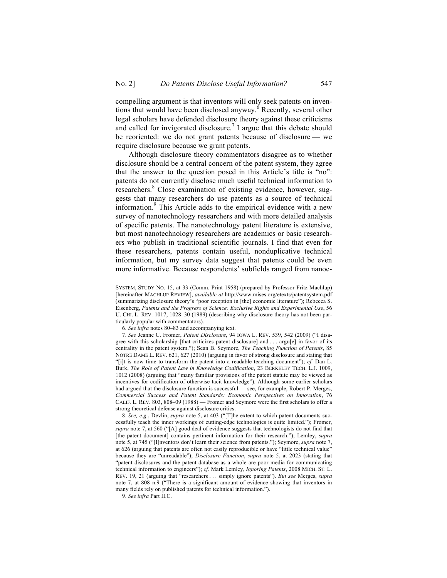compelling argument is that inventors will only seek patents on inventions that would have been disclosed anyway.<sup> $6$ </sup> Recently, several other legal scholars have defended disclosure theory against these criticisms and called for invigorated disclosure.<sup>7</sup> I argue that this debate should be reoriented: we do not grant patents because of disclosure — we require disclosure because we grant patents.

Although disclosure theory commentators disagree as to whether disclosure should be a central concern of the patent system, they agree that the answer to the question posed in this Article's title is "no": patents do not currently disclose much useful technical information to researchers. <sup>8</sup> Close examination of existing evidence, however, suggests that many researchers do use patents as a source of technical information.<sup>9</sup> This Article adds to the empirical evidence with a new survey of nanotechnology researchers and with more detailed analysis of specific patents. The nanotechnology patent literature is extensive, but most nanotechnology researchers are academics or basic researchers who publish in traditional scientific journals. I find that even for these researchers, patents contain useful, nonduplicative technical information, but my survey data suggest that patents could be even more informative. Because respondents' subfields ranged from nanoe-

8. *See, e.g.*, Devlin, *supra* note 5, at 403 ("[T]he extent to which patent documents successfully teach the inner workings of cutting-edge technologies is quite limited."); Fromer, *supra* note 7, at 560 ("[A] good deal of evidence suggests that technologists do not find that [the patent document] contains pertinent information for their research."); Lemley, *supra* note 5, at 745 ("[I]nventors don't learn their science from patents."); Seymore, *supra* note 7, at 626 (arguing that patents are often not easily reproducible or have "little technical value" because they are "unreadable"); *Disclosure Function*, *supra* note 5, at 2023 (stating that "patent disclosures and the patent database as a whole are poor media for communicating technical information to engineers"); *cf.* Mark Lemley, *Ignoring Patents*, 2008 MICH. ST. L. REV. 19, 21 (arguing that "researchers . . . simply ignore patents"). *But see* Merges, *supra* note 7, at 808 n.9 ("There is a significant amount of evidence showing that inventors in many fields rely on published patents for technical information.").

9. *See infra* Part II.C.

SYSTEM, STUDY NO. 15, at 33 (Comm. Print 1958) (prepared by Professor Fritz Machlup) [hereinafter MACHLUP REVIEW], *available at* http://www.mises.org/etexts/patentsystem.pdf (summarizing disclosure theory's "poor reception in [the] economic literature"); Rebecca S. Eisenberg, *Patents and the Progress of Science: Exclusive Rights and Experimental Use*, 56 U. CHI. L. REV. 1017, 1028–30 (1989) (describing why disclosure theory has not been particularly popular with commentators).

<sup>6.</sup> *See infra* notes 80–83 and accompanying text.

<sup>7.</sup> *See* Jeanne C. Fromer, *Patent Disclosure*, 94 IOWA L. REV. 539, 542 (2009) ("I disagree with this scholarship [that criticizes patent disclosure] and . . . argu[e] in favor of its centrality in the patent system."); Sean B. Seymore, *The Teaching Function of Patents*, 85 NOTRE DAME L. REV. 621, 627 (2010) (arguing in favor of strong disclosure and stating that "[i]t is now time to transform the patent into a readable teaching document"); *cf.* Dan L. Burk, *The Role of Patent Law in Knowledge Codification*, 23 BERKELEY TECH. L.J. 1009, 1012 (2008) (arguing that "many familiar provisions of the patent statute may be viewed as incentives for codification of otherwise tacit knowledge"). Although some earlier scholars had argued that the disclosure function is successful — see, for example, Robert P. Merges, *Commercial Success and Patent Standards: Economic Perspectives on Innovation*, 76 CALIF. L. REV. 803, 808–09 (1988) — Fromer and Seymore were the first scholars to offer a strong theoretical defense against disclosure critics.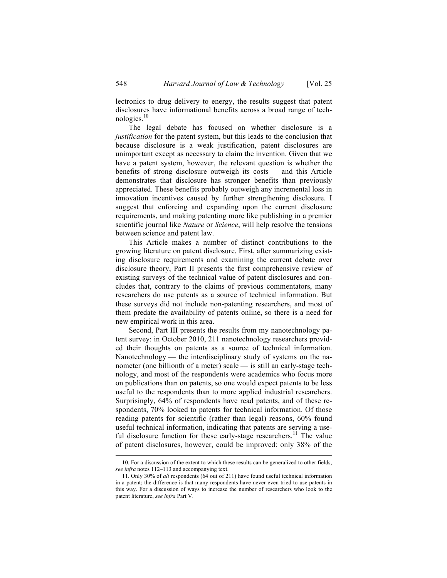lectronics to drug delivery to energy, the results suggest that patent disclosures have informational benefits across a broad range of technologies. $10$ 

The legal debate has focused on whether disclosure is a *justification* for the patent system, but this leads to the conclusion that because disclosure is a weak justification, patent disclosures are unimportant except as necessary to claim the invention. Given that we have a patent system, however, the relevant question is whether the benefits of strong disclosure outweigh its costs — and this Article demonstrates that disclosure has stronger benefits than previously appreciated. These benefits probably outweigh any incremental loss in innovation incentives caused by further strengthening disclosure. I suggest that enforcing and expanding upon the current disclosure requirements, and making patenting more like publishing in a premier scientific journal like *Nature* or *Science*, will help resolve the tensions between science and patent law.

This Article makes a number of distinct contributions to the growing literature on patent disclosure. First, after summarizing existing disclosure requirements and examining the current debate over disclosure theory, Part II presents the first comprehensive review of existing surveys of the technical value of patent disclosures and concludes that, contrary to the claims of previous commentators, many researchers do use patents as a source of technical information. But these surveys did not include non-patenting researchers, and most of them predate the availability of patents online, so there is a need for new empirical work in this area.

Second, Part III presents the results from my nanotechnology patent survey: in October 2010, 211 nanotechnology researchers provided their thoughts on patents as a source of technical information. Nanotechnology — the interdisciplinary study of systems on the nanometer (one billionth of a meter) scale — is still an early-stage technology, and most of the respondents were academics who focus more on publications than on patents, so one would expect patents to be less useful to the respondents than to more applied industrial researchers. Surprisingly, 64% of respondents have read patents, and of these respondents, 70% looked to patents for technical information. Of those reading patents for scientific (rather than legal) reasons, 60% found useful technical information, indicating that patents are serving a useful disclosure function for these early-stage researchers.<sup>11</sup> The value of patent disclosures, however, could be improved: only 38% of the

 <sup>10.</sup> For a discussion of the extent to which these results can be generalized to other fields, *see infra* notes 112–113 and accompanying text.

<sup>11.</sup> Only 30% of *all* respondents (64 out of 211) have found useful technical information in a patent; the difference is that many respondents have never even tried to use patents in this way. For a discussion of ways to increase the number of researchers who look to the patent literature, *see infra* Part V.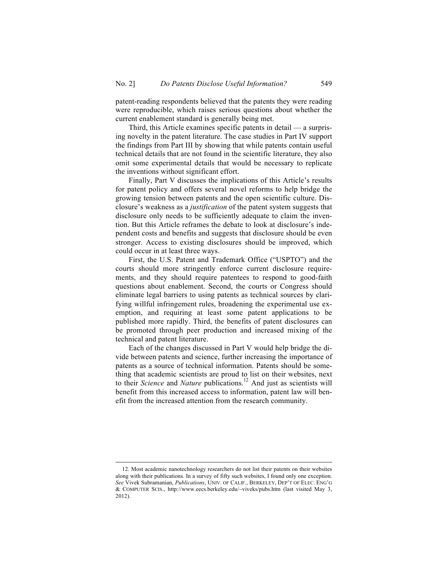patent-reading respondents believed that the patents they were reading were reproducible, which raises serious questions about whether the current enablement standard is generally being met.

Third, this Article examines specific patents in detail — a surprising novelty in the patent literature. The case studies in Part IV support the findings from Part III by showing that while patents contain useful technical details that are not found in the scientific literature, they also omit some experimental details that would be necessary to replicate the inventions without significant effort.

Finally, Part V discusses the implications of this Article's results for patent policy and offers several novel reforms to help bridge the growing tension between patents and the open scientific culture. Disclosure's weakness as a *justification* of the patent system suggests that disclosure only needs to be sufficiently adequate to claim the invention. But this Article reframes the debate to look at disclosure's independent costs and benefits and suggests that disclosure should be even stronger. Access to existing disclosures should be improved, which could occur in at least three ways.

First, the U.S. Patent and Trademark Office ("USPTO") and the courts should more stringently enforce current disclosure requirements, and they should require patentees to respond to good-faith questions about enablement. Second, the courts or Congress should eliminate legal barriers to using patents as technical sources by clarifying willful infringement rules, broadening the experimental use exemption, and requiring at least some patent applications to be published more rapidly. Third, the benefits of patent disclosures can be promoted through peer production and increased mixing of the technical and patent literature.

Each of the changes discussed in Part V would help bridge the divide between patents and science, further increasing the importance of patents as a source of technical information. Patents should be something that academic scientists are proud to list on their websites, next to their *Science* and *Nature* publications.<sup>12</sup> And just as scientists will benefit from this increased access to information, patent law will benefit from the increased attention from the research community.

 <sup>12.</sup> Most academic nanotechnology researchers do not list their patents on their websites along with their publications. In a survey of fifty such websites, I found only one exception. *See* Vivek Subramanian, *Publications*, UNIV. OF CALIF., BERKELEY, DEP'T OF ELEC. ENG'G & COMPUTER SCIS., http://www.eecs.berkeley.edu/~viveks/pubs.htm (last visited May 3, 2012).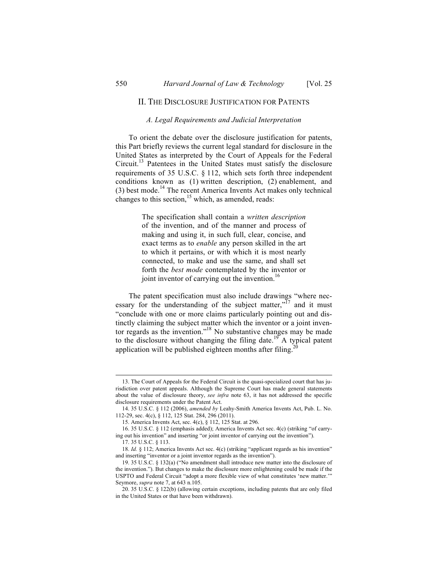#### II. THE DISCLOSURE JUSTIFICATION FOR PATENTS

#### *A. Legal Requirements and Judicial Interpretation*

To orient the debate over the disclosure justification for patents, this Part briefly reviews the current legal standard for disclosure in the United States as interpreted by the Court of Appeals for the Federal Circuit.13 Patentees in the United States must satisfy the disclosure requirements of 35 U.S.C. § 112, which sets forth three independent conditions known as (1) written description, (2) enablement, and  $(3)$  best mode.<sup>14</sup> The recent America Invents Act makes only technical changes to this section, $\frac{15}{2}$  which, as amended, reads:

> The specification shall contain a *written description* of the invention, and of the manner and process of making and using it, in such full, clear, concise, and exact terms as to *enable* any person skilled in the art to which it pertains, or with which it is most nearly connected, to make and use the same, and shall set forth the *best mode* contemplated by the inventor or joint inventor of carrying out the invention.<sup>16</sup>

The patent specification must also include drawings "where necessary for the understanding of the subject matter, $n^{17}$  and it must "conclude with one or more claims particularly pointing out and distinctly claiming the subject matter which the inventor or a joint inventor regards as the invention." <sup>18</sup> No substantive changes may be made to the disclosure without changing the filing date.<sup>19</sup> A typical patent application will be published eighteen months after filing.<sup>20</sup>

 <sup>13.</sup> The Court of Appeals for the Federal Circuit is the quasi-specialized court that has jurisdiction over patent appeals. Although the Supreme Court has made general statements about the value of disclosure theory, *see infra* note 63, it has not addressed the specific disclosure requirements under the Patent Act.

<sup>14.</sup> 35 U.S.C. § 112 (2006), *amended by* Leahy-Smith America Invents Act, Pub. L. No. 112-29, sec. 4(c), § 112, 125 Stat. 284, 296 (2011).

<sup>15.</sup> America Invents Act, sec. 4(c), § 112, 125 Stat. at 296.

<sup>16.</sup> 35 U.S.C. § 112 (emphasis added); America Invents Act sec. 4(c) (striking "of carrying out his invention" and inserting "or joint inventor of carrying out the invention").

<sup>17.</sup> 35 U.S.C. § 113.

<sup>18.</sup> *Id.* § 112; America Invents Act sec. 4(c) (striking "applicant regards as his invention" and inserting "inventor or a joint inventor regards as the invention").

<sup>19.</sup> 35 U.S.C. § 132(a) ("No amendment shall introduce new matter into the disclosure of the invention."). But changes to make the disclosure more enlightening could be made if the USPTO and Federal Circuit "adopt a more flexible view of what constitutes 'new matter.'" Seymore, *supra* note 7, at 643 n.105.

<sup>20.</sup> 35 U.S.C. § 122(b) (allowing certain exceptions, including patents that are only filed in the United States or that have been withdrawn).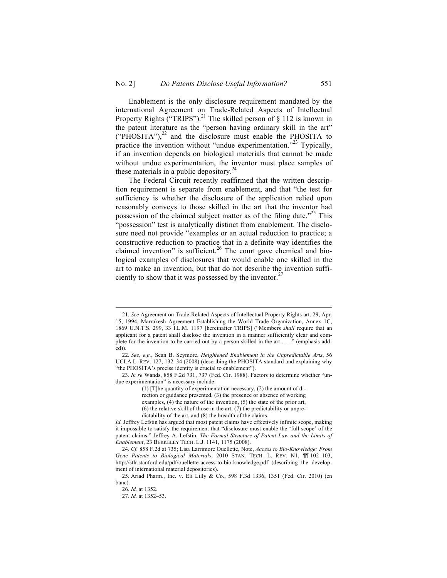Enablement is the only disclosure requirement mandated by the international Agreement on Trade-Related Aspects of Intellectual Property Rights ("TRIPS").<sup>21</sup> The skilled person of  $\S$  112 is known in the patent literature as the "person having ordinary skill in the art"  $("PHOSTTA")$ , $^{22}$  and the disclosure must enable the PHOSITA to practice the invention without "undue experimentation."<sup>23</sup> Typically, if an invention depends on biological materials that cannot be made without undue experimentation, the inventor must place samples of these materials in a public depository.<sup>24</sup>

The Federal Circuit recently reaffirmed that the written description requirement is separate from enablement, and that "the test for sufficiency is whether the disclosure of the application relied upon reasonably conveys to those skilled in the art that the inventor had possession of the claimed subject matter as of the filing date."<sup>25</sup> This "possession" test is analytically distinct from enablement. The disclosure need not provide "examples or an actual reduction to practice; a constructive reduction to practice that in a definite way identifies the claimed invention" is sufficient.<sup>26</sup> The court gave chemical and biological examples of disclosures that would enable one skilled in the art to make an invention, but that do not describe the invention sufficiently to show that it was possessed by the inventor. $27$ 

 <sup>21.</sup> *See* Agreement on Trade-Related Aspects of Intellectual Property Rights art. 29, Apr. 15, 1994, Marrakesh Agreement Establishing the World Trade Organization, Annex 1C, 1869 U.N.T.S. 299, 33 I.L.M. 1197 [hereinafter TRIPS] ("Members *shall* require that an applicant for a patent shall disclose the invention in a manner sufficiently clear and complete for the invention to be carried out by a person skilled in the art . . . ." (emphasis added)).

<sup>22.</sup> *See, e.g.*, Sean B. Seymore, *Heightened Enablement in the Unpredictable Arts*, 56 UCLA L. REV. 127, 132–34 (2008) (describing the PHOSITA standard and explaining why "the PHOSITA's precise identity is crucial to enablement").

<sup>23.</sup> *In re* Wands, 858 F.2d 731, 737 (Fed. Cir. 1988). Factors to determine whether "undue experimentation" is necessary include:

<sup>(1)</sup> [T]he quantity of experimentation necessary, (2) the amount of direction or guidance presented, (3) the presence or absence of working examples, (4) the nature of the invention, (5) the state of the prior art, (6) the relative skill of those in the art, (7) the predictability or unpredictability of the art, and (8) the breadth of the claims.

*Id.* Jeffrey Lefstin has argued that most patent claims have effectively infinite scope, making it impossible to satisfy the requirement that "disclosure must enable the 'full scope' of the patent claims." Jeffrey A. Lefstin, *The Formal Structure of Patent Law and the Limits of Enablement*, 23 BERKELEY TECH. L.J. 1141, 1175 (2008).

<sup>24.</sup> *Cf.* 858 F.2d at 735; Lisa Larrimore Ouellette, Note, *Access to Bio-Knowledge: From Gene Patents to Biological Materials*, 2010 STAN. TECH. L. REV. N1, ¶¶ 102–103, http://stlr.stanford.edu/pdf/ouellette-access-to-bio-knowledge.pdf (describing the development of international material depositories).

<sup>25.</sup> Ariad Pharm., Inc. v. Eli Lilly & Co., 598 F.3d 1336, 1351 (Fed. Cir. 2010) (en banc).

<sup>26.</sup> *Id.* at 1352.

<sup>27.</sup> *Id.* at 1352–53.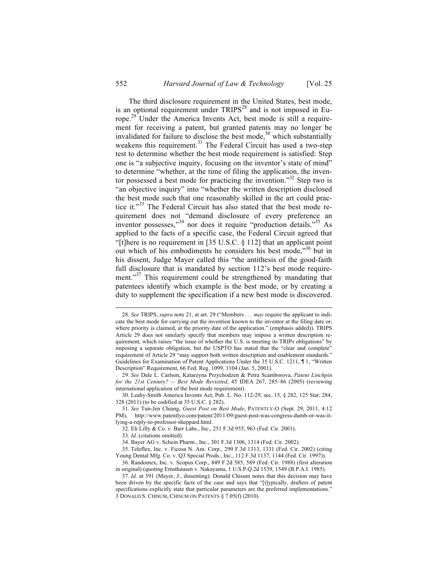The third disclosure requirement in the United States, best mode, is an optional requirement under  $TRIPS^{28}$  and is not imposed in Europe.<sup>29</sup> Under the America Invents Act, best mode is still a requirement for receiving a patent, but granted patents may no longer be invalidated for failure to disclose the best mode, $30$  which substantially weakens this requirement.<sup>31</sup> The Federal Circuit has used a two-step test to determine whether the best mode requirement is satisfied: Step one is "a subjective inquiry, focusing on the inventor's state of mind" to determine "whether, at the time of filing the application, the inventor possessed a best mode for practicing the invention." <sup>32</sup> Step two is "an objective inquiry" into "whether the written description disclosed the best mode such that one reasonably skilled in the art could practice it."<sup>33</sup> The Federal Circuit has also stated that the best mode requirement does not "demand disclosure of every preference an inventor possesses,"<sup>34</sup> nor does it require "production details."<sup>35</sup> As applied to the facts of a specific case, the Federal Circuit agreed that "[t]here is no requirement in [35 U.S.C. § 112] that an applicant point out which of his embodiments he considers his best mode,"<sup>36</sup> but in his dissent, Judge Mayer called this "the antithesis of the good-faith full disclosure that is mandated by section 112's best mode requirement."<sup>37</sup> This requirement could be strengthened by mandating that patentees identify which example is the best mode, or by creating a duty to supplement the specification if a new best mode is discovered.

 <sup>28.</sup> *See* TRIPS, *supra* note 21, at art. 29 ("Members . . . *may* require the applicant to indicate the best mode for carrying out the invention known to the inventor at the filing date or, where priority is claimed, at the priority date of the application." (emphasis added)). TRIPS Article 29 does not similarly specify that members may impose a written description requirement, which raises "the issue of whether the U.S. is meeting its TRIPs obligations" by imposing a separate obligation, but the USPTO has stated that the "clear and complete" requirement of Article 29 "may support both written description and enablement standards." Guidelines for Examination of Patent Applications Under the 35 U.S.C. 1211, ¶ 1, "Written Description" Requirement, 66 Fed. Reg. 1099, 1104 (Jan. 5, 2001).

<sup>29.</sup> *See* Dale L. Carlson, Katarzyna Przychodzen & Petra Scamborova, *Patent Linchpin for the 21st Century? — Best Mode Revisited*, 45 IDEA 267, 285–86 (2005) (reviewing international application of the best mode requirement).

<sup>30.</sup> Leahy-Smith America Invents Act, Pub. L. No. 112-29, sec. 15, § 282, 125 Stat. 284, 328 (2011) (to be codified at 35 U.S.C. § 282).

<sup>31.</sup> *See* Tun-Jen Chiang, *Guest Post on Best Mode*, PATENTLY-O (Sept. 29, 2011, 4:12 PM), http://www.patentlyo.com/patent/2011/09/guest-post-was-congress-dumb-or-was-itlying-a-reply-to-professor-sheppard.html.

<sup>32.</sup> Eli Lilly & Co. v. Barr Labs., Inc., 251 F.3d 955, 963 (Fed. Cir. 2001).

<sup>33.</sup> *Id.* (citations omitted).

<sup>34.</sup> Bayer AG v. Schein Pharm., Inc., 301 F.3d 1306, 1314 (Fed. Cir. 2002).

<sup>35.</sup> Teleflex, Inc. v. Ficosa N. Am. Corp., 299 F.3d 1313, 1331 (Fed. Cir. 2002) (citing Young Dental Mfg. Co. v. Q3 Special Prods., Inc., 112 F.3d 1137, 1144 (Fed. Cir. 1997)).

<sup>36.</sup> Randomex, Inc. v. Scopus Corp., 849 F.2d 585, 589 (Fed. Cir. 1988) (first alteration in original) (quoting Ernsthausen v. Nakayama, 1 U.S.P.Q.2d 1539, 1549 (B.P.A.I. 1985).

<sup>37.</sup> *Id.* at 591 (Mayer, J., dissenting). Donald Chisum notes that this decision may have been driven by the specific facts of the case and says that "[t]ypically, drafters of patent specifications explicitly state that particular parameters are the preferred implementations." 3 DONALD S. CHISUM, CHISUM ON PATENTS § 7.05(f) (2010).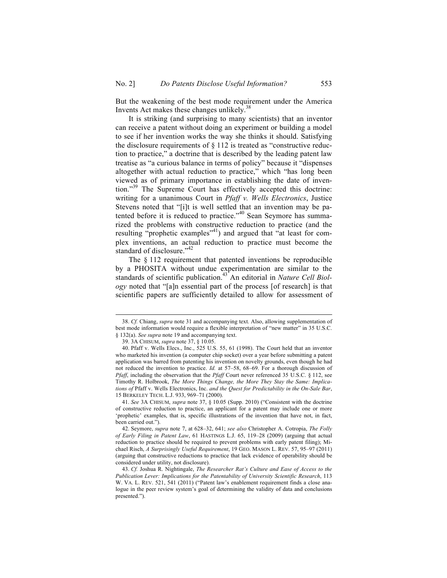But the weakening of the best mode requirement under the America Invents Act makes these changes unlikely.<sup>38</sup>

It is striking (and surprising to many scientists) that an inventor can receive a patent without doing an experiment or building a model to see if her invention works the way she thinks it should. Satisfying the disclosure requirements of  $\S$  112 is treated as "constructive reduction to practice," a doctrine that is described by the leading patent law treatise as "a curious balance in terms of policy" because it "dispenses altogether with actual reduction to practice," which "has long been viewed as of primary importance in establishing the date of invention." <sup>39</sup> The Supreme Court has effectively accepted this doctrine: writing for a unanimous Court in *Pfaff v. Wells Electronics*, Justice Stevens noted that "[i]t is well settled that an invention may be patented before it is reduced to practice."<sup>40</sup> Sean Seymore has summarized the problems with constructive reduction to practice (and the resulting "prophetic examples"<sup>41</sup>) and argued that "at least for complex inventions, an actual reduction to practice must become the standard of disclosure."<sup>42</sup>

The § 112 requirement that patented inventions be reproducible by a PHOSITA without undue experimentation are similar to the standards of scientific publication.<sup>43</sup> An editorial in *Nature Cell Biology* noted that "[a]n essential part of the process [of research] is that scientific papers are sufficiently detailed to allow for assessment of

 <sup>38.</sup> *Cf.* Chiang, *supra* note 31 and accompanying text. Also, allowing supplementation of best mode information would require a flexible interpretation of "new matter" in 35 U.S.C. § 132(a). *See supra* note 19 and accompanying text.

<sup>39.</sup> 3A CHISUM, *supra* note 37, § 10.05.

<sup>40.</sup> Pfaff v. Wells Elecs., Inc., 525 U.S. 55, 61 (1998). The Court held that an inventor who marketed his invention (a computer chip socket) over a year before submitting a patent application was barred from patenting his invention on novelty grounds, even though he had not reduced the invention to practice. *Id.* at 57–58, 68–69. For a thorough discussion of *Pfaff*, including the observation that the *Pfaff* Court never referenced 35 U.S.C. § 112, see Timothy R. Holbrook, *The More Things Change, the More They Stay the Same: Implications of* Pfaff v. Wells Electronics, Inc. *and the Quest for Predictability in the On-Sale Bar*, 15 BERKELEY TECH. L.J. 933, 969–71 (2000).

<sup>41.</sup> *See* 3A CHISUM, *supra* note 37, § 10.05 (Supp. 2010) ("Consistent with the doctrine of constructive reduction to practice, an applicant for a patent may include one or more 'prophetic' examples, that is, specific illustrations of the invention that have not, in fact, been carried out.").

<sup>42.</sup> Seymore, *supra* note 7, at 628–32, 641; *see also* Christopher A. Cotropia, *The Folly of Early Filing in Patent Law*, 61 HASTINGS L.J. 65, 119–28 (2009) (arguing that actual reduction to practice should be required to prevent problems with early patent filing); Michael Risch, *A Surprisingly Useful Requirement*, 19 GEO. MASON L. REV. 57, 95–97 (2011) (arguing that constructive reductions to practice that lack evidence of operability should be considered under utility, not disclosure).

<sup>43.</sup> *Cf.* Joshua R. Nightingale, *The Researcher Rat's Culture and Ease of Access to the Publication Lever: Implications for the Patentability of University Scientific Research*, 113 W. VA. L. REV. 521, 541 (2011) ("Patent law's enablement requirement finds a close analogue in the peer review system's goal of determining the validity of data and conclusions presented.").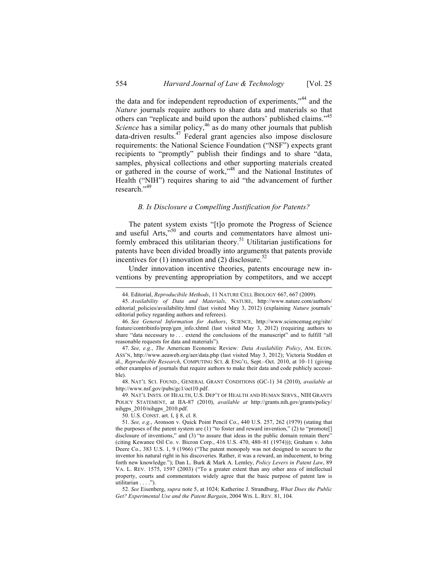the data and for independent reproduction of experiments,"<sup>44</sup> and the *Nature* journals require authors to share data and materials so that others can "replicate and build upon the authors' published claims."<sup>45</sup> *Science* has a similar policy,<sup>46</sup> as do many other journals that publish data-driven results.<sup>47</sup> Federal grant agencies also impose disclosure requirements: the National Science Foundation ("NSF") expects grant recipients to "promptly" publish their findings and to share "data, samples, physical collections and other supporting materials created or gathered in the course of work," <sup>48</sup> and the National Institutes of Health ("NIH") requires sharing to aid "the advancement of further research."<sup>49</sup>

#### *B. Is Disclosure a Compelling Justification for Patents?*

The patent system exists "[t]o promote the Progress of Science and useful Arts,<sup>550</sup> and courts and commentators have almost uniformly embraced this utilitarian theory.<sup>51</sup> Utilitarian justifications for patents have been divided broadly into arguments that patents provide incentives for (1) innovation and (2) disclosure.<sup>52</sup>

Under innovation incentive theories, patents encourage new inventions by preventing appropriation by competitors, and we accept

 <sup>44.</sup> Editorial, *Reproducibile Methods*, 11 NATURE CELL BIOLOGY 667, 667 (2009).

<sup>45.</sup> *Availability of Data and Materials*, NATURE, http://www.nature.com/authors/ editorial\_policies/availability.html (last visited May 3, 2012) (explaining *Nature* journals' editorial policy regarding authors and referees).

<sup>46.</sup> *See General Information for Authors*, SCIENCE, http://www.sciencemag.org/site/ feature/contribinfo/prep/gen\_info.xhtml (last visited May 3, 2012) (requiring authors to share "data necessary to . . . extend the conclusions of the manuscript" and to fulfill "all reasonable requests for data and materials").

<sup>47.</sup> *See, e.g.*, *The* American Economic Review*: Data Availability Policy*, AM. ECON. ASS'N, http://www.aeaweb.org/aer/data.php (last visited May 3, 2012); Victoria Stodden et al., *Reproducible Research*, COMPUTING SCI. & ENG'G, Sept.–Oct. 2010, at 10–11 (giving other examples of journals that require authors to make their data and code publicly accessible).

<sup>48.</sup> NAT'L SCI. FOUND., GENERAL GRANT CONDITIONS (GC-1) 34 (2010), *available at* http://www.nsf.gov/pubs/gc1/oct10.pdf.

<sup>49.</sup> NAT'L INSTS. OF HEALTH, U.S. DEP'T OF HEALTH AND HUMAN SERVS., NIH GRANTS POLICY STATEMENT, at IIA-87 (2010), *available at* http://grants.nih.gov/grants/policy/ nihgps\_2010/nihgps\_2010.pdf.

<sup>50.</sup> U.S. CONST. art. I, § 8, cl. 8.

<sup>51.</sup> *See, e.g.*, Aronson v. Quick Point Pencil Co., 440 U.S. 257, 262 (1979) (stating that the purposes of the patent system are (1) "to foster and reward invention," (2) to "promote[] disclosure of inventions," and (3) "to assure that ideas in the public domain remain there" (citing Kewanee Oil Co. v. Bicron Corp., 416 U.S. 470, 480–81 (1974))); Graham v. John Deere Co., 383 U.S. 1, 9 (1966) ("The patent monopoly was not designed to secure to the inventor his natural right in his discoveries. Rather, it was a reward, an inducement, to bring forth new knowledge."); Dan L. Burk & Mark A. Lemley, *Policy Levers in Patent Law*, 89 VA. L. REV. 1575, 1597 (2003) ("To a greater extent than any other area of intellectual property, courts and commentators widely agree that the basic purpose of patent law is utilitarian . . . .").

<sup>52.</sup> *See* Eisenberg, *supra* note 5, at 1024; Katherine J. Strandburg, *What Does the Public Get? Experimental Use and the Patent Bargain*, 2004 WIS. L. REV. 81, 104.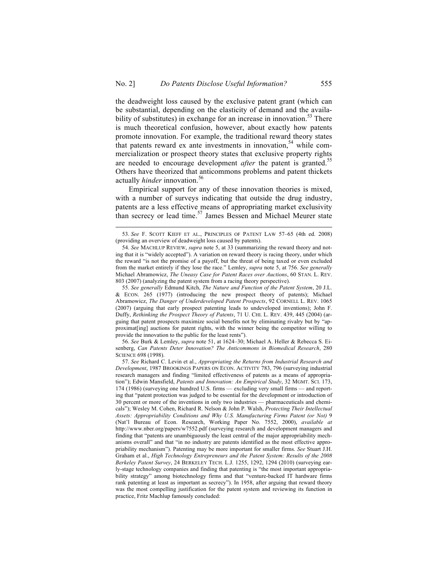the deadweight loss caused by the exclusive patent grant (which can be substantial, depending on the elasticity of demand and the availability of substitutes) in exchange for an increase in innovation.<sup>53</sup> There is much theoretical confusion, however, about exactly how patents promote innovation. For example, the traditional reward theory states that patents reward ex ante investments in innovation,  $54$  while commercialization or prospect theory states that exclusive property rights are needed to encourage development *after* the patent is granted.<sup>55</sup> Others have theorized that anticommons problems and patent thickets actually *hinder* innovation.<sup>56</sup>

Empirical support for any of these innovation theories is mixed, with a number of surveys indicating that outside the drug industry, patents are a less effective means of appropriating market exclusivity than secrecy or lead time.<sup>57</sup> James Bessen and Michael Meurer state

56. *See* Burk & Lemley, *supra* note 51, at 1624–30; Michael A. Heller & Rebecca S. Eisenberg, *Can Patents Deter Innovation? The Anticommons in Biomedical Research*, 280 SCIENCE 698 (1998).

 <sup>53.</sup> *See* F. SCOTT KIEFF ET AL., PRINCIPLES OF PATENT LAW 57–65 (4th ed. 2008) (providing an overview of deadweight loss caused by patents).

<sup>54.</sup> *See* MACHLUP REVIEW, *supra* note 5, at 33 (summarizing the reward theory and noting that it is "widely accepted"). A variation on reward theory is racing theory, under which the reward "is not the promise of a payoff, but the threat of being taxed or even excluded from the market entirely if they lose the race." Lemley, *supra* note 5, at 756. *See generally*  Michael Abramowicz, *The Uneasy Case for Patent Races over Auctions*, 60 STAN. L. REV. 803 (2007) (analyzing the patent system from a racing theory perspective).

<sup>55.</sup> *See generally* Edmund Kitch, *The Nature and Function of the Patent System*, 20 J.L. & ECON. 265 (1977) (introducing the new prospect theory of patents); Michael Abramowicz, *The Danger of Underdeveloped Patent Prospects*, 92 CORNELL L. REV. 1065 (2007) (arguing that early prospect patenting leads to undeveloped inventions); John F. Duffy, *Rethinking the Prospect Theory of Patents*, 71 U. CHI. L. REV. 439, 445 (2004) (arguing that patent prospects maximize social benefits not by eliminating rivalry but by "approximat[ing] auctions for patent rights, with the winner being the competitor willing to provide the innovation to the public for the least rents").

<sup>57.</sup> *See* Richard C. Levin et al., *Appropriating the Returns from Industrial Research and Development*, 1987 BROOKINGS PAPERS ON ECON. ACTIVITY 783, 796 (surveying industrial research managers and finding "limited effectiveness of patents as a means of appropriation"); Edwin Mansfield, *Patents and Innovation: An Empirical Study*, 32 MGMT. SCI. 173, 174 (1986) (surveying one hundred U.S. firms — excluding very small firms — and reporting that "patent protection was judged to be essential for the development or introduction of 30 percent or more of the inventions in only two industries — pharmaceuticals and chemicals"); Wesley M. Cohen, Richard R. Nelson & John P. Walsh, *Protecting Their Intellectual Assets: Appropriability Conditions and Why U.S. Manufacturing Firms Patent (or Not)* 9 (Nat'l Bureau of Econ. Research, Working Paper No. 7552, 2000), *available at* http://www.nber.org/papers/w7552.pdf (surveying research and development managers and finding that "patents are unambiguously the least central of the major appropriability mechanisms overall" and that "in no industry are patents identified as the most effective appropriability mechanism"). Patenting may be more important for smaller firms. *See* Stuart J.H. Graham et al., *High Technology Entrepreneurs and the Patent System: Results of the 2008 Berkeley Patent Survey*, 24 BERKELEY TECH. L.J. 1255, 1292, 1294 (2010) (surveying early-stage technology companies and finding that patenting is "the most important appropriability strategy" among biotechnology firms and that "venture-backed IT hardware firms rank patenting at least as important as secrecy"). In 1958, after arguing that reward theory was the most compelling justification for the patent system and reviewing its function in practice, Fritz Machlup famously concluded: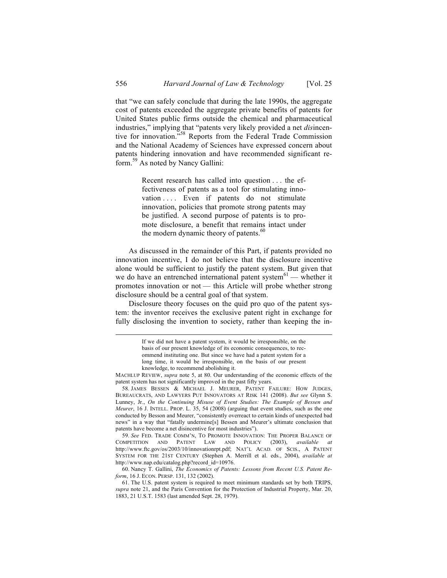that "we can safely conclude that during the late 1990s, the aggregate cost of patents exceeded the aggregate private benefits of patents for United States public firms outside the chemical and pharmaceutical industries," implying that "patents very likely provided a net *dis*incentive for innovation." <sup>58</sup> Reports from the Federal Trade Commission and the National Academy of Sciences have expressed concern about patents hindering innovation and have recommended significant reform.<sup>59</sup> As noted by Nancy Gallini:

> Recent research has called into question . . . the effectiveness of patents as a tool for stimulating innovation ... Even if patents do not stimulate innovation, policies that promote strong patents may be justified. A second purpose of patents is to promote disclosure, a benefit that remains intact under the modern dynamic theory of patents.<sup>60</sup>

As discussed in the remainder of this Part, if patents provided no innovation incentive, I do not believe that the disclosure incentive alone would be sufficient to justify the patent system. But given that we do have an entrenched international patent system $61$  — whether it promotes innovation or not — this Article will probe whether strong disclosure should be a central goal of that system.

Disclosure theory focuses on the quid pro quo of the patent system: the inventor receives the exclusive patent right in exchange for fully disclosing the invention to society, rather than keeping the in-

59. *See* FED. TRADE COMM'N, TO PROMOTE INNOVATION: THE PROPER BALANCE OF COMPETITION AND PATENT LAW AND POLICY (2003), *available at* http://www.ftc.gov/os/2003/10/innovationrpt.pdf; NAT'L ACAD. OF SCIS., A PATENT SYSTEM FOR THE 21ST CENTURY (Stephen A. Merrill et al. eds., 2004), *available at* http://www.nap.edu/catalog.php?record\_id=10976.

60. Nancy T. Gallini, *The Economics of Patents: Lessons from Recent U.S. Patent Reform*, 16 J. ECON. PERSP. 131, 132 (2002).

If we did not have a patent system, it would be irresponsible, on the basis of our present knowledge of its economic consequences, to recommend instituting one. But since we have had a patent system for a long time, it would be irresponsible, on the basis of our present knowledge, to recommend abolishing it.

MACHLUP REVIEW, *supra* note 5, at 80. Our understanding of the economic effects of the patent system has not significantly improved in the past fifty years.

<sup>58.</sup> JAMES BESSEN & MICHAEL J. MEURER, PATENT FAILURE: HOW JUDGES, BUREAUCRATS, AND LAWYERS PUT INNOVATORS AT RISK 141 (2008). *But see* Glynn S. Lunney, Jr., *On the Continuing Misuse of Event Studies: The Example of Bessen and Meurer*, 16 J. INTELL. PROP. L. 35, 54 (2008) (arguing that event studies, such as the one conducted by Besson and Meurer, "consistently overreact to certain kinds of unexpected bad news" in a way that "fatally undermine[s] Bessen and Meurer's ultimate conclusion that patents have become a net disincentive for most industries").

<sup>61.</sup> The U.S. patent system is required to meet minimum standards set by both TRIPS, *supra* note 21, and the Paris Convention for the Protection of Industrial Property, Mar. 20, 1883, 21 U.S.T. 1583 (last amended Sept. 28, 1979).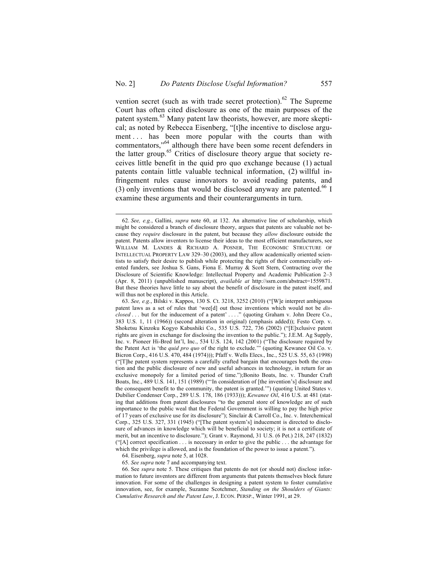vention secret (such as with trade secret protection).<sup>62</sup> The Supreme Court has often cited disclosure as one of the main purposes of the patent system.<sup>63</sup> Many patent law theorists, however, are more skeptical; as noted by Rebecca Eisenberg, "[t]he incentive to disclose argument ... has been more popular with the courts than with commentators,<sup>564</sup> although there have been some recent defenders in the latter group.<sup>65</sup> Critics of disclosure theory argue that society receives little benefit in the quid pro quo exchange because (1) actual patents contain little valuable technical information, (2) willful infringement rules cause innovators to avoid reading patents, and (3) only inventions that would be disclosed anyway are patented.<sup>66</sup> I examine these arguments and their counterarguments in turn.

64. Eisenberg, *supra* note 5, at 1028.

65. *See supra* note 7 and accompanying text.

66. See *supra* note 5. These critiques that patents do not (or should not) disclose information to future inventors are different from arguments that patents themselves block future innovation. For some of the challenges in designing a patent system to foster cumulative innovation, see, for example, Suzanne Scotchmer, *Standing on the Shoulders of Giants: Cumulative Research and the Patent Law*, J. ECON. PERSP., Winter 1991, at 29.

 <sup>62.</sup> *See, e.g.*, Gallini, *supra* note 60, at 132. An alternative line of scholarship, which might be considered a branch of disclosure theory, argues that patents are valuable not because they *require* disclosure in the patent, but because they *allow* disclosure outside the patent. Patents allow inventors to license their ideas to the most efficient manufacturers, see WILLIAM M. LANDES & RICHARD A. POSNER, THE ECONOMIC STRUCTURE OF INTELLECTUAL PROPERTY LAW 329–30 (2003), and they allow academically oriented scientists to satisfy their desire to publish while protecting the rights of their commercially oriented funders, see Joshua S. Gans, Fiona E. Murray & Scott Stern, Contracting over the Disclosure of Scientific Knowledge: Intellectual Property and Academic Publication 2–3 (Apr. 8, 2011) (unpublished manuscript), *available at* http://ssrn.com/abstract=1559871. But these theories have little to say about the benefit of disclosure in the patent itself, and will thus not be explored in this Article.

<sup>63.</sup> *See, e.g.*, Bilski v. Kappos, 130 S. Ct. 3218, 3252 (2010) ("[W]e interpret ambiguous patent laws as a set of rules that 'wee[d] out those inventions which would not be *disclosed* . . . but for the inducement of a patent' . . . ." (quoting Graham v. John Deere Co., 383 U.S. 1, 11 (1966)) (second alteration in original) (emphasis added)); Festo Corp. v. Shoketsu Kinzoku Kogyo Kabushiki Co., 535 U.S. 722, 736 (2002) ("[E]xclusive patent rights are given in exchange for disclosing the invention to the public."); J.E.M. Ag Supply, Inc. v. Pioneer Hi-Bred Int'l, Inc., 534 U.S. 124, 142 (2001) ("The disclosure required by the Patent Act is 'the *quid pro quo* of the right to exclude.'" (quoting Kewanee Oil Co. v. Bicron Corp., 416 U.S. 470, 484 (1974))); Pfaff v. Wells Elecs., Inc., 525 U.S. 55, 63 (1998) ("[T]he patent system represents a carefully crafted bargain that encourages both the creation and the public disclosure of new and useful advances in technology, in return for an exclusive monopoly for a limited period of time.");Bonito Boats, Inc. v. Thunder Craft Boats, Inc., 489 U.S. 141, 151 (1989) ("'In consideration of [the invention's] disclosure and the consequent benefit to the community, the patent is granted.'") (quoting United States v. Dubilier Condenser Corp., 289 U.S. 178, 186 (1933))); *Kewanee Oil*, 416 U.S. at 481 (stating that additions from patent disclosures "to the general store of knowledge are of such importance to the public weal that the Federal Government is willing to pay the high price of 17 years of exclusive use for its disclosure"); Sinclair & Carroll Co., Inc. v. Interchemical Corp., 325 U.S. 327, 331 (1945) ("[The patent system's] inducement is directed to disclosure of advances in knowledge which will be beneficial to society; it is not a certificate of merit, but an incentive to disclosure."); Grant v. Raymond, 31 U.S. (6 Pet.) 218, 247 (1832) ("[A] correct specification . . . is necessary in order to give the public . . . the advantage for which the privilege is allowed, and is the foundation of the power to issue a patent.").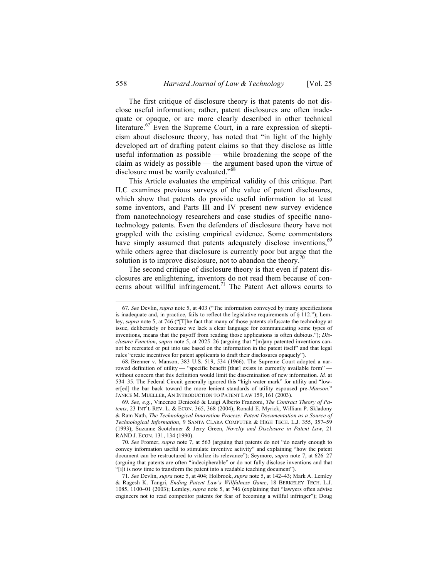The first critique of disclosure theory is that patents do not disclose useful information; rather, patent disclosures are often inadequate or opaque, or are more clearly described in other technical literature.<sup>67</sup> Even the Supreme Court, in a rare expression of skepticism about disclosure theory, has noted that "in light of the highly developed art of drafting patent claims so that they disclose as little useful information as possible — while broadening the scope of the claim as widely as possible — the argument based upon the virtue of disclosure must be warily evaluated."<sup>68</sup>

This Article evaluates the empirical validity of this critique. Part II.C examines previous surveys of the value of patent disclosures, which show that patents do provide useful information to at least some inventors, and Parts III and IV present new survey evidence from nanotechnology researchers and case studies of specific nanotechnology patents. Even the defenders of disclosure theory have not grappled with the existing empirical evidence. Some commentators have simply assumed that patents adequately disclose inventions,<sup>69</sup> while others agree that disclosure is currently poor but argue that the solution is to improve disclosure, not to abandon the theory.<sup>70</sup>

The second critique of disclosure theory is that even if patent disclosures are enlightening, inventors do not read them because of concerns about willful infringement.<sup>71</sup> The Patent Act allows courts to

 <sup>67.</sup> *See* Devlin, *supra* note 5, at 403 ("The information conveyed by many specifications is inadequate and, in practice, fails to reflect the legislative requirements of  $\S$  112."); Lemley, *supra* note 5, at 746 ("[T]he fact that many of those patents obfuscate the technology at issue, deliberately or because we lack a clear language for communicating some types of inventions, means that the payoff from reading those applications is often dubious."); *Disclosure Function*, *supra* note 5, at 2025–26 (arguing that "[m]any patented inventions cannot be recreated or put into use based on the information in the patent itself" and that legal rules "create incentives for patent applicants to draft their disclosures opaquely").

<sup>68.</sup> Brenner v. Manson, 383 U.S. 519, 534 (1966). The Supreme Court adopted a narrowed definition of utility — "specific benefit [that] exists in currently available form" without concern that this definition would limit the dissemination of new information. *Id.* at 534–35. The Federal Circuit generally ignored this "high water mark" for utility and "lower[ed] the bar back toward the more lenient standards of utility espoused pre-*Manson*." JANICE M. MUELLER, AN INTRODUCTION TO PATENT LAW 159, 161 (2003).

<sup>69.</sup> *See, e.g.*, Vincenzo Denicolò & Luigi Alberto Franzoni, *The Contract Theory of Patents*, 23 INT'L REV. L. & ECON. 365, 368 (2004); Ronald E. Myrick, William P. Skladony & Ram Nath, *The Technological Innovation Process: Patent Documentation as a Source of Technological Information*, 9 SANTA CLARA COMPUTER & HIGH TECH. L.J. 355, 357–59 (1993); Suzanne Scotchmer & Jerry Green, *Novelty and Disclosure in Patent Law*, 21 RAND J. ECON. 131, 134 (1990).

<sup>70.</sup> *See* Fromer, *supra* note 7, at 563 (arguing that patents do not "do nearly enough to convey information useful to stimulate inventive activity" and explaining "how the patent document can be restructured to vitalize its relevance"); Seymore, *supra* note 7, at 626–27 (arguing that patents are often "indecipherable" or do not fully disclose inventions and that "[i]t is now time to transform the patent into a readable teaching document").

<sup>71.</sup> *See* Devlin, *supra* note 5, at 404; Holbrook, *supra* note 5, at 142–43; Mark A. Lemley & Ragesh K. Tangri, *Ending Patent Law's Willfulness Game*, 18 BERKELEY TECH. L.J. 1085, 1100–01 (2003); Lemley, *supra* note 5, at 746 (explaining that "lawyers often advise engineers not to read competitor patents for fear of becoming a willful infringer"); Doug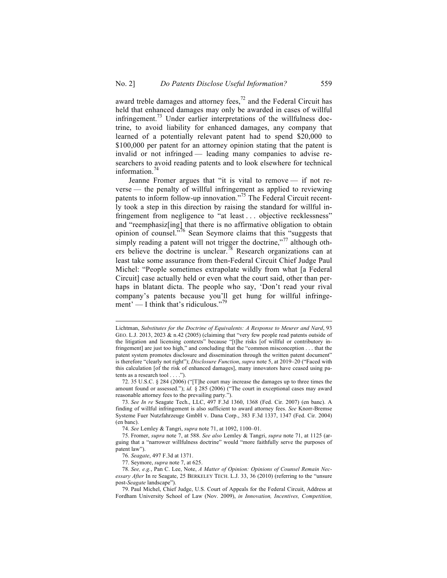award treble damages and attorney fees, $^{72}$  and the Federal Circuit has held that enhanced damages may only be awarded in cases of willful infringement.<sup>73</sup> Under earlier interpretations of the willfulness doctrine, to avoid liability for enhanced damages, any company that learned of a potentially relevant patent had to spend \$20,000 to \$100,000 per patent for an attorney opinion stating that the patent is invalid or not infringed — leading many companies to advise researchers to avoid reading patents and to look elsewhere for technical information. $74$ 

Jeanne Fromer argues that "it is vital to remove — if not reverse — the penalty of willful infringement as applied to reviewing patents to inform follow-up innovation."<sup>75</sup> The Federal Circuit recently took a step in this direction by raising the standard for willful infringement from negligence to "at least . . . objective recklessness" and "reemphasiz[ing] that there is no affirmative obligation to obtain opinion of counsel."<sup>76</sup> Sean Seymore claims that this "suggests that simply reading a patent will not trigger the doctrine,"<sup>77</sup> although others believe the doctrine is unclear.<sup>78</sup> Research organizations can at least take some assurance from then-Federal Circuit Chief Judge Paul Michel: "People sometimes extrapolate wildly from what [a Federal Circuit] case actually held or even what the court said, other than perhaps in blatant dicta. The people who say, 'Don't read your rival company's patents because you'll get hung for willful infringement' — I think that's ridiculous."<sup>79</sup>

Lichtman, *Substitutes for the Doctrine of Equivalents: A Response to Meurer and Nard*, 93 GEO. L.J. 2013, 2023  $\&$  n.42 (2005) (claiming that "very few people read patents outside of the litigation and licensing contexts" because "[t]he risks [of willful or contributory infringement] are just too high," and concluding that the "common misconception . . . that the patent system promotes disclosure and dissemination through the written patent document" is therefore "clearly not right"); *Disclosure Function*, *supra* note 5, at 2019–20 ("Faced with this calculation [of the risk of enhanced damages], many innovators have ceased using patents as a research tool . . . .").

<sup>72.</sup> 35 U.S.C. § 284 (2006) ("[T]he court may increase the damages up to three times the amount found or assessed."); *id.* § 285 (2006) ("The court in exceptional cases may award reasonable attorney fees to the prevailing party.").

<sup>73.</sup> *See In re* Seagate Tech., LLC, 497 F.3d 1360, 1368 (Fed. Cir. 2007) (en banc). A finding of willful infringement is also sufficient to award attorney fees. *See* Knorr-Bremse Systeme Fuer Nutzfahrzeuge GmbH v. Dana Corp., 383 F.3d 1337, 1347 (Fed. Cir. 2004) (en banc).

<sup>74.</sup> *See* Lemley & Tangri, *supra* note 71, at 1092, 1100–01.

<sup>75.</sup> Fromer, *supra* note 7, at 588. *See also* Lemley & Tangri, *supra* note 71, at 1125 (arguing that a "narrower willfulness doctrine" would "more faithfully serve the purposes of patent law").

<sup>76.</sup> *Seagate*, 497 F.3d at 1371.

<sup>77.</sup> Seymore, *supra* note 7, at 625.

<sup>78.</sup> *See, e.g.*, Pan C. Lee, Note, *A Matter of Opinion: Opinions of Counsel Remain Necessary After* In re Seagate, 25 BERKELEY TECH. L.J. 33, 36 (2010) (referring to the "unsure post-*Seagate* landscape").

<sup>79.</sup> Paul Michel, Chief Judge, U.S. Court of Appeals for the Federal Circuit, Address at Fordham University School of Law (Nov. 2009), *in Innovation, Incentives, Competition,*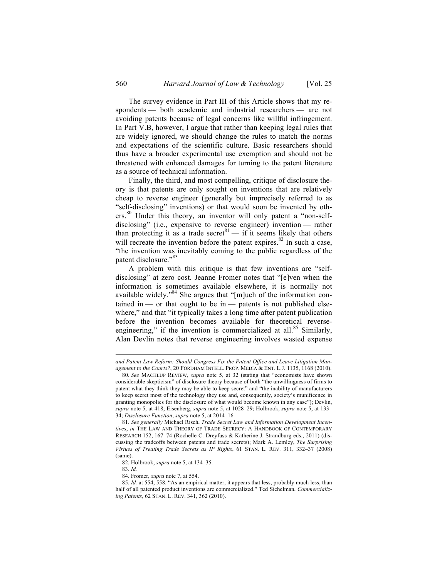The survey evidence in Part III of this Article shows that my respondents — both academic and industrial researchers — are not avoiding patents because of legal concerns like willful infringement. In Part V.B, however, I argue that rather than keeping legal rules that are widely ignored, we should change the rules to match the norms and expectations of the scientific culture. Basic researchers should thus have a broader experimental use exemption and should not be threatened with enhanced damages for turning to the patent literature as a source of technical information.

Finally, the third, and most compelling, critique of disclosure theory is that patents are only sought on inventions that are relatively cheap to reverse engineer (generally but imprecisely referred to as "self-disclosing" inventions) or that would soon be invented by others.<sup>80</sup> Under this theory, an inventor will only patent a "non-selfdisclosing" (i.e., expensive to reverse engineer) invention — rather than protecting it as a trade secret<sup>81</sup> — if it seems likely that others will recreate the invention before the patent expires.<sup>82</sup> In such a case, "the invention was inevitably coming to the public regardless of the patent disclosure."<sup>83</sup>

A problem with this critique is that few inventions are "selfdisclosing" at zero cost. Jeanne Fromer notes that "[e]ven when the information is sometimes available elsewhere, it is normally not available widely."<sup>84</sup> She argues that "[m]uch of the information contained in — or that ought to be in — patents is not published elsewhere," and that "it typically takes a long time after patent publication before the invention becomes available for theoretical reverseengineering," if the invention is commercialized at all. $85$  Similarly, Alan Devlin notes that reverse engineering involves wasted expense

 $\overline{a}$ 

*and Patent Law Reform: Should Congress Fix the Patent Office and Leave Litigation Management to the Courts?*, 20 FORDHAM INTELL. PROP. MEDIA & ENT. L.J. 1135, 1168 (2010).

<sup>80.</sup> *See* MACHLUP REVIEW, *supra* note 5, at 32 (stating that "economists have shown considerable skepticism" of disclosure theory because of both "the unwillingness of firms to patent what they think they may be able to keep secret" and "the inability of manufacturers to keep secret most of the technology they use and, consequently, society's munificence in granting monopolies for the disclosure of what would become known in any case"); Devlin, *supra* note 5, at 418; Eisenberg, *supra* note 5, at 1028–29; Holbrook, *supra* note 5, at 133– 34; *Disclosure Function*, *supra* note 5, at 2014–16.

<sup>81.</sup> *See generally* Michael Risch, *Trade Secret Law and Information Development Incentives*, *in* THE LAW AND THEORY OF TRADE SECRECY: A HANDBOOK OF CONTEMPORARY RESEARCH 152, 167–74 (Rochelle C. Dreyfuss & Katherine J. Strandburg eds., 2011) (discussing the tradeoffs between patents and trade secrets); Mark A. Lemley, *The Surprising Virtues of Treating Trade Secrets as IP Rights*, 61 STAN. L. REV. 311, 332–37 (2008) (same).

<sup>82.</sup> Holbrook, *supra* note 5, at 134–35.

<sup>83.</sup> *Id.*

<sup>84.</sup> Fromer, *supra* note 7, at 554.

<sup>85.</sup> *Id.* at 554, 558. "As an empirical matter, it appears that less, probably much less, than half of all patented product inventions are commercialized." Ted Sichelman, *Commercializing Patents*, 62 STAN. L. REV. 341, 362 (2010).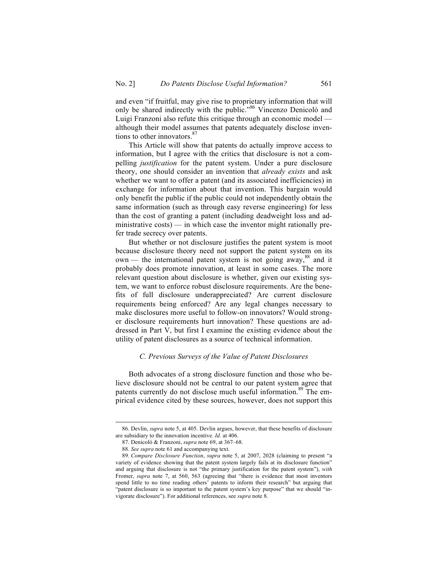and even "if fruitful, may give rise to proprietary information that will only be shared indirectly with the public."<sup>86</sup> Vincenzo Denicolò and Luigi Franzoni also refute this critique through an economic model although their model assumes that patents adequately disclose inventions to other innovators.<sup>8</sup>

This Article will show that patents do actually improve access to information, but I agree with the critics that disclosure is not a compelling *justification* for the patent system. Under a pure disclosure theory, one should consider an invention that *already exists* and ask whether we want to offer a patent (and its associated inefficiencies) in exchange for information about that invention. This bargain would only benefit the public if the public could not independently obtain the same information (such as through easy reverse engineering) for less than the cost of granting a patent (including deadweight loss and administrative costs) — in which case the inventor might rationally prefer trade secrecy over patents.

But whether or not disclosure justifies the patent system is moot because disclosure theory need not support the patent system on its own — the international patent system is not going away,  $88$  and it probably does promote innovation, at least in some cases. The more relevant question about disclosure is whether, given our existing system, we want to enforce robust disclosure requirements. Are the benefits of full disclosure underappreciated? Are current disclosure requirements being enforced? Are any legal changes necessary to make disclosures more useful to follow-on innovators? Would stronger disclosure requirements hurt innovation? These questions are addressed in Part V, but first I examine the existing evidence about the utility of patent disclosures as a source of technical information.

### *C. Previous Surveys of the Value of Patent Disclosures*

Both advocates of a strong disclosure function and those who believe disclosure should not be central to our patent system agree that patents currently do not disclose much useful information.<sup>89</sup> The empirical evidence cited by these sources, however, does not support this

 <sup>86.</sup> Devlin, *supra* note 5, at 405. Devlin argues, however, that these benefits of disclosure are subsidiary to the innovation incentive. *Id.* at 406.

<sup>87.</sup> Denicolò & Franzoni, *supra* note 69, at 367–68.

<sup>88.</sup> *See supra* note 61 and accompanying text.

<sup>89.</sup> *Compare Disclosure Function*, *supra* note 5, at 2007, 2028 (claiming to present "a variety of evidence showing that the patent system largely fails at its disclosure function" and arguing that disclosure is not "the primary justification for the patent system"), *with* Fromer, *supra* note 7, at 560, 563 (agreeing that "there is evidence that most inventors spend little to no time reading others' patents to inform their research" but arguing that "patent disclosure is so important to the patent system's key purpose" that we should "invigorate disclosure"). For additional references, see *supra* note 8.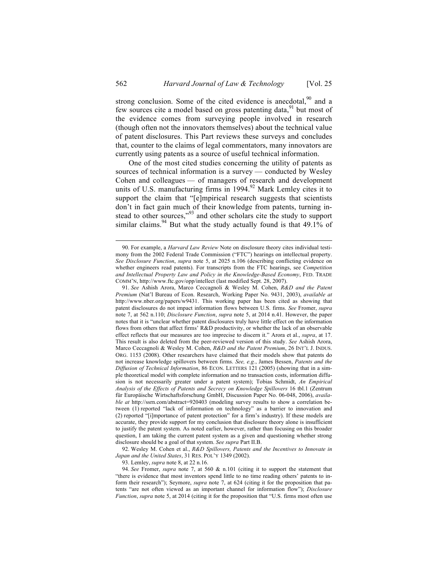strong conclusion. Some of the cited evidence is anecdotal, $90$  and a few sources cite a model based on gross patenting data,  $91$  but most of the evidence comes from surveying people involved in research (though often not the innovators themselves) about the technical value of patent disclosures. This Part reviews these surveys and concludes that, counter to the claims of legal commentators, many innovators are currently using patents as a source of useful technical information.

One of the most cited studies concerning the utility of patents as sources of technical information is a survey — conducted by Wesley Cohen and colleagues — of managers of research and development units of U.S. manufacturing firms in 1994. $92$  Mark Lemley cites it to support the claim that "[e]mpirical research suggests that scientists don't in fact gain much of their knowledge from patents, turning instead to other sources,"<sup>93</sup> and other scholars cite the study to support similar claims.<sup>94</sup> But what the study actually found is that  $49.1\%$  of

92. Wesley M. Cohen et al., *R&D Spillovers, Patents and the Incentives to Innovate in Japan and the United States*, 31 RES. POL'Y 1349 (2002).

93. Lemley, *supra* note 8, at 22 n.16.

94. *See* Fromer, *supra* note 7, at 560 & n.101 (citing it to support the statement that "there is evidence that most inventors spend little to no time reading others' patents to inform their research"); Seymore, *supra* note 7, at 624 (citing it for the proposition that patents "are not often viewed as an important channel for information flow"); *Disclosure Function*, *supra* note 5, at 2014 (citing it for the proposition that "U.S. firms most often use

 <sup>90.</sup> For example, a *Harvard Law Review* Note on disclosure theory cites individual testimony from the 2002 Federal Trade Commission ("FTC") hearings on intellectual property. *See Disclosure Function*, *supra* note 5, at 2025 n.106 (describing conflicting evidence on whether engineers read patents). For transcripts from the FTC hearings, see *Competition and Intellectual Property Law and Policy in the Knowledge-Based Economy*, FED. TRADE COMM'N, http://www.ftc.gov/opp/intellect (last modified Sept. 28, 2007).

<sup>91.</sup> *See* Ashish Arora, Marco Ceccagnoli & Wesley M. Cohen, *R&D and the Patent Premium* (Nat'l Bureau of Econ. Research, Working Paper No. 9431, 2003), *available at*  http://www.nber.org/papers/w9431. This working paper has been cited as showing that patent disclosures do not impact information flows between U.S. firms. *See* Fromer, *supra* note 7, at 562 n.110; *Disclosure Function*, *supra* note 5, at 2014 n.41. However, the paper notes that it is "unclear whether patent disclosures truly have little effect on the information flows from others that affect firms' R&D productivity, or whether the lack of an observable effect reflects that our measures are too imprecise to discern it." Arora et al., *supra*, at 17. This result is also deleted from the peer-reviewed version of this study. *See* Ashish Arora, Marco Ceccagnoli & Wesley M. Cohen, *R&D and the Patent Premium*, 26 INT'L J. INDUS. ORG. 1153 (2008). Other researchers have claimed that their models show that patents do not increase knowledge spillovers between firms. *See, e.g.*, James Bessen, *Patents and the Diffusion of Technical Information*, 86 ECON. LETTERS 121 (2005) (showing that in a simple theoretical model with complete information and no transaction costs, information diffusion is not necessarily greater under a patent system); Tobias Schmidt, *An Empirical Analysis of the Effects of Patents and Secrecy on Knowledge Spillovers* 16 tbl.1 (Zentrum für Europäische Wirtschaftsforschung GmbH, Discussion Paper No. 06-048, 2006), *available at* http://ssrn.com/abstract=920403 (modeling survey results to show a correlation between (1) reported "lack of information on technology" as a barrier to innovation and (2) reported "[i]mportance of patent protection" for a firm's industry). If these models are accurate, they provide support for my conclusion that disclosure theory alone is insufficient to justify the patent system. As noted earlier, however, rather than focusing on this broader question, I am taking the current patent system as a given and questioning whether strong disclosure should be a goal of that system. *See supra* Part II.B.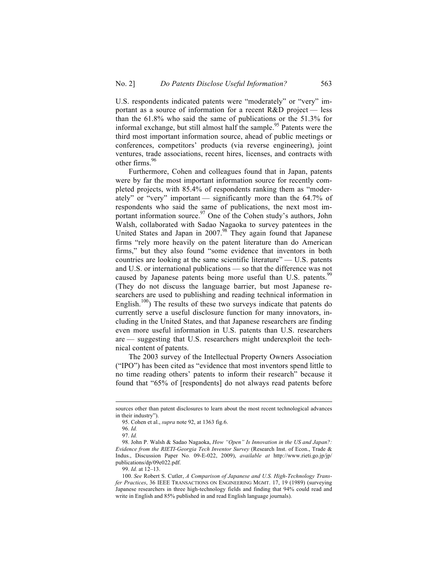U.S. respondents indicated patents were "moderately" or "very" important as a source of information for a recent R&D project — less than the 61.8% who said the same of publications or the 51.3% for informal exchange, but still almost half the sample.<sup>95</sup> Patents were the third most important information source, ahead of public meetings or conferences, competitors' products (via reverse engineering), joint ventures, trade associations, recent hires, licenses, and contracts with other firms.<sup>96</sup>

Furthermore, Cohen and colleagues found that in Japan, patents were by far the most important information source for recently completed projects, with 85.4% of respondents ranking them as "moderately" or "very" important — significantly more than the 64.7% of respondents who said the same of publications, the next most important information source.<sup>97</sup> One of the Cohen study's authors, John Walsh, collaborated with Sadao Nagaoka to survey patentees in the United States and Japan in 2007.<sup>98</sup> They again found that Japanese firms "rely more heavily on the patent literature than do American firms," but they also found "some evidence that inventors in both countries are looking at the same scientific literature" — U.S. patents and U.S. or international publications — so that the difference was not caused by Japanese patents being more useful than U.S. patents.<sup>99</sup> (They do not discuss the language barrier, but most Japanese researchers are used to publishing and reading technical information in English. $100$ ) The results of these two surveys indicate that patents do currently serve a useful disclosure function for many innovators, including in the United States, and that Japanese researchers are finding even more useful information in U.S. patents than U.S. researchers are — suggesting that U.S. researchers might underexploit the technical content of patents.

The 2003 survey of the Intellectual Property Owners Association ("IPO") has been cited as "evidence that most inventors spend little to no time reading others' patents to inform their research" because it found that "65% of [respondents] do not always read patents before

sources other than patent disclosures to learn about the most recent technological advances in their industry").

<sup>95.</sup> Cohen et al., *supra* note 92, at 1363 fig.6.

<sup>96.</sup> *Id.*

<sup>97.</sup> *Id.*

<sup>98.</sup> John P. Walsh & Sadao Nagaoka, *How "Open" Is Innovation in the US and Japan?: Evidence from the RIETI-Georgia Tech Inventor Survey* (Research Inst. of Econ., Trade & Indus., Discussion Paper No. 09-E-022, 2009), *available at* http://www.rieti.go.jp/jp/ publications/dp/09e022.pdf.

<sup>99.</sup> *Id.* at  $12-13$ .

<sup>100.</sup> *See* Robert S. Cutler, *A Comparison of Japanese and U.S. High-Technology Transfer Practices*, 36 IEEE TRANSACTIONS ON ENGINEERING MGMT. 17, 19 (1989) (surveying Japanese researchers in three high-technology fields and finding that 94% could read and write in English and 85% published in and read English language journals).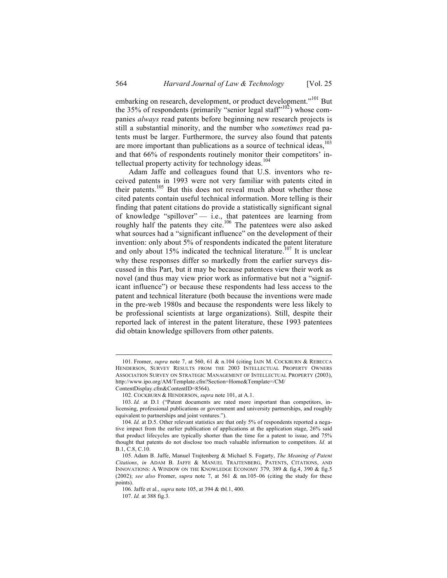embarking on research, development, or product development."<sup>101</sup> But the 35% of respondents (primarily "senior legal staff"<sup>102</sup>) whose companies *always* read patents before beginning new research projects is still a substantial minority, and the number who *sometimes* read patents must be larger. Furthermore, the survey also found that patents are more important than publications as a source of technical ideas, <sup>103</sup> and that 66% of respondents routinely monitor their competitors' intellectual property activity for technology ideas.<sup>104</sup>

Adam Jaffe and colleagues found that U.S. inventors who received patents in 1993 were not very familiar with patents cited in their patents.<sup>105</sup> But this does not reveal much about whether those cited patents contain useful technical information. More telling is their finding that patent citations do provide a statistically significant signal of knowledge "spillover" — i.e., that patentees are learning from roughly half the patents they cite.<sup>106</sup> The patentees were also asked what sources had a "significant influence" on the development of their invention: only about 5% of respondents indicated the patent literature and only about 15% indicated the technical literature.<sup>107</sup> It is unclear why these responses differ so markedly from the earlier surveys discussed in this Part, but it may be because patentees view their work as novel (and thus may view prior work as informative but not a "significant influence") or because these respondents had less access to the patent and technical literature (both because the inventions were made in the pre-web 1980s and because the respondents were less likely to be professional scientists at large organizations). Still, despite their reported lack of interest in the patent literature, these 1993 patentees did obtain knowledge spillovers from other patents.

 <sup>101.</sup> Fromer, *supra* note 7, at 560, 61 & n.104 (citing IAIN M. COCKBURN & REBECCA HENDERSON, SURVEY RESULTS FROM THE 2003 INTELLECTUAL PROPERTY OWNERS ASSOCIATION SURVEY ON STRATEGIC MANAGEMENT OF INTELLECTUAL PROPERTY (2003), http://www.ipo.org/AM/Template.cfm?Section=Home&Template=/CM/

ContentDisplay.cfm&ContentID=8564).

<sup>102.</sup> COCKBURN & HENDERSON, *supra* note 101, at A.1.

<sup>103.</sup> *Id.* at D.1 ("Patent documents are rated more important than competitors, inlicensing, professional publications or government and university partnerships, and roughly equivalent to partnerships and joint ventures.").

<sup>104.</sup> *Id.* at D.5. Other relevant statistics are that only 5% of respondents reported a negative impact from the earlier publication of applications at the application stage, 26% said that product lifecycles are typically shorter than the time for a patent to issue, and 75% thought that patents do not disclose too much valuable information to competitors. *Id.* at B.1, C.8, C.10.

<sup>105.</sup> Adam B. Jaffe, Manuel Trajtenberg & Michael S. Fogarty, *The Meaning of Patent Citations*, *in* ADAM B. JAFFE & MANUEL TRAJTENBERG, PATENTS, CITATIONS, AND INNOVATIONS: A WINDOW ON THE KNOWLEDGE ECONOMY 379, 389  $\&$  fig.4, 390  $\&$  fig.5 (2002); *see also* Fromer, *supra* note 7, at 561 & nn.105–06 (citing the study for these points).

<sup>106.</sup> Jaffe et al., *supra* note 105, at 394 & tbl.1, 400.

<sup>107.</sup> *Id.* at 388 fig.3.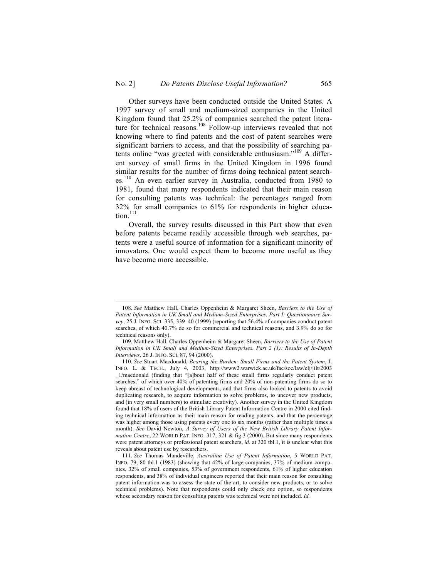Other surveys have been conducted outside the United States. A 1997 survey of small and medium-sized companies in the United Kingdom found that 25.2% of companies searched the patent literature for technical reasons.<sup>108</sup> Follow-up interviews revealed that not knowing where to find patents and the cost of patent searches were significant barriers to access, and that the possibility of searching patents online "was greeted with considerable enthusiasm." <sup>109</sup> A different survey of small firms in the United Kingdom in 1996 found similar results for the number of firms doing technical patent searches.<sup>110</sup> An even earlier survey in Australia, conducted from 1980 to 1981, found that many respondents indicated that their main reason for consulting patents was technical: the percentages ranged from 32% for small companies to 61% for respondents in higher educa $tion.<sup>111</sup>$ 

Overall, the survey results discussed in this Part show that even before patents became readily accessible through web searches, patents were a useful source of information for a significant minority of innovators. One would expect them to become more useful as they have become more accessible.

 <sup>108.</sup> *See* Matthew Hall, Charles Oppenheim & Margaret Sheen, *Barriers to the Use of Patent Information in UK Small and Medium-Sized Enterprises. Part I: Questionnaire Survey*, 25 J. INFO. SCI. 335, 339–40 (1999) (reporting that 56.4% of companies conduct patent searches, of which 40.7% do so for commercial and technical reasons, and 3.9% do so for technical reasons only).

<sup>109.</sup> Matthew Hall, Charles Oppenheim & Margaret Sheen, *Barriers to the Use of Patent Information in UK Small and Medium-Sized Enterprises. Part 2 (1): Results of In-Depth Interviews*, 26 J. INFO. SCI. 87, 94 (2000).

<sup>110.</sup> *See* Stuart Macdonald, *Bearing the Burden: Small Firms and the Patent System*, J. INFO. L. & TECH., July 4, 2003, http://www2.warwick.ac.uk/fac/soc/law/elj/jilt/2003 \_1/macdonald (finding that "[a]bout half of these small firms regularly conduct patent searches," of which over 40% of patenting firms and 20% of non-patenting firms do so to keep abreast of technological developments, and that firms also looked to patents to avoid duplicating research, to acquire information to solve problems, to uncover new products, and (in very small numbers) to stimulate creativity). Another survey in the United Kingdom found that 18% of users of the British Library Patent Information Centre in 2000 cited finding technical information as their main reason for reading patents, and that the percentage was higher among those using patents every one to six months (rather than multiple times a month). *See* David Newton, *A Survey of Users of the New British Library Patent Information Centre*, 22 WORLD PAT. INFO. 317, 321 & fig.3 (2000). But since many respondents were patent attorneys or professional patent searchers, *id.* at 320 tbl.1, it is unclear what this reveals about patent use by researchers.

<sup>111.</sup> *See* Thomas Mandeville, *Australian Use of Patent Information*, 5 WORLD PAT. INFO. 79, 80 tbl.1 (1983) (showing that 42% of large companies, 37% of medium companies, 32% of small companies, 53% of government respondents, 61% of higher education respondents, and 38% of individual engineers reported that their main reason for consulting patent information was to assess the state of the art, to consider new products, or to solve technical problems). Note that respondents could only check one option, so respondents whose secondary reason for consulting patents was technical were not included. *Id.*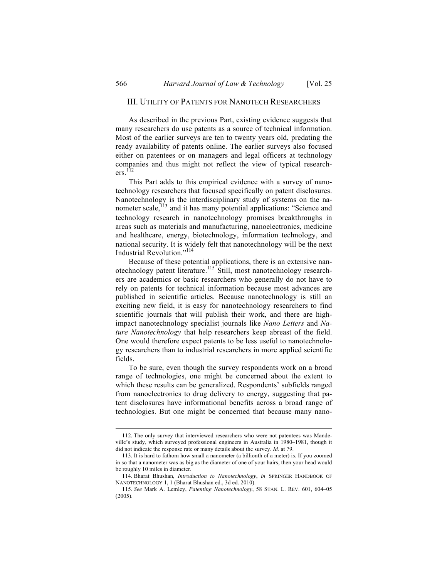#### III. UTILITY OF PATENTS FOR NANOTECH RESEARCHERS

As described in the previous Part, existing evidence suggests that many researchers do use patents as a source of technical information. Most of the earlier surveys are ten to twenty years old, predating the ready availability of patents online. The earlier surveys also focused either on patentees or on managers and legal officers at technology companies and thus might not reflect the view of typical research $ers.<sup>112</sup>$ 

This Part adds to this empirical evidence with a survey of nanotechnology researchers that focused specifically on patent disclosures. Nanotechnology is the interdisciplinary study of systems on the nanometer scale,<sup>113</sup> and it has many potential applications: "Science and technology research in nanotechnology promises breakthroughs in areas such as materials and manufacturing, nanoelectronics, medicine and healthcare, energy, biotechnology, information technology, and national security. It is widely felt that nanotechnology will be the next Industrial Revolution."<sup>114</sup>

Because of these potential applications, there is an extensive nanotechnology patent literature.<sup>115</sup> Still, most nanotechnology researchers are academics or basic researchers who generally do not have to rely on patents for technical information because most advances are published in scientific articles. Because nanotechnology is still an exciting new field, it is easy for nanotechnology researchers to find scientific journals that will publish their work, and there are highimpact nanotechnology specialist journals like *Nano Letters* and *Nature Nanotechnology* that help researchers keep abreast of the field. One would therefore expect patents to be less useful to nanotechnology researchers than to industrial researchers in more applied scientific fields.

To be sure, even though the survey respondents work on a broad range of technologies, one might be concerned about the extent to which these results can be generalized. Respondents' subfields ranged from nanoelectronics to drug delivery to energy, suggesting that patent disclosures have informational benefits across a broad range of technologies. But one might be concerned that because many nano-

 <sup>112.</sup> The only survey that interviewed researchers who were not patentees was Mandeville's study, which surveyed professional engineers in Australia in 1980–1981, though it did not indicate the response rate or many details about the survey. *Id.* at 79.

<sup>113.</sup> It is hard to fathom how small a nanometer (a billionth of a meter) is. If you zoomed in so that a nanometer was as big as the diameter of one of your hairs, then your head would be roughly 10 miles in diameter.

<sup>114.</sup> Bharat Bhushan, *Introduction to Nanotechnology*, *in* SPRINGER HANDBOOK OF NANOTECHNOLOGY 1, 1 (Bharat Bhushan ed., 3d ed. 2010).

<sup>115.</sup> *See* Mark A. Lemley, *Patenting Nanotechnology*, 58 STAN. L. REV. 601, 604–05 (2005).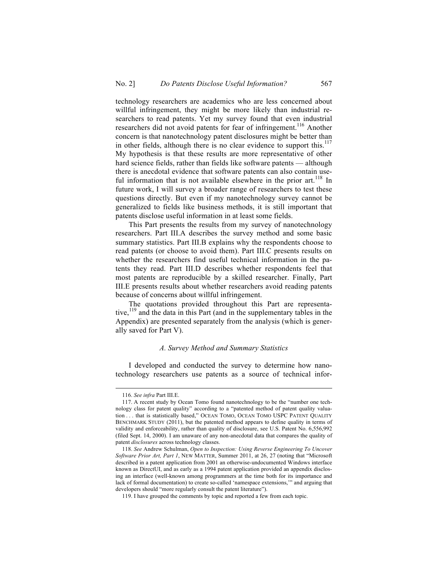technology researchers are academics who are less concerned about willful infringement, they might be more likely than industrial researchers to read patents. Yet my survey found that even industrial researchers did not avoid patents for fear of infringement.<sup>116</sup> Another concern is that nanotechnology patent disclosures might be better than in other fields, although there is no clear evidence to support this.<sup>117</sup> My hypothesis is that these results are more representative of other hard science fields, rather than fields like software patents — although there is anecdotal evidence that software patents can also contain useful information that is not available elsewhere in the prior  $art.^{118}$  In future work, I will survey a broader range of researchers to test these questions directly. But even if my nanotechnology survey cannot be generalized to fields like business methods, it is still important that patents disclose useful information in at least some fields.

This Part presents the results from my survey of nanotechnology researchers. Part III.A describes the survey method and some basic summary statistics. Part III.B explains why the respondents choose to read patents (or choose to avoid them). Part III.C presents results on whether the researchers find useful technical information in the patents they read. Part III.D describes whether respondents feel that most patents are reproducible by a skilled researcher. Finally, Part III.E presents results about whether researchers avoid reading patents because of concerns about willful infringement.

The quotations provided throughout this Part are representative,<sup>119</sup> and the data in this Part (and in the supplementary tables in the Appendix) are presented separately from the analysis (which is generally saved for Part V).

#### *A. Survey Method and Summary Statistics*

I developed and conducted the survey to determine how nanotechnology researchers use patents as a source of technical infor-

 <sup>116.</sup> *See infra* Part III.E.

<sup>117.</sup> A recent study by Ocean Tomo found nanotechnology to be the "number one technology class for patent quality" according to a "patented method of patent quality valuation . . . that is statistically based," OCEAN TOMO, OCEAN TOMO USPC PATENT QUALITY BENCHMARK STUDY (2011), but the patented method appears to define quality in terms of validity and enforceability, rather than quality of disclosure, see U.S. Patent No. 6,556,992 (filed Sept. 14, 2000). I am unaware of any non-anecdotal data that compares the quality of patent *disclosures* across technology classes.

<sup>118.</sup> *See* Andrew Schulman, *Open to Inspection: Using Reverse Engineering To Uncover Software Prior Art, Part 1*, NEW MATTER, Summer 2011, at 26, 27 (noting that "Microsoft described in a patent application from 2001 an otherwise-undocumented Windows interface known as DirectUI, and as early as a 1994 patent application provided an appendix disclosing an interface (well-known among programmers at the time both for its importance and lack of formal documentation) to create so-called 'namespace extensions,'" and arguing that developers should "more regularly consult the patent literature").

<sup>119.</sup> I have grouped the comments by topic and reported a few from each topic.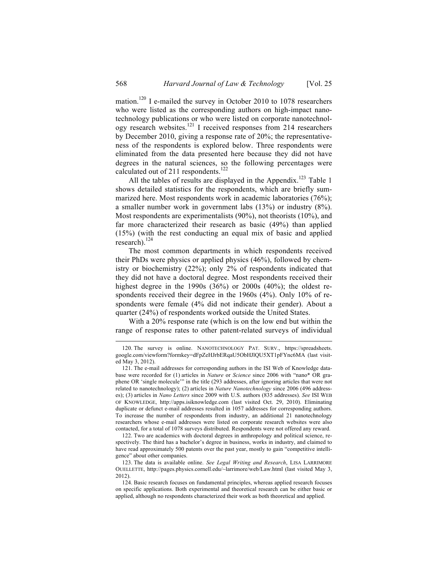mation.<sup>120</sup> I e-mailed the survey in October 2010 to 1078 researchers who were listed as the corresponding authors on high-impact nanotechnology publications or who were listed on corporate nanotechnology research websites.<sup>121</sup> I received responses from 214 researchers by December 2010, giving a response rate of 20%; the representativeness of the respondents is explored below. Three respondents were eliminated from the data presented here because they did not have degrees in the natural sciences, so the following percentages were calculated out of 211 respondents.<sup>122</sup>

All the tables of results are displayed in the Appendix.<sup>123</sup> Table 1 shows detailed statistics for the respondents, which are briefly summarized here. Most respondents work in academic laboratories (76%); a smaller number work in government labs (13%) or industry (8%). Most respondents are experimentalists (90%), not theorists (10%), and far more characterized their research as basic (49%) than applied (15%) (with the rest conducting an equal mix of basic and applied research). $^{124}$ 

The most common departments in which respondents received their PhDs were physics or applied physics (46%), followed by chemistry or biochemistry (22%); only 2% of respondents indicated that they did not have a doctoral degree. Most respondents received their highest degree in the 1990s (36%) or 2000s (40%); the oldest respondents received their degree in the 1960s (4%). Only 10% of respondents were female (4% did not indicate their gender). About a quarter (24%) of respondents worked outside the United States.

With a 20% response rate (which is on the low end but within the range of response rates to other patent-related surveys of individual

122. Two are academics with doctoral degrees in anthropology and political science, respectively. The third has a bachelor's degree in business, works in industry, and claimed to have read approximately 500 patents over the past year, mostly to gain "competitive intelligence" about other companies.

123. The data is available online. *See Legal Writing and Research*, LISA LARRIMORE OUELLETTE, http://pages.physics.cornell.edu/~larrimore/web/Law.html (last visited May 3, 2012).

124. Basic research focuses on fundamental principles, whereas applied research focuses on specific applications. Both experimental and theoretical research can be either basic or applied, although no respondents characterized their work as both theoretical and applied.

 <sup>120.</sup> The survey is online. NANOTECHNOLOGY PAT. SURV., https://spreadsheets. google.com/viewform?formkey=dFpZeHJrbERqaU5ObHJlQU5XT1pFYnc6MA (last visited May 3, 2012).

<sup>121.</sup> The e-mail addresses for corresponding authors in the ISI Web of Knowledge database were recorded for (1) articles in *Nature* or *Science* since 2006 with "nano\* OR graphene OR 'single molecule'" in the title (293 addresses, after ignoring articles that were not related to nanotechnology); (2) articles in *Nature Nanotechnology* since 2006 (496 addresses); (3) articles in *Nano Letters* since 2009 with U.S. authors (835 addresses). *See* ISI WEB OF KNOWLEDGE, http://apps.isiknowledge.com (last visited Oct. 29, 2010). Eliminating duplicate or defunct e-mail addresses resulted in 1057 addresses for corresponding authors. To increase the number of respondents from industry, an additional 21 nanotechnology researchers whose e-mail addresses were listed on corporate research websites were also contacted, for a total of 1078 surveys distributed. Respondents were not offered any reward.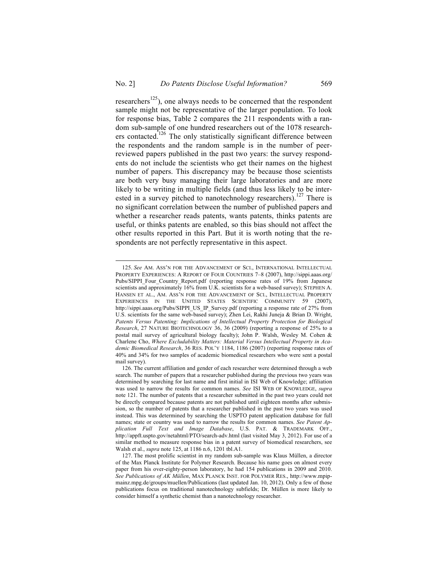researchers<sup>125</sup>), one always needs to be concerned that the respondent sample might not be representative of the larger population. To look for response bias, Table 2 compares the 211 respondents with a random sub-sample of one hundred researchers out of the 1078 researchers contacted.<sup>126</sup> The only statistically significant difference between the respondents and the random sample is in the number of peerreviewed papers published in the past two years: the survey respondents do not include the scientists who get their names on the highest number of papers. This discrepancy may be because those scientists are both very busy managing their large laboratories and are more likely to be writing in multiple fields (and thus less likely to be interested in a survey pitched to nanotechnology researchers).<sup>127</sup> There is no significant correlation between the number of published papers and whether a researcher reads patents, wants patents, thinks patents are useful, or thinks patents are enabled, so this bias should not affect the other results reported in this Part. But it is worth noting that the respondents are not perfectly representative in this aspect.

 <sup>125.</sup> *See* AM. ASS'N FOR THE ADVANCEMENT OF SCI., INTERNATIONAL INTELLECTUAL PROPERTY EXPERIENCES: A REPORT OF FOUR COUNTRIES 7–8 (2007), http://sippi.aaas.org/ Pubs/SIPPI\_Four\_Country\_Report.pdf (reporting response rates of 19% from Japanese scientists and approximately 16% from U.K. scientists for a web-based survey); STEPHEN A. HANSEN ET AL., AM. ASS'N FOR THE ADVANCEMENT OF SCI., INTELLECTUAL PROPERTY EXPERIENCES IN THE UNITED STATES SCIENTIFIC COMMUNITY 59 (2007), http://sippi.aaas.org/Pubs/SIPPI\_US\_IP\_Survey.pdf (reporting a response rate of 27% from U.S. scientists for the same web-based survey); Zhen Lei, Rakhi Juneja & Brian D. Wright, *Patents Versus Patenting: Implications of Intellectual Property Protection for Biological Research*, 27 NATURE BIOTECHNOLOGY 36, 36 (2009) (reporting a response of 25% to a postal mail survey of agricultural biology faculty); John P. Walsh, Wesley M. Cohen & Charlene Cho, *Where Excludability Matters: Material Versus Intellectual Property in Academic Biomedical Research*, 36 RES. POL'Y 1184, 1186 (2007) (reporting response rates of 40% and 34% for two samples of academic biomedical researchers who were sent a postal mail survey).

<sup>126.</sup> The current affiliation and gender of each researcher were determined through a web search. The number of papers that a researcher published during the previous two years was determined by searching for last name and first initial in ISI Web of Knowledge; affiliation was used to narrow the results for common names. *See* ISI WEB OF KNOWLEDGE, *supra* note 121. The number of patents that a researcher submitted in the past two years could not be directly compared because patents are not published until eighteen months after submission, so the number of patents that a researcher published in the past two years was used instead. This was determined by searching the USPTO patent application database for full names; state or country was used to narrow the results for common names. *See Patent Application Full Text and Image Database*, U.S. PAT. & TRADEMARK OFF., http://appft.uspto.gov/netahtml/PTO/search-adv.html (last visited May 3, 2012). For use of a similar method to measure response bias in a patent survey of biomedical researchers, see Walsh et al., *supra* note 125, at 1186 n.6, 1201 tbl.A1.

<sup>127.</sup> The most prolific scientist in my random sub-sample was Klaus Müllen, a director of the Max Planck Institute for Polymer Research. Because his name goes on almost every paper from his over-eighty-person laboratory, he had 154 publications in 2009 and 2010. *See Publications of AK Müllen*, MAX PLANCK INST. FOR POLYMER RES., http://www.mpipmainz.mpg.de/groups/muellen/Publications (last updated Jan. 10, 2012). Only a few of those publications focus on traditional nanotechnology subfields; Dr. Müllen is more likely to consider himself a synthetic chemist than a nanotechnology researcher.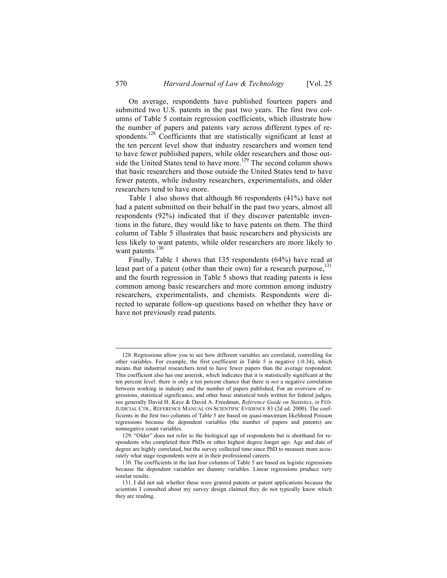On average, respondents have published fourteen papers and submitted two U.S. patents in the past two years. The first two columns of Table 5 contain regression coefficients, which illustrate how the number of papers and patents vary across different types of respondents.<sup>128</sup> Coefficients that are statistically significant at least at the ten percent level show that industry researchers and women tend to have fewer published papers, while older researchers and those outside the United States tend to have more.<sup>129</sup> The second column shows that basic researchers and those outside the United States tend to have fewer patents, while industry researchers, experimentalists, and older researchers tend to have more.

Table 1 also shows that although 86 respondents (41%) have not had a patent submitted on their behalf in the past two years, almost all respondents (92%) indicated that if they discover patentable inventions in the future, they would like to have patents on them. The third column of Table 5 illustrates that basic researchers and physicists are less likely to want patents, while older researchers are more likely to want patents.<sup>130</sup>

Finally, Table 1 shows that 135 respondents (64%) have read at least part of a patent (other than their own) for a research purpose,  $^{131}$ and the fourth regression in Table 5 shows that reading patents is less common among basic researchers and more common among industry researchers, experimentalists, and chemists. Respondents were directed to separate follow-up questions based on whether they have or have not previously read patents.

 <sup>128.</sup> Regressions allow you to see how different variables are correlated, controlling for other variables. For example, the first coefficient in Table 5 is negative (-0.34), which means that industrial researchers tend to have fewer papers than the average respondent. This coefficient also has one asterisk, which indicates that it is statistically significant at the ten percent level: there is only a ten percent chance that there is *not* a negative correlation between working in industry and the number of papers published. For an overview of regressions, statistical significance, and other basic statistical tools written for federal judges, see generally David H. Kaye & David A. Freedman, *Reference Guide on Statistics*, *in* FED. JUDICIAL CTR., REFERENCE MANUAL ON SCIENTIFIC EVIDENCE 83 (2d ed. 2000). The coefficients in the first two columns of Table 5 are based on quasi-maximum likelihood Poisson regressions because the dependent variables (the number of papers and patents) are nonnegative count variables.

<sup>129.</sup> "Older" does not refer to the biological age of respondents but is shorthand for respondents who completed their PhDs or other highest degree longer ago. Age and date of degree are highly correlated, but the survey collected time since PhD to measure more accurately what stage respondents were at in their professional careers.

<sup>130.</sup> The coefficients in the last four columns of Table 5 are based on logistic regressions because the dependent variables are dummy variables. Linear regressions produce very similar results.

<sup>131.</sup> I did not ask whether these were granted patents or patent applications because the scientists I consulted about my survey design claimed they do not typically know which they are reading.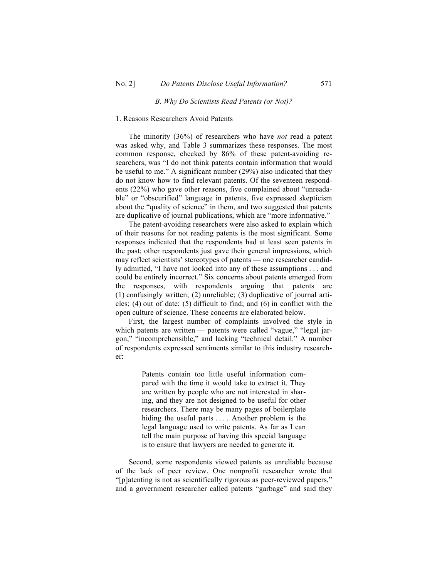#### *B. Why Do Scientists Read Patents (or Not)?*

### 1. Reasons Researchers Avoid Patents

The minority (36%) of researchers who have *not* read a patent was asked why, and Table 3 summarizes these responses. The most common response, checked by 86% of these patent-avoiding researchers, was "I do not think patents contain information that would be useful to me." A significant number (29%) also indicated that they do not know how to find relevant patents. Of the seventeen respondents (22%) who gave other reasons, five complained about "unreadable" or "obscurified" language in patents, five expressed skepticism about the "quality of science" in them, and two suggested that patents are duplicative of journal publications, which are "more informative."

The patent-avoiding researchers were also asked to explain which of their reasons for not reading patents is the most significant. Some responses indicated that the respondents had at least seen patents in the past; other respondents just gave their general impressions, which may reflect scientists' stereotypes of patents — one researcher candidly admitted, "I have not looked into any of these assumptions . . . and could be entirely incorrect." Six concerns about patents emerged from the responses, with respondents arguing that patents are (1) confusingly written; (2) unreliable; (3) duplicative of journal articles; (4) out of date; (5) difficult to find; and (6) in conflict with the open culture of science. These concerns are elaborated below.

First, the largest number of complaints involved the style in which patents are written — patents were called "vague," "legal jargon," "incomprehensible," and lacking "technical detail." A number of respondents expressed sentiments similar to this industry researcher:

> Patents contain too little useful information compared with the time it would take to extract it. They are written by people who are not interested in sharing, and they are not designed to be useful for other researchers. There may be many pages of boilerplate hiding the useful parts .... Another problem is the legal language used to write patents. As far as I can tell the main purpose of having this special language is to ensure that lawyers are needed to generate it.

Second, some respondents viewed patents as unreliable because of the lack of peer review. One nonprofit researcher wrote that "[p]atenting is not as scientifically rigorous as peer-reviewed papers," and a government researcher called patents "garbage" and said they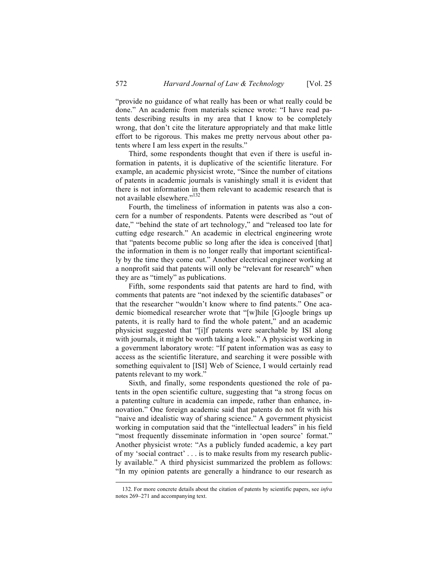"provide no guidance of what really has been or what really could be done." An academic from materials science wrote: "I have read patents describing results in my area that I know to be completely wrong, that don't cite the literature appropriately and that make little effort to be rigorous. This makes me pretty nervous about other patents where I am less expert in the results."

Third, some respondents thought that even if there is useful information in patents, it is duplicative of the scientific literature. For example, an academic physicist wrote, "Since the number of citations of patents in academic journals is vanishingly small it is evident that there is not information in them relevant to academic research that is not available elsewhere."<sup>132</sup>

Fourth, the timeliness of information in patents was also a concern for a number of respondents. Patents were described as "out of date," "behind the state of art technology," and "released too late for cutting edge research." An academic in electrical engineering wrote that "patents become public so long after the idea is conceived [that] the information in them is no longer really that important scientifically by the time they come out." Another electrical engineer working at a nonprofit said that patents will only be "relevant for research" when they are as "timely" as publications.

Fifth, some respondents said that patents are hard to find, with comments that patents are "not indexed by the scientific databases" or that the researcher "wouldn't know where to find patents." One academic biomedical researcher wrote that "[w]hile [G]oogle brings up patents, it is really hard to find the whole patent," and an academic physicist suggested that "[i]f patents were searchable by ISI along with journals, it might be worth taking a look." A physicist working in a government laboratory wrote: "If patent information was as easy to access as the scientific literature, and searching it were possible with something equivalent to [ISI] Web of Science, I would certainly read patents relevant to my work."

Sixth, and finally, some respondents questioned the role of patents in the open scientific culture, suggesting that "a strong focus on a patenting culture in academia can impede, rather than enhance, innovation." One foreign academic said that patents do not fit with his "naive and idealistic way of sharing science." A government physicist working in computation said that the "intellectual leaders" in his field "most frequently disseminate information in 'open source' format." Another physicist wrote: "As a publicly funded academic, a key part of my 'social contract' . . . is to make results from my research publicly available." A third physicist summarized the problem as follows: "In my opinion patents are generally a hindrance to our research as

 <sup>132.</sup> For more concrete details about the citation of patents by scientific papers, see *infra* notes 269–271 and accompanying text.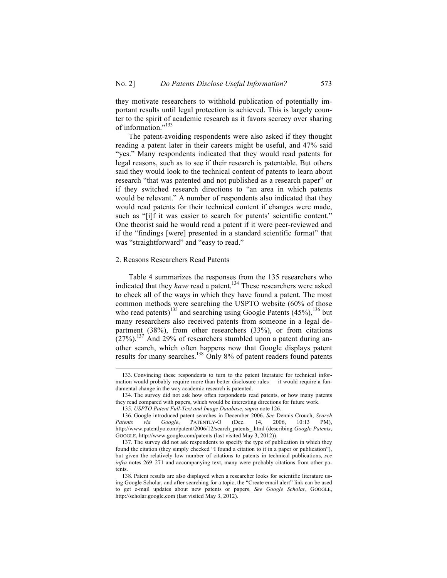they motivate researchers to withhold publication of potentially important results until legal protection is achieved. This is largely counter to the spirit of academic research as it favors secrecy over sharing of information."<sup>133</sup>

The patent-avoiding respondents were also asked if they thought reading a patent later in their careers might be useful, and 47% said "yes." Many respondents indicated that they would read patents for legal reasons, such as to see if their research is patentable. But others said they would look to the technical content of patents to learn about research "that was patented and not published as a research paper" or if they switched research directions to "an area in which patents would be relevant." A number of respondents also indicated that they would read patents for their technical content if changes were made, such as "[i]f it was easier to search for patents' scientific content." One theorist said he would read a patent if it were peer-reviewed and if the "findings [were] presented in a standard scientific format" that was "straightforward" and "easy to read."

#### 2. Reasons Researchers Read Patents

Table 4 summarizes the responses from the 135 researchers who indicated that they *have* read a patent.<sup>134</sup> These researchers were asked to check all of the ways in which they have found a patent. The most common methods were searching the USPTO website (60% of those who read patents)<sup>135</sup> and searching using Google Patents  $(45\%)$ , <sup>136</sup> but many researchers also received patents from someone in a legal department (38%), from other researchers (33%), or from citations  $(27%)$ .<sup>137</sup> And 29% of researchers stumbled upon a patent during another search, which often happens now that Google displays patent results for many searches.138 Only 8% of patent readers found patents

 <sup>133.</sup> Convincing these respondents to turn to the patent literature for technical information would probably require more than better disclosure rules — it would require a fundamental change in the way academic research is patented.

<sup>134.</sup> The survey did not ask how often respondents read patents, or how many patents they read compared with papers, which would be interesting directions for future work.

<sup>135.</sup> *USPTO Patent Full-Text and Image Database*, *supra* note 126.

<sup>136.</sup> Google introduced patent searches in December 2006. *See* Dennis Crouch, *Search Patents via Google*, PATENTLY-O (Dec. 14, 2006, 10:13 PM), http://www.patentlyo.com/patent/2006/12/search\_patents\_.html (describing *Google Patents*, GOOGLE, http://www.google.com/patents (last visited May 3, 2012)).

<sup>137.</sup> The survey did not ask respondents to specify the type of publication in which they found the citation (they simply checked "I found a citation to it in a paper or publication"), but given the relatively low number of citations to patents in technical publications, *see infra* notes 269–271 and accompanying text, many were probably citations from other patents.

<sup>138.</sup> Patent results are also displayed when a researcher looks for scientific literature using Google Scholar, and after searching for a topic, the "Create email alert" link can be used to get e-mail updates about new patents or papers. *See Google Scholar*, GOOGLE, http://scholar.google.com (last visited May 3, 2012).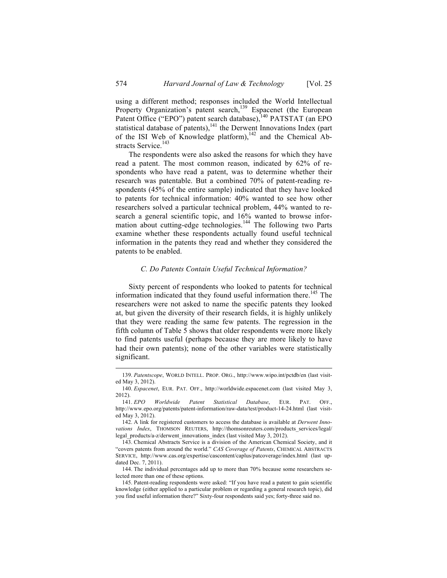using a different method; responses included the World Intellectual Property Organization's patent search,<sup>139</sup> Espacenet (the European Patent Office ("EPO") patent search database),<sup>140</sup> PATSTAT (an EPO statistical database of patents), $141$  the Derwent Innovations Index (part of the ISI Web of Knowledge platform), $142$  and the Chemical Abstracts Service.<sup>143</sup>

The respondents were also asked the reasons for which they have read a patent. The most common reason, indicated by 62% of respondents who have read a patent, was to determine whether their research was patentable. But a combined 70% of patent-reading respondents (45% of the entire sample) indicated that they have looked to patents for technical information: 40% wanted to see how other researchers solved a particular technical problem, 44% wanted to research a general scientific topic, and 16% wanted to browse information about cutting-edge technologies.<sup>144</sup> The following two Parts examine whether these respondents actually found useful technical information in the patents they read and whether they considered the patents to be enabled.

### *C. Do Patents Contain Useful Technical Information?*

Sixty percent of respondents who looked to patents for technical information indicated that they found useful information there.<sup>145</sup> The researchers were not asked to name the specific patents they looked at, but given the diversity of their research fields, it is highly unlikely that they were reading the same few patents. The regression in the fifth column of Table 5 shows that older respondents were more likely to find patents useful (perhaps because they are more likely to have had their own patents); none of the other variables were statistically significant.

 <sup>139.</sup> *Patentscope*, WORLD INTELL. PROP. ORG., http://www.wipo.int/pctdb/en (last visited May 3, 2012).

<sup>140.</sup> *Espacenet*, EUR. PAT. OFF., http://worldwide.espacenet.com (last visited May 3, 2012).

<sup>141.</sup> *EPO Worldwide Patent Statistical Database*, EUR. PAT. OFF., http://www.epo.org/patents/patent-information/raw-data/test/product-14-24.html (last visited May 3, 2012).

<sup>142.</sup> A link for registered customers to access the database is available at *Derwent Innovations Index*, THOMSON REUTERS, http://thomsonreuters.com/products\_services/legal/ legal\_products/a-z/derwent\_innovations\_index (last visited May 3, 2012).

<sup>143.</sup> Chemical Abstracts Service is a division of the American Chemical Society, and it "covers patents from around the world." *CAS Coverage of Patents*, CHEMICAL ABSTRACTS SERVICE, http://www.cas.org/expertise/cascontent/caplus/patcoverage/index.html (last updated Dec. 7, 2011).

<sup>144.</sup> The individual percentages add up to more than 70% because some researchers selected more than one of these options.

<sup>145.</sup> Patent-reading respondents were asked: "If you have read a patent to gain scientific knowledge (either applied to a particular problem or regarding a general research topic), did you find useful information there?" Sixty-four respondents said yes; forty-three said no.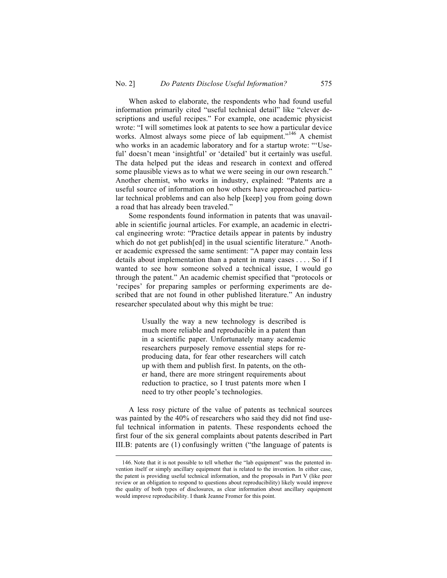When asked to elaborate, the respondents who had found useful information primarily cited "useful technical detail" like "clever descriptions and useful recipes." For example, one academic physicist wrote: "I will sometimes look at patents to see how a particular device works. Almost always some piece of lab equipment."<sup>146</sup> A chemist who works in an academic laboratory and for a startup wrote: "'Useful' doesn't mean 'insightful' or 'detailed' but it certainly was useful. The data helped put the ideas and research in context and offered some plausible views as to what we were seeing in our own research." Another chemist, who works in industry, explained: "Patents are a useful source of information on how others have approached particular technical problems and can also help [keep] you from going down a road that has already been traveled."

Some respondents found information in patents that was unavailable in scientific journal articles. For example, an academic in electrical engineering wrote: "Practice details appear in patents by industry which do not get publish [ed] in the usual scientific literature." Another academic expressed the same sentiment: "A paper may contain less details about implementation than a patent in many cases . . . . So if I wanted to see how someone solved a technical issue, I would go through the patent." An academic chemist specified that "protocols or 'recipes' for preparing samples or performing experiments are described that are not found in other published literature." An industry researcher speculated about why this might be true:

> Usually the way a new technology is described is much more reliable and reproducible in a patent than in a scientific paper. Unfortunately many academic researchers purposely remove essential steps for reproducing data, for fear other researchers will catch up with them and publish first. In patents, on the other hand, there are more stringent requirements about reduction to practice, so I trust patents more when I need to try other people's technologies.

A less rosy picture of the value of patents as technical sources was painted by the 40% of researchers who said they did not find useful technical information in patents. These respondents echoed the first four of the six general complaints about patents described in Part III.B: patents are (1) confusingly written ("the language of patents is

 <sup>146.</sup> Note that it is not possible to tell whether the "lab equipment" was the patented invention itself or simply ancillary equipment that is related to the invention. In either case, the patent is providing useful technical information, and the proposals in Part V (like peer review or an obligation to respond to questions about reproducibility) likely would improve the quality of both types of disclosures, as clear information about ancillary equipment would improve reproducibility. I thank Jeanne Fromer for this point.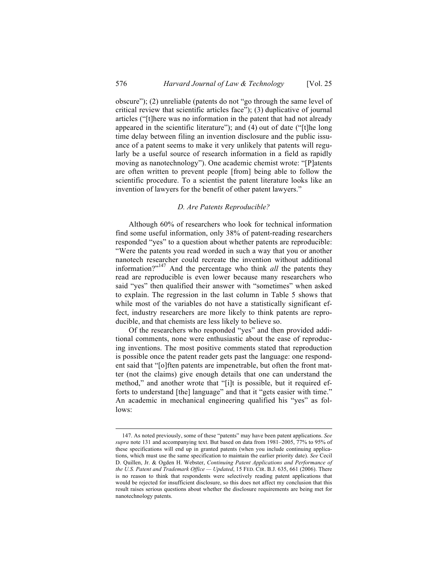obscure"); (2) unreliable (patents do not "go through the same level of critical review that scientific articles face"); (3) duplicative of journal articles ("[t]here was no information in the patent that had not already appeared in the scientific literature"); and (4) out of date ("[t]he long time delay between filing an invention disclosure and the public issuance of a patent seems to make it very unlikely that patents will regularly be a useful source of research information in a field as rapidly moving as nanotechnology"). One academic chemist wrote: "[P]atents are often written to prevent people [from] being able to follow the scientific procedure. To a scientist the patent literature looks like an invention of lawyers for the benefit of other patent lawyers."

#### *D. Are Patents Reproducible?*

Although 60% of researchers who look for technical information find some useful information, only 38% of patent-reading researchers responded "yes" to a question about whether patents are reproducible: "Were the patents you read worded in such a way that you or another nanotech researcher could recreate the invention without additional information?" <sup>147</sup> And the percentage who think *all* the patents they read are reproducible is even lower because many researchers who said "yes" then qualified their answer with "sometimes" when asked to explain. The regression in the last column in Table 5 shows that while most of the variables do not have a statistically significant effect, industry researchers are more likely to think patents are reproducible, and that chemists are less likely to believe so.

Of the researchers who responded "yes" and then provided additional comments, none were enthusiastic about the ease of reproducing inventions. The most positive comments stated that reproduction is possible once the patent reader gets past the language: one respondent said that "[o]ften patents are impenetrable, but often the front matter (not the claims) give enough details that one can understand the method," and another wrote that "[i]t is possible, but it required efforts to understand [the] language" and that it "gets easier with time." An academic in mechanical engineering qualified his "yes" as follows:

 <sup>147.</sup> As noted previously, some of these "patents" may have been patent applications. *See supra* note 131 and accompanying text. But based on data from 1981–2005, 77% to 95% of these specifications will end up in granted patents (when you include continuing applications, which must use the same specification to maintain the earlier priority date). *See* Cecil D. Quillen, Jr. & Ogden H. Webster, *Continuing Patent Applications and Performance of the U.S. Patent and Trademark Office — Updated*, 15 FED. CIR. B.J. 635, 661 (2006). There is no reason to think that respondents were selectively reading patent applications that would be rejected for insufficient disclosure, so this does not affect my conclusion that this result raises serious questions about whether the disclosure requirements are being met for nanotechnology patents.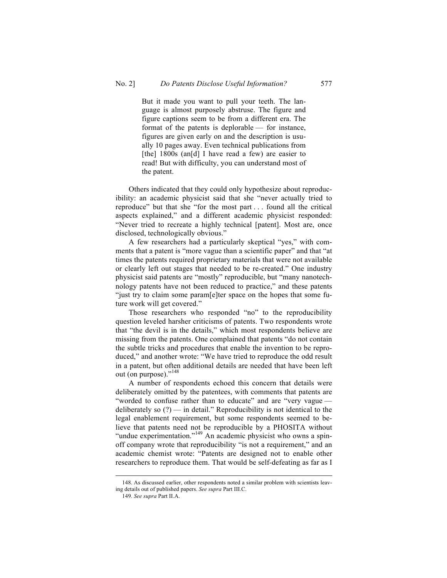But it made you want to pull your teeth. The language is almost purposely abstruse. The figure and figure captions seem to be from a different era. The format of the patents is deplorable — for instance, figures are given early on and the description is usually 10 pages away. Even technical publications from [the] 1800s (an[d] I have read a few) are easier to read! But with difficulty, you can understand most of the patent.

Others indicated that they could only hypothesize about reproducibility: an academic physicist said that she "never actually tried to reproduce" but that she "for the most part . . . found all the critical aspects explained," and a different academic physicist responded: "Never tried to recreate a highly technical [patent]. Most are, once disclosed, technologically obvious."

A few researchers had a particularly skeptical "yes," with comments that a patent is "more vague than a scientific paper" and that "at times the patents required proprietary materials that were not available or clearly left out stages that needed to be re-created." One industry physicist said patents are "mostly" reproducible, but "many nanotechnology patents have not been reduced to practice," and these patents "just try to claim some param[e]ter space on the hopes that some future work will get covered."

Those researchers who responded "no" to the reproducibility question leveled harsher criticisms of patents. Two respondents wrote that "the devil is in the details," which most respondents believe are missing from the patents. One complained that patents "do not contain the subtle tricks and procedures that enable the invention to be reproduced," and another wrote: "We have tried to reproduce the odd result in a patent, but often additional details are needed that have been left out (on purpose)."<sup>148</sup>

A number of respondents echoed this concern that details were deliberately omitted by the patentees, with comments that patents are "worded to confuse rather than to educate" and are "very vague deliberately so  $(?)$  — in detail." Reproducibility is not identical to the legal enablement requirement, but some respondents seemed to believe that patents need not be reproducible by a PHOSITA without "undue experimentation."<sup>149</sup> An academic physicist who owns a spinoff company wrote that reproducibility "is not a requirement," and an academic chemist wrote: "Patents are designed not to enable other researchers to reproduce them. That would be self-defeating as far as I

 <sup>148.</sup> As discussed earlier, other respondents noted a similar problem with scientists leaving details out of published papers. *See supra* Part III.C.

<sup>149.</sup> *See supra* Part II.A.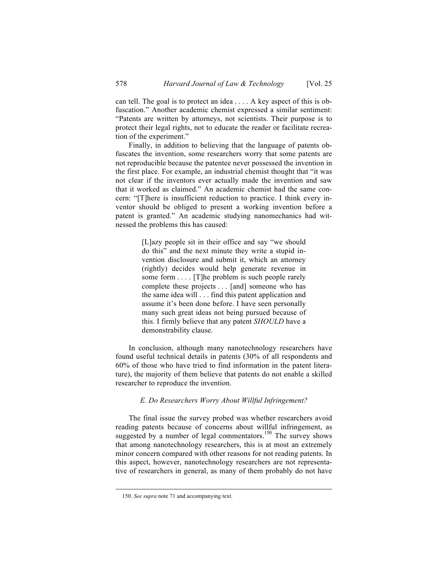can tell. The goal is to protect an idea . . . . A key aspect of this is obfuscation." Another academic chemist expressed a similar sentiment: "Patents are written by attorneys, not scientists. Their purpose is to protect their legal rights, not to educate the reader or facilitate recreation of the experiment."

Finally, in addition to believing that the language of patents obfuscates the invention, some researchers worry that some patents are not reproducible because the patentee never possessed the invention in the first place. For example, an industrial chemist thought that "it was not clear if the inventors ever actually made the invention and saw that it worked as claimed." An academic chemist had the same concern: "[T]here is insufficient reduction to practice. I think every inventor should be obliged to present a working invention before a patent is granted." An academic studying nanomechanics had witnessed the problems this has caused:

> [L]azy people sit in their office and say "we should do this" and the next minute they write a stupid invention disclosure and submit it, which an attorney (rightly) decides would help generate revenue in some form .... [T]he problem is such people rarely complete these projects . . . [and] someone who has the same idea will . . . find this patent application and assume it's been done before. I have seen personally many such great ideas not being pursued because of this. I firmly believe that any patent *SHOULD* have a demonstrability clause.

In conclusion, although many nanotechnology researchers have found useful technical details in patents (30% of all respondents and 60% of those who have tried to find information in the patent literature), the majority of them believe that patents do not enable a skilled researcher to reproduce the invention.

### *E. Do Researchers Worry About Willful Infringement?*

The final issue the survey probed was whether researchers avoid reading patents because of concerns about willful infringement, as suggested by a number of legal commentators.<sup>150</sup> The survey shows that among nanotechnology researchers, this is at most an extremely minor concern compared with other reasons for not reading patents. In this aspect, however, nanotechnology researchers are not representative of researchers in general, as many of them probably do not have

 <sup>150.</sup> *See supra* note 71 and accompanying text.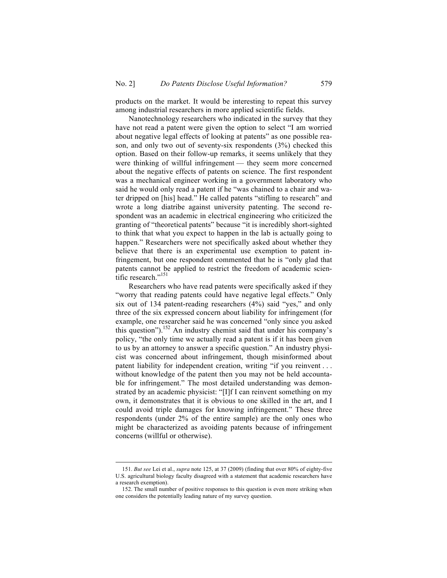products on the market. It would be interesting to repeat this survey among industrial researchers in more applied scientific fields.

Nanotechnology researchers who indicated in the survey that they have not read a patent were given the option to select "I am worried about negative legal effects of looking at patents" as one possible reason, and only two out of seventy-six respondents (3%) checked this option. Based on their follow-up remarks, it seems unlikely that they were thinking of willful infringement — they seem more concerned about the negative effects of patents on science. The first respondent was a mechanical engineer working in a government laboratory who said he would only read a patent if he "was chained to a chair and water dripped on [his] head." He called patents "stifling to research" and wrote a long diatribe against university patenting. The second respondent was an academic in electrical engineering who criticized the granting of "theoretical patents" because "it is incredibly short-sighted to think that what you expect to happen in the lab is actually going to happen." Researchers were not specifically asked about whether they believe that there is an experimental use exemption to patent infringement, but one respondent commented that he is "only glad that patents cannot be applied to restrict the freedom of academic scientific research."<sup>151</sup>

Researchers who have read patents were specifically asked if they "worry that reading patents could have negative legal effects." Only six out of 134 patent-reading researchers (4%) said "yes," and only three of the six expressed concern about liability for infringement (for example, one researcher said he was concerned "only since you asked this question").<sup>152</sup> An industry chemist said that under his company's policy, "the only time we actually read a patent is if it has been given to us by an attorney to answer a specific question." An industry physicist was concerned about infringement, though misinformed about patent liability for independent creation, writing "if you reinvent . . . without knowledge of the patent then you may not be held accountable for infringement." The most detailed understanding was demonstrated by an academic physicist: "[I]f I can reinvent something on my own, it demonstrates that it is obvious to one skilled in the art, and I could avoid triple damages for knowing infringement." These three respondents (under 2% of the entire sample) are the only ones who might be characterized as avoiding patents because of infringement concerns (willful or otherwise).

 <sup>151.</sup> *But see* Lei et al., *supra* note 125, at 37 (2009) (finding that over 80% of eighty-five U.S. agricultural biology faculty disagreed with a statement that academic researchers have a research exemption).

<sup>152.</sup> The small number of positive responses to this question is even more striking when one considers the potentially leading nature of my survey question.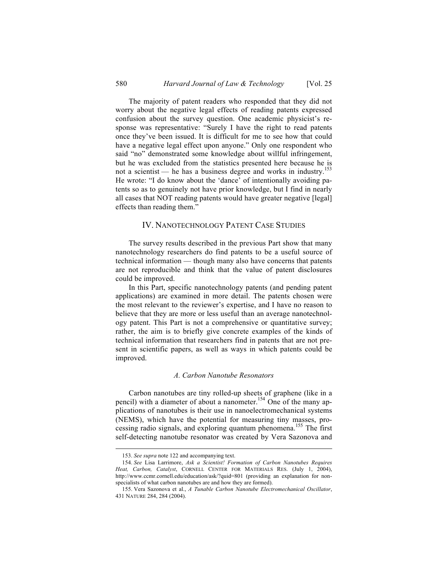The majority of patent readers who responded that they did not worry about the negative legal effects of reading patents expressed confusion about the survey question. One academic physicist's response was representative: "Surely I have the right to read patents once they've been issued. It is difficult for me to see how that could have a negative legal effect upon anyone." Only one respondent who said "no" demonstrated some knowledge about willful infringement, but he was excluded from the statistics presented here because he is not a scientist — he has a business degree and works in industry.<sup>153</sup> He wrote: "I do know about the 'dance' of intentionally avoiding patents so as to genuinely not have prior knowledge, but I find in nearly all cases that NOT reading patents would have greater negative [legal] effects than reading them."

### IV. NANOTECHNOLOGY PATENT CASE STUDIES

The survey results described in the previous Part show that many nanotechnology researchers do find patents to be a useful source of technical information — though many also have concerns that patents are not reproducible and think that the value of patent disclosures could be improved.

In this Part, specific nanotechnology patents (and pending patent applications) are examined in more detail. The patents chosen were the most relevant to the reviewer's expertise, and I have no reason to believe that they are more or less useful than an average nanotechnology patent. This Part is not a comprehensive or quantitative survey; rather, the aim is to briefly give concrete examples of the kinds of technical information that researchers find in patents that are not present in scientific papers, as well as ways in which patents could be improved.

#### *A. Carbon Nanotube Resonators*

Carbon nanotubes are tiny rolled-up sheets of graphene (like in a pencil) with a diameter of about a nanometer.<sup>154</sup> One of the many applications of nanotubes is their use in nanoelectromechanical systems (NEMS), which have the potential for measuring tiny masses, processing radio signals, and exploring quantum phenomena.<sup>155</sup> The first self-detecting nanotube resonator was created by Vera Sazonova and

 <sup>153.</sup> *See supra* note 122 and accompanying text.

<sup>154.</sup> *See* Lisa Larrimore, *Ask a Scientist! Formation of Carbon Nanotubes Requires Heat, Carbon, Catalyst*, CORNELL CENTER FOR MATERIALS RES. (July 1, 2004), http://www.ccmr.cornell.edu/education/ask/?quid=801 (providing an explanation for nonspecialists of what carbon nanotubes are and how they are formed).

<sup>155.</sup> Vera Sazonova et al., *A Tunable Carbon Nanotube Electromechanical Oscillator*, 431 NATURE 284, 284 (2004).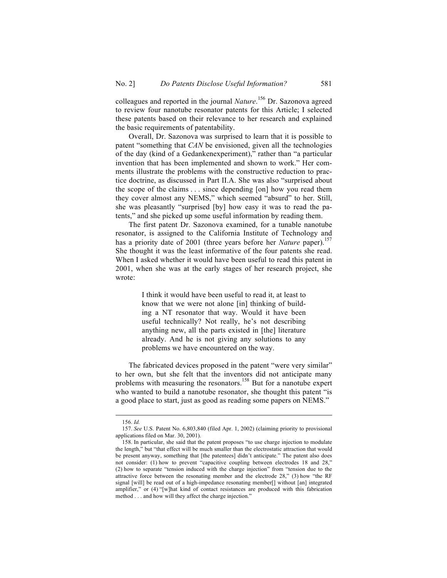colleagues and reported in the journal *Nature*. <sup>156</sup> Dr. Sazonova agreed to review four nanotube resonator patents for this Article; I selected these patents based on their relevance to her research and explained the basic requirements of patentability.

Overall, Dr. Sazonova was surprised to learn that it is possible to patent "something that *CAN* be envisioned, given all the technologies of the day (kind of a Gedankenexperiment)," rather than "a particular invention that has been implemented and shown to work." Her comments illustrate the problems with the constructive reduction to practice doctrine, as discussed in Part II.A. She was also "surprised about the scope of the claims . . . since depending [on] how you read them they cover almost any NEMS," which seemed "absurd" to her. Still, she was pleasantly "surprised [by] how easy it was to read the patents," and she picked up some useful information by reading them.

The first patent Dr. Sazonova examined, for a tunable nanotube resonator, is assigned to the California Institute of Technology and has a priority date of 2001 (three years before her *Nature* paper).<sup>157</sup> She thought it was the least informative of the four patents she read. When I asked whether it would have been useful to read this patent in 2001, when she was at the early stages of her research project, she wrote:

> I think it would have been useful to read it, at least to know that we were not alone [in] thinking of building a NT resonator that way. Would it have been useful technically? Not really, he's not describing anything new, all the parts existed in [the] literature already. And he is not giving any solutions to any problems we have encountered on the way.

The fabricated devices proposed in the patent "were very similar" to her own, but she felt that the inventors did not anticipate many problems with measuring the resonators.<sup>158</sup> But for a nanotube expert who wanted to build a nanotube resonator, she thought this patent "is a good place to start, just as good as reading some papers on NEMS."

 <sup>156.</sup> *Id.*

<sup>157.</sup> *See* U.S. Patent No. 6,803,840 (filed Apr. 1, 2002) (claiming priority to provisional applications filed on Mar. 30, 2001).

<sup>158.</sup> In particular, she said that the patent proposes "to use charge injection to modulate the length," but "that effect will be much smaller than the electrostatic attraction that would be present anyway, something that [the patentees] didn't anticipate." The patent also does not consider: (1) how to prevent "capacitive coupling between electrodes 18 and 28," (2) how to separate "tension induced with the charge injection" from "tension due to the attractive force between the resonating member and the electrode 28," (3) how "the RF signal [will] be read out of a high-impedance resonating member[] without [an] integrated amplifier," or (4) "[w]hat kind of contact resistances are produced with this fabrication method . . . and how will they affect the charge injection."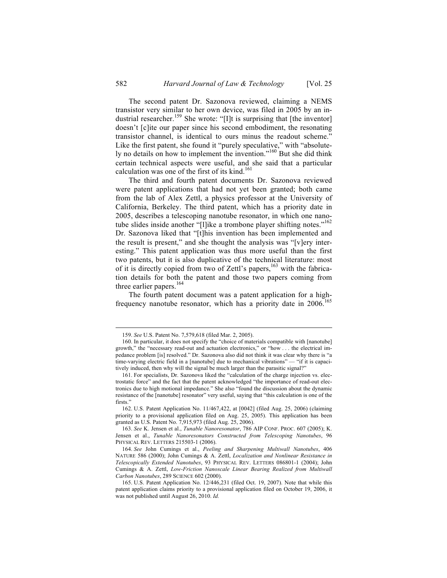The second patent Dr. Sazonova reviewed, claiming a NEMS transistor very similar to her own device, was filed in 2005 by an industrial researcher.<sup>159</sup> She wrote: "[I]t is surprising that [the inventor] doesn't [c]ite our paper since his second embodiment, the resonating transistor channel, is identical to ours minus the readout scheme." Like the first patent, she found it "purely speculative," with "absolutely no details on how to implement the invention."<sup>160</sup> But she did think certain technical aspects were useful, and she said that a particular calculation was one of the first of its kind. $161$ 

The third and fourth patent documents Dr. Sazonova reviewed were patent applications that had not yet been granted; both came from the lab of Alex Zettl, a physics professor at the University of California, Berkeley. The third patent, which has a priority date in 2005, describes a telescoping nanotube resonator, in which one nanotube slides inside another "[l]ike a trombone player shifting notes."<sup>162</sup> Dr. Sazonova liked that "[t]his invention has been implemented and the result is present," and she thought the analysis was "[v]ery interesting." This patent application was thus more useful than the first two patents, but it is also duplicative of the technical literature: most of it is directly copied from two of Zettl's papers,<sup>163</sup> with the fabrication details for both the patent and those two papers coming from three earlier papers.<sup>164</sup>

The fourth patent document was a patent application for a highfrequency nanotube resonator, which has a priority date in  $2006$ .<sup>165</sup>

 <sup>159.</sup> *See* U.S. Patent No. 7,579,618 (filed Mar. 2, 2005).

<sup>160.</sup> In particular, it does not specify the "choice of materials compatible with [nanotube] growth," the "necessary read-out and actuation electronics," or "how . . . the electrical impedance problem [is] resolved." Dr. Sazonova also did not think it was clear why there is "a time-varying electric field in a [nanotube] due to mechanical vibrations" — "if it is capacitively induced, then why will the signal be much larger than the parasitic signal?"

<sup>161.</sup> For specialists, Dr. Sazonova liked the "calculation of the charge injection vs. electrostatic force" and the fact that the patent acknowledged "the importance of read-out electronics due to high motional impedance." She also "found the discussion about the dynamic resistance of the [nanotube] resonator" very useful, saying that "this calculation is one of the firsts.'

<sup>162.</sup> U.S. Patent Application No. 11/467,422, at [0042] (filed Aug. 25, 2006) (claiming priority to a provisional application filed on Aug. 25, 2005). This application has been granted as U.S. Patent No. 7,915,973 (filed Aug. 25, 2006).

<sup>163.</sup> *See* K. Jensen et al., *Tunable Nanoresonator*, 786 AIP CONF. PROC. 607 (2005); K. Jensen et al., *Tunable Nanoresonators Constructed from Telescoping Nanotubes*, 96 PHYSICAL REV. LETTERS 215503-1 (2006).

<sup>164.</sup> *See* John Cumings et al., *Peeling and Sharpening Multiwall Nanotubes*, 406 NATURE 586 (2000); John Cumings & A. Zettl, *Localization and Nonlinear Resistance in Telescopically Extended Nanotubes*, 93 PHYSICAL REV. LETTERS 086801-1 (2004); John Cumings & A. Zettl, *Low-Friction Nanoscale Linear Bearing Realized from Multiwall Carbon Nanotubes*, 289 SCIENCE 602 (2000).

<sup>165.</sup> U.S. Patent Application No. 12/446,231 (filed Oct. 19, 2007). Note that while this patent application claims priority to a provisional application filed on October 19, 2006, it was not published until August 26, 2010. *Id.*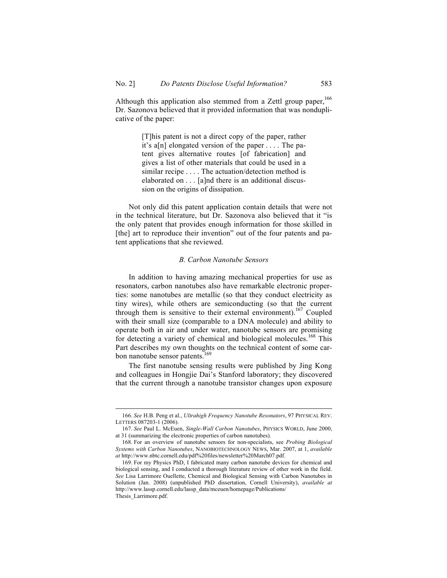Although this application also stemmed from a Zettl group paper,<sup>166</sup> Dr. Sazonova believed that it provided information that was nonduplicative of the paper:

> [T]his patent is not a direct copy of the paper, rather it's a[n] elongated version of the paper  $\dots$ . The patent gives alternative routes [of fabrication] and gives a list of other materials that could be used in a similar recipe . . . . The actuation/detection method is elaborated on . . . [a]nd there is an additional discussion on the origins of dissipation.

Not only did this patent application contain details that were not in the technical literature, but Dr. Sazonova also believed that it "is the only patent that provides enough information for those skilled in [the] art to reproduce their invention" out of the four patents and patent applications that she reviewed.

#### *B. Carbon Nanotube Sensors*

In addition to having amazing mechanical properties for use as resonators, carbon nanotubes also have remarkable electronic properties: some nanotubes are metallic (so that they conduct electricity as tiny wires), while others are semiconducting (so that the current through them is sensitive to their external environment).<sup>167</sup> Coupled with their small size (comparable to a DNA molecule) and ability to operate both in air and under water, nanotube sensors are promising for detecting a variety of chemical and biological molecules.<sup>168</sup> This Part describes my own thoughts on the technical content of some carbon nanotube sensor patents.<sup>169</sup>

The first nanotube sensing results were published by Jing Kong and colleagues in Hongjie Dai's Stanford laboratory; they discovered that the current through a nanotube transistor changes upon exposure

 <sup>166.</sup> *See* H.B. Peng et al., *Ultrahigh Frequency Nanotube Resonators*, 97 PHYSICAL REV. LETTERS 087203-1 (2006).

<sup>167.</sup> *See* Paul L. McEuen, *Single-Wall Carbon Nanotubes*, PHYSICS WORLD, June 2000, at 31 (summarizing the electronic properties of carbon nanotubes).

<sup>168.</sup> For an overview of nanotube sensors for non-specialists, see *Probing Biological Systems with Carbon Nanotubes*, NANOBIOTECHNOLOGY NEWS, Mar. 2007, at 1, *available at* http://www.nbtc.cornell.edu/pdf%20files/newsletter%20March07.pdf.

<sup>169.</sup> For my Physics PhD, I fabricated many carbon nanotube devices for chemical and biological sensing, and I conducted a thorough literature review of other work in the field. *See* Lisa Larrimore Ouellette, Chemical and Biological Sensing with Carbon Nanotubes in Solution (Jan. 2008) (unpublished PhD dissertation, Cornell University), *available at* http://www.lassp.cornell.edu/lassp\_data/mceuen/homepage/Publications/ Thesis\_Larrimore.pdf.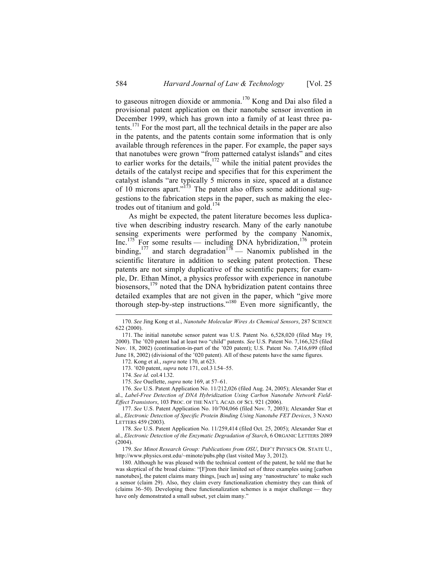to gaseous nitrogen dioxide or ammonia.<sup>170</sup> Kong and Dai also filed a provisional patent application on their nanotube sensor invention in December 1999, which has grown into a family of at least three patents.<sup>171</sup> For the most part, all the technical details in the paper are also in the patents, and the patents contain some information that is only available through references in the paper. For example, the paper says that nanotubes were grown "from patterned catalyst islands" and cites to earlier works for the details,<sup>172</sup> while the initial patent provides the details of the catalyst recipe and specifies that for this experiment the catalyst islands "are typically 5 microns in size, spaced at a distance of 10 microns apart." $\frac{1}{2}$  The patent also offers some additional suggestions to the fabrication steps in the paper, such as making the electrodes out of titanium and gold. $174$ 

As might be expected, the patent literature becomes less duplicative when describing industry research. Many of the early nanotube sensing experiments were performed by the company Nanomix,  $Inc.<sup>175</sup>$  For some results — including DNA hybridization,<sup>176</sup> protein binding, <sup>177</sup> and starch degradation<sup>178</sup> — Nanomix published in the scientific literature in addition to seeking patent protection. These patents are not simply duplicative of the scientific papers; for example, Dr. Ethan Minot, a physics professor with experience in nanotube biosensors,<sup>179</sup> noted that the DNA hybridization patent contains three detailed examples that are not given in the paper, which "give more thorough step-by-step instructions."<sup>180</sup> Even more significantly, the

173. '020 patent, *supra* note 171, col.3 l.54–55.

176. *See* U.S. Patent Application No. 11/212,026 (filed Aug. 24, 2005); Alexander Star et al., *Label-Free Detection of DNA Hybridization Using Carbon Nanotube Network Field-Effect Transistors*, 103 PROC. OF THE NAT'L ACAD. OF SCI. 921 (2006).

177. *See* U.S. Patent Application No. 10/704,066 (filed Nov. 7, 2003); Alexander Star et al., *Electronic Detection of Specific Protein Binding Using Nanotube FET Devices*, 3 NANO LETTERS 459 (2003).

178. *See* U.S. Patent Application No. 11/259,414 (filed Oct. 25, 2005); Alexander Star et al., *Electronic Detection of the Enzymatic Degradation of Starch*, 6 ORGANIC LETTERS 2089 (2004).

179. *See Minot Research Group: Publications from OSU*, DEP'T PHYSICS OR. STATE U., http://www.physics.orst.edu/~minote/pubs.php (last visited May 3, 2012).

180. Although he was pleased with the technical content of the patent, he told me that he was skeptical of the broad claims: "[F]rom their limited set of three examples using [carbon nanotubes], the patent claims many things, [such as] using any 'nanostructure' to make such a sensor (claim 29). Also, they claim every functionalization chemistry they can think of (claims 36–50). Developing these functionalization schemes is a major challenge — they have only demonstrated a small subset, yet claim many."

 <sup>170.</sup> *See* Jing Kong et al., *Nanotube Molecular Wires As Chemical Sensors*, 287 SCIENCE 622 (2000).

<sup>171.</sup> The initial nanotube sensor patent was U.S. Patent No. 6,528,020 (filed May 19, 2000). The '020 patent had at least two "child" patents. *See* U.S. Patent No. 7,166,325 (filed Nov. 18, 2002) (continuation-in-part of the '020 patent); U.S. Patent No. 7,416,699 (filed June 18, 2002) (divisional of the '020 patent). All of these patents have the same figures.

<sup>172.</sup> Kong et al., *supra* note 170, at 623.

<sup>174.</sup> *See id.* col.4 l.32.

<sup>175.</sup> *See* Ouellette, *supra* note 169, at 57–61.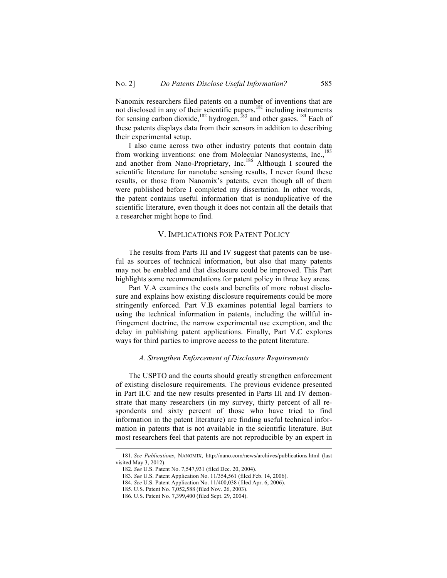Nanomix researchers filed patents on a number of inventions that are not disclosed in any of their scientific papers, $181$  including instruments for sensing carbon dioxide,<sup>182</sup> hydrogen,<sup>183</sup> and other gases.<sup>184</sup> Each of these patents displays data from their sensors in addition to describing their experimental setup.

I also came across two other industry patents that contain data from working inventions: one from Molecular Nanosystems, Inc.,<sup>185</sup> and another from Nano-Proprietary, Inc.186 Although I scoured the scientific literature for nanotube sensing results, I never found these results, or those from Nanomix's patents, even though all of them were published before I completed my dissertation. In other words, the patent contains useful information that is nonduplicative of the scientific literature, even though it does not contain all the details that a researcher might hope to find.

### V. IMPLICATIONS FOR PATENT POLICY

The results from Parts III and IV suggest that patents can be useful as sources of technical information, but also that many patents may not be enabled and that disclosure could be improved. This Part highlights some recommendations for patent policy in three key areas.

Part V.A examines the costs and benefits of more robust disclosure and explains how existing disclosure requirements could be more stringently enforced. Part V.B examines potential legal barriers to using the technical information in patents, including the willful infringement doctrine, the narrow experimental use exemption, and the delay in publishing patent applications. Finally, Part V.C explores ways for third parties to improve access to the patent literature.

#### *A. Strengthen Enforcement of Disclosure Requirements*

The USPTO and the courts should greatly strengthen enforcement of existing disclosure requirements. The previous evidence presented in Part II.C and the new results presented in Parts III and IV demonstrate that many researchers (in my survey, thirty percent of all respondents and sixty percent of those who have tried to find information in the patent literature) are finding useful technical information in patents that is not available in the scientific literature. But most researchers feel that patents are not reproducible by an expert in

 <sup>181.</sup> *See Publications*, NANOMIX, http://nano.com/news/archives/publications.html (last visited May 3, 2012).

<sup>182.</sup> *See* U.S. Patent No. 7,547,931 (filed Dec. 20, 2004).

<sup>183.</sup> *See* U.S. Patent Application No. 11/354,561 (filed Feb. 14, 2006).

<sup>184.</sup> *See* U.S. Patent Application No. 11/400,038 (filed Apr. 6, 2006).

<sup>185.</sup> U.S. Patent No. 7,052,588 (filed Nov. 26, 2003).

<sup>186.</sup> U.S. Patent No. 7,399,400 (filed Sept. 29, 2004).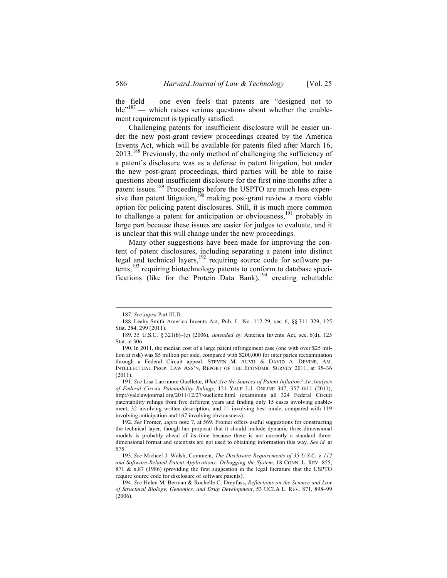the field — one even feels that patents are "designed not to ble<sup>"187</sup> — which raises serious questions about whether the enablement requirement is typically satisfied.

Challenging patents for insufficient disclosure will be easier under the new post-grant review proceedings created by the America Invents Act, which will be available for patents filed after March 16, 2013.<sup>188</sup> Previously, the only method of challenging the sufficiency of a patent's disclosure was as a defense in patent litigation, but under the new post-grant proceedings, third parties will be able to raise questions about insufficient disclosure for the first nine months after a patent issues.<sup>189</sup> Proceedings before the USPTO are much less expensive than patent litigation,<sup>190</sup> making post-grant review a more viable option for policing patent disclosures. Still, it is much more common to challenge a patent for anticipation or obviousness, $191$  probably in large part because these issues are easier for judges to evaluate, and it is unclear that this will change under the new proceedings.

Many other suggestions have been made for improving the content of patent disclosures, including separating a patent into distinct legal and technical layers,  $192$  requiring source code for software patents, $193$  requiring biotechnology patents to conform to database specifications (like for the Protein Data Bank), $194$  creating rebuttable

191. *See* Lisa Larrimore Ouellette, *What Are the Sources of Patent Inflation? An Analysis of Federal Circuit Patentability Rulings*, 121 YALE L.J. ONLINE 347, 357 tbl.1 (2011), http://yalelawjournal.org/2011/12/27/ouellette.html (examining all 324 Federal Circuit patentability rulings from five different years and finding only 15 cases involving enablement, 32 involving written description, and 11 involving best mode, compared with 119 involving anticipation and 167 involving obviousness).

 <sup>187.</sup> *See supra* Part III.D.

<sup>188.</sup> Leahy-Smith America Invents Act, Pub. L. No. 112-29, sec. 6, §§ 311–329, 125 Stat. 284, 299 (2011).

<sup>189.</sup> 35 U.S.C. § 321(b)–(c) (2006), *amended by* America Invents Act, sec. 6(d), 125 Stat. at 306.

<sup>190.</sup> In 2011, the median cost of a large patent infringement case (one with over \$25 million at risk) was \$5 million per side, compared with \$200,000 for inter partes reexamination through a Federal Circuit appeal. STEVEN M. AUVIL & DAVID A. DEVINE, AM. INTELLECTUAL PROP. LAW ASS'N, REPORT OF THE ECONOMIC SURVEY 2011, at 35–36 (2011).

<sup>192.</sup> *See* Fromer, *supra* note 7, at 569. Fromer offers useful suggestions for constructing the technical layer, though her proposal that it should include dynamic three-dimensional models is probably ahead of its time because there is not currently a standard threedimensional format and scientists are not used to obtaining information this way. *See id.* at 575.

<sup>193.</sup> *See* Michael J. Walsh, Comment, *The Disclosure Requirements of 35 U.S.C. § 112 and Software-Related Patent Applications: Debugging the System*, 18 CONN. L. REV. 855, 871  $\&$  n.87 (1986) (providing the first suggestion in the legal literature that the USPTO require source code for disclosure of software patents).

<sup>194.</sup> *See* Helen M. Berman & Rochelle C. Dreyfuss, *Reflections on the Science and Law of Structural Biology, Genomics, and Drug Development*, 53 UCLA L. REV. 871, 898–99  $(2006)$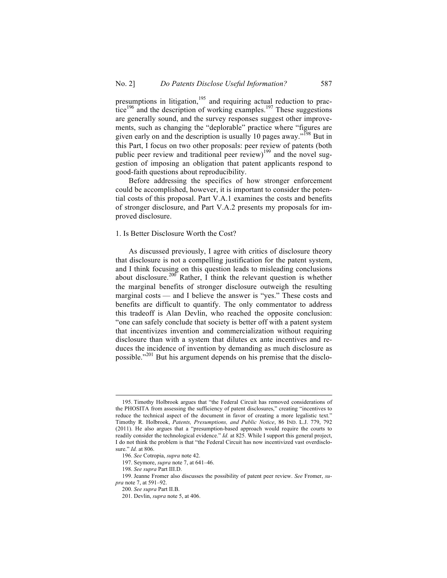presumptions in litigation,  $195$  and requiring actual reduction to prac- $\frac{1}{2}$  tice<sup>196</sup> and the description of working examples.<sup>197</sup> These suggestions are generally sound, and the survey responses suggest other improvements, such as changing the "deplorable" practice where "figures are given early on and the description is usually 10 pages away."<sup>198</sup> But in this Part, I focus on two other proposals: peer review of patents (both public peer review and traditional peer review)<sup>199</sup> and the novel suggestion of imposing an obligation that patent applicants respond to good-faith questions about reproducibility.

Before addressing the specifics of how stronger enforcement could be accomplished, however, it is important to consider the potential costs of this proposal. Part V.A.1 examines the costs and benefits of stronger disclosure, and Part V.A.2 presents my proposals for improved disclosure.

### 1. Is Better Disclosure Worth the Cost?

As discussed previously, I agree with critics of disclosure theory that disclosure is not a compelling justification for the patent system, and I think focusing on this question leads to misleading conclusions about disclosure.<sup>200</sup> Rather, I think the relevant question is whether the marginal benefits of stronger disclosure outweigh the resulting marginal costs — and I believe the answer is "yes." These costs and benefits are difficult to quantify. The only commentator to address this tradeoff is Alan Devlin, who reached the opposite conclusion: "one can safely conclude that society is better off with a patent system that incentivizes invention and commercialization without requiring disclosure than with a system that dilutes ex ante incentives and reduces the incidence of invention by demanding as much disclosure as possible."<sup>201</sup> But his argument depends on his premise that the disclo-

 <sup>195.</sup> Timothy Holbrook argues that "the Federal Circuit has removed considerations of the PHOSITA from assessing the sufficiency of patent disclosures," creating "incentives to reduce the technical aspect of the document in favor of creating a more legalistic text." Timothy R. Holbrook, *Patents, Presumptions, and Public Notice*, 86 IND. L.J. 779, 792 (2011). He also argues that a "presumption-based approach would require the courts to readily consider the technological evidence." *Id.* at 825. While I support this general project, I do not think the problem is that "the Federal Circuit has now incentivized vast overdisclosure." *Id.* at 806.

<sup>196.</sup> *See* Cotropia, *supra* note 42.

<sup>197.</sup> Seymore, *supra* note 7, at 641–46.

<sup>198.</sup> *See supra* Part III.D.

<sup>199.</sup> Jeanne Fromer also discusses the possibility of patent peer review. *See* Fromer, *supra* note 7, at 591–92.

<sup>200.</sup> *See supra* Part II.B.

<sup>201.</sup> Devlin, *supra* note 5, at 406.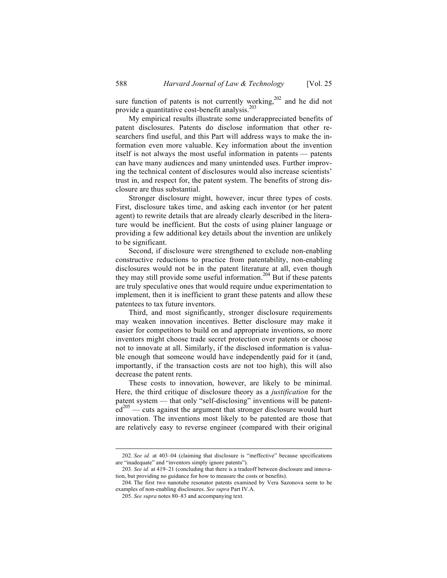sure function of patents is not currently working, $202$  and he did not provide a quantitative cost-benefit analysis.<sup>203</sup>

My empirical results illustrate some underappreciated benefits of patent disclosures. Patents do disclose information that other researchers find useful, and this Part will address ways to make the information even more valuable. Key information about the invention itself is not always the most useful information in patents — patents can have many audiences and many unintended uses. Further improving the technical content of disclosures would also increase scientists' trust in, and respect for, the patent system. The benefits of strong disclosure are thus substantial.

Stronger disclosure might, however, incur three types of costs. First, disclosure takes time, and asking each inventor (or her patent agent) to rewrite details that are already clearly described in the literature would be inefficient. But the costs of using plainer language or providing a few additional key details about the invention are unlikely to be significant.

Second, if disclosure were strengthened to exclude non-enabling constructive reductions to practice from patentability, non-enabling disclosures would not be in the patent literature at all, even though they may still provide some useful information. <sup>204</sup> But if these patents are truly speculative ones that would require undue experimentation to implement, then it is inefficient to grant these patents and allow these patentees to tax future inventors.

Third, and most significantly, stronger disclosure requirements may weaken innovation incentives. Better disclosure may make it easier for competitors to build on and appropriate inventions, so more inventors might choose trade secret protection over patents or choose not to innovate at all. Similarly, if the disclosed information is valuable enough that someone would have independently paid for it (and, importantly, if the transaction costs are not too high), this will also decrease the patent rents.

These costs to innovation, however, are likely to be minimal. Here, the third critique of disclosure theory as a *justification* for the patent system — that only "self-disclosing" inventions will be patent $ed^{205}$  — cuts against the argument that stronger disclosure would hurt innovation. The inventions most likely to be patented are those that are relatively easy to reverse engineer (compared with their original

 <sup>202.</sup> *See id.* at 403–04 (claiming that disclosure is "ineffective" because specifications are "inadequate" and "inventors simply ignore patents").

<sup>203.</sup> *See id.* at 419–21 (concluding that there is a tradeoff between disclosure and innovation, but providing no guidance for how to measure the costs or benefits).

<sup>204.</sup> The first two nanotube resonator patents examined by Vera Sazonova seem to be examples of non-enabling disclosures. *See supra* Part IV.A.

<sup>205.</sup> *See supra* notes 80–83 and accompanying text.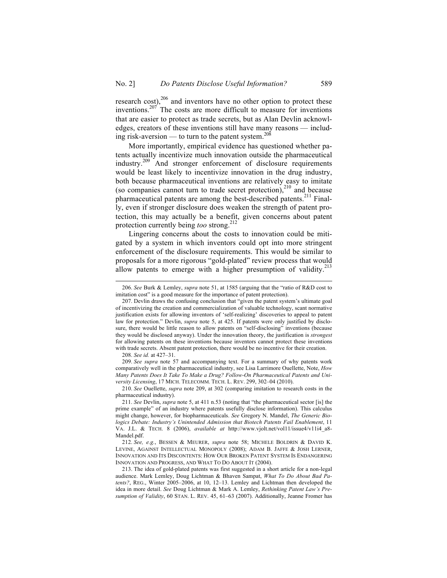research cost), $^{206}$  and inventors have no other option to protect these inventions.<sup>207'</sup> The costs are more difficult to measure for inventions that are easier to protect as trade secrets, but as Alan Devlin acknowledges, creators of these inventions still have many reasons — including risk-aversion — to turn to the patent system.<sup>208</sup>

More importantly, empirical evidence has questioned whether patents actually incentivize much innovation outside the pharmaceutical industry.209 And stronger enforcement of disclosure requirements would be least likely to incentivize innovation in the drug industry, both because pharmaceutical inventions are relatively easy to imitate (so companies cannot turn to trade secret protection), $^{210}$  and because pharmaceutical patents are among the best-described patents.<sup>211</sup> Finally, even if stronger disclosure does weaken the strength of patent protection, this may actually be a benefit, given concerns about patent protection currently being *too* strong.<sup>212</sup>

Lingering concerns about the costs to innovation could be mitigated by a system in which inventors could opt into more stringent enforcement of the disclosure requirements. This would be similar to proposals for a more rigorous "gold-plated" review process that would allow patents to emerge with a higher presumption of validity.<sup>213</sup>

208. *See id.* at 427–31.

209. *See supra* note 57 and accompanying text. For a summary of why patents work comparatively well in the pharmaceutical industry, see Lisa Larrimore Ouellette, Note, *How Many Patents Does It Take To Make a Drug? Follow-On Pharmaceutical Patents and University Licensing*, 17 MICH. TELECOMM. TECH. L. REV. 299, 302–04 (2010).

210. *See* Ouellette, *supra* note 209, at 302 (comparing imitation to research costs in the pharmaceutical industry).

 <sup>206.</sup> *See* Burk & Lemley, *supra* note 51, at 1585 (arguing that the "ratio of R&D cost to imitation cost" is a good measure for the importance of patent protection).

<sup>207.</sup> Devlin draws the confusing conclusion that "given the patent system's ultimate goal of incentivizing the creation and commercialization of valuable technology, scant normative justification exists for allowing inventors of 'self-realizing' discoveries to appeal to patent law for protection." Devlin, *supra* note 5, at 425. If patents were only justified by disclosure, there would be little reason to allow patents on "self-disclosing" inventions (because they would be disclosed anyway). Under the innovation theory, the justification is *strongest* for allowing patents on these inventions because inventors cannot protect these inventions with trade secrets. Absent patent protection, there would be no incentive for their creation.

<sup>211.</sup> *See* Devlin, *supra* note 5, at 411 n.53 (noting that "the pharmaceutical sector [is] the prime example" of an industry where patents usefully disclose information). This calculus might change, however, for biopharmaceuticals. *See* Gregory N. Mandel, *The Generic Biologics Debate: Industry's Unintended Admission that Biotech Patents Fail Enablement*, 11 VA. J.L. & TECH. 8 (2006), *available at* http://www.vjolt.net/vol11/issue4/v11i4\_a8- Mandel.pdf.

<sup>212.</sup> *See, e.g.*, BESSEN & MEURER, *supra* note 58; MICHELE BOLDRIN & DAVID K. LEVINE, AGAINST INTELLECTUAL MONOPOLY (2008); ADAM B. JAFFE & JOSH LERNER, INNOVATION AND ITS DISCONTENTS: HOW OUR BROKEN PATENT SYSTEM IS ENDANGERING INNOVATION AND PROGRESS, AND WHAT TO DO ABOUT IT (2004).

<sup>213.</sup> The idea of gold-plated patents was first suggested in a short article for a non-legal audience. Mark Lemley, Doug Lichtman & Bhaven Sampat, *What To Do About Bad Patents?*, REG., Winter 2005–2006, at 10, 12–13. Lemley and Lichtman then developed the idea in more detail. *See* Doug Lichtman & Mark A. Lemley, *Rethinking Patent Law's Presumption of Validity*, 60 STAN. L. REV. 45, 61–63 (2007). Additionally, Jeanne Fromer has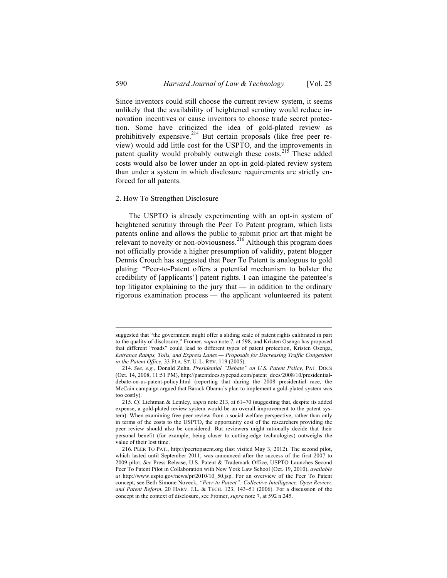Since inventors could still choose the current review system, it seems unlikely that the availability of heightened scrutiny would reduce innovation incentives or cause inventors to choose trade secret protection. Some have criticized the idea of gold-plated review as prohibitively expensive.<sup>214</sup> But certain proposals (like free peer review) would add little cost for the USPTO, and the improvements in patent quality would probably outweigh these costs.<sup>215</sup> These added costs would also be lower under an opt-in gold-plated review system than under a system in which disclosure requirements are strictly enforced for all patents.

#### 2. How To Strengthen Disclosure

The USPTO is already experimenting with an opt-in system of heightened scrutiny through the Peer To Patent program, which lists patents online and allows the public to submit prior art that might be relevant to novelty or non-obviousness.<sup>216</sup> Although this program does not officially provide a higher presumption of validity, patent blogger Dennis Crouch has suggested that Peer To Patent is analogous to gold plating: "Peer-to-Patent offers a potential mechanism to bolster the credibility of [applicants'] patent rights. I can imagine the patentee's top litigator explaining to the jury that — in addition to the ordinary rigorous examination process — the applicant volunteered its patent

suggested that "the government might offer a sliding scale of patent rights calibrated in part to the quality of disclosure," Fromer, *supra* note 7, at 598, and Kristen Osenga has proposed that different "roads" could lead to different types of patent protection, Kristen Osenga, *Entrance Ramps, Tolls, and Express Lanes — Proposals for Decreasing Traffic Congestion in the Patent Office*, 33 FLA. ST. U. L. REV. 119 (2005).

<sup>214.</sup> *See, e.g.*, Donald Zuhn, *Presidential "Debate" on U.S. Patent Policy*, PAT. DOCS (Oct. 14, 2008, 11:51 PM), http://patentdocs.typepad.com/patent\_docs/2008/10/presidentialdebate-on-us-patent-policy.html (reporting that during the 2008 presidential race, the McCain campaign argued that Barack Obama's plan to implement a gold-plated system was too costly).

<sup>215.</sup> *Cf.* Lichtman & Lemley, *supra* note 213, at 61–70 (suggesting that, despite its added expense, a gold-plated review system would be an overall improvement to the patent system). When examining free peer review from a social welfare perspective, rather than only in terms of the costs to the USPTO, the opportunity cost of the researchers providing the peer review should also be considered. But reviewers might rationally decide that their personal benefit (for example, being closer to cutting-edge technologies) outweighs the value of their lost time.

<sup>216.</sup> PEER TO PAT., http://peertopatent.org (last visited May 3, 2012). The second pilot, which lasted until September 2011, was announced after the success of the first 2007 to 2009 pilot. *See* Press Release, U.S. Patent & Trademark Office, USPTO Launches Second Peer To Patent Pilot in Collaboration with New York Law School (Oct. 19, 2010), *available at* http://www.uspto.gov/news/pr/2010/10\_50.jsp. For an overview of the Peer To Patent concept, see Beth Simone Noveck, *"Peer to Patent": Collective Intelligence, Open Review, and Patent Reform*, 20 HARV. J.L. & TECH. 123, 143–51 (2006). For a discussion of the concept in the context of disclosure, see Fromer, *supra* note 7, at 592 n.245.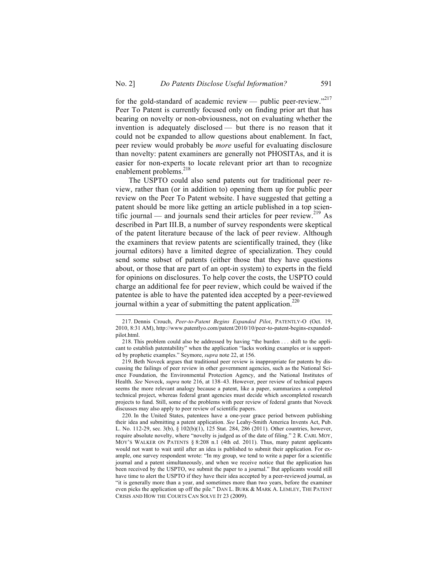for the gold-standard of academic review — public peer-review."<sup>217</sup> Peer To Patent is currently focused only on finding prior art that has bearing on novelty or non-obviousness, not on evaluating whether the invention is adequately disclosed — but there is no reason that it could not be expanded to allow questions about enablement. In fact, peer review would probably be *more* useful for evaluating disclosure than novelty: patent examiners are generally not PHOSITAs, and it is easier for non-experts to locate relevant prior art than to recognize enablement problems.<sup>218</sup>

The USPTO could also send patents out for traditional peer review, rather than (or in addition to) opening them up for public peer review on the Peer To Patent website. I have suggested that getting a patent should be more like getting an article published in a top scientific journal — and journals send their articles for peer review.<sup>219</sup> As described in Part III.B, a number of survey respondents were skeptical of the patent literature because of the lack of peer review. Although the examiners that review patents are scientifically trained, they (like journal editors) have a limited degree of specialization. They could send some subset of patents (either those that they have questions about, or those that are part of an opt-in system) to experts in the field for opinions on disclosures. To help cover the costs, the USPTO could charge an additional fee for peer review, which could be waived if the patentee is able to have the patented idea accepted by a peer-reviewed journal within a year of submitting the patent application.<sup>220</sup>

 <sup>217.</sup> Dennis Crouch, *Peer-to-Patent Begins Expanded Pilot*, PATENTLY-O (Oct. 19, 2010, 8:31 AM), http://www.patentlyo.com/patent/2010/10/peer-to-patent-begins-expandedpilot.html.

<sup>218.</sup> This problem could also be addressed by having "the burden . . . shift to the applicant to establish patentability" when the application "lacks working examples or is supported by prophetic examples." Seymore, *supra* note 22, at 156.

<sup>219.</sup> Beth Noveck argues that traditional peer review is inappropriate for patents by discussing the failings of peer review in other government agencies, such as the National Science Foundation, the Environmental Protection Agency, and the National Institutes of Health. *See* Noveck, *supra* note 216, at 138–43. However, peer review of technical papers seems the more relevant analogy because a patent, like a paper, summarizes a completed technical project, whereas federal grant agencies must decide which *un*completed research projects to fund. Still, some of the problems with peer review of federal grants that Noveck discusses may also apply to peer review of scientific papers.

<sup>220.</sup> In the United States, patentees have a one-year grace period between publishing their idea and submitting a patent application. *See* Leahy-Smith America Invents Act, Pub. L. No. 112-29, sec. 3(b), § 102(b)(1), 125 Stat. 284, 286 (2011). Other countries, however, require absolute novelty, where "novelty is judged as of the date of filing." 2 R. CARL MOY, MOY'S WALKER ON PATENTS § 8:208 n.1 (4th ed. 2011). Thus, many patent applicants would not want to wait until after an idea is published to submit their application. For example, one survey respondent wrote: "In my group, we tend to write a paper for a scientific journal and a patent simultaneously, and when we receive notice that the application has been received by the USPTO, we submit the paper to a journal." But applicants would still have time to alert the USPTO if they have their idea accepted by a peer-reviewed journal, as "it is generally more than a year, and sometimes more than two years, before the examiner even picks the application up off the pile." DAN L. BURK & MARK A. LEMLEY, THE PATENT CRISIS AND HOW THE COURTS CAN SOLVE IT 23 (2009).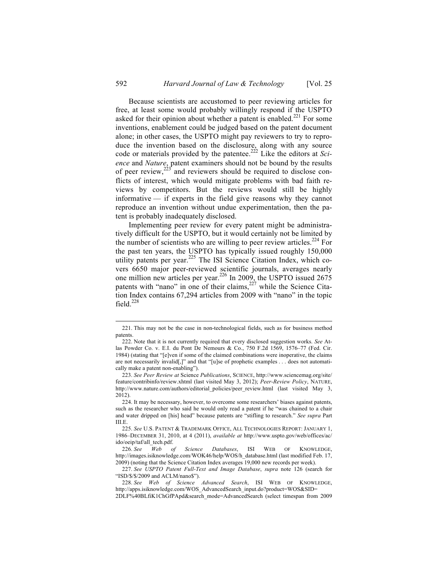Because scientists are accustomed to peer reviewing articles for free, at least some would probably willingly respond if the USPTO asked for their opinion about whether a patent is enabled.<sup>221</sup> For some inventions, enablement could be judged based on the patent document alone; in other cases, the USPTO might pay reviewers to try to reproduce the invention based on the disclosure, along with any source code or materials provided by the patentee.<sup>222</sup> Like the editors at *Science* and *Nature*, patent examiners should not be bound by the results of peer review, $2^{23}$  and reviewers should be required to disclose conflicts of interest, which would mitigate problems with bad faith reviews by competitors. But the reviews would still be highly informative — if experts in the field give reasons why they cannot reproduce an invention without undue experimentation, then the patent is probably inadequately disclosed.

Implementing peer review for every patent might be administratively difficult for the USPTO, but it would certainly not be limited by the number of scientists who are willing to peer review articles.<sup>224</sup> For the past ten years, the USPTO has typically issued roughly 150,000 utility patents per year.<sup>225</sup> The ISI Science Citation Index, which covers 6650 major peer-reviewed scientific journals, averages nearly one million new articles per year.<sup>226</sup> In 2009, the USPTO issued  $2675$ patents with "nano" in one of their claims,  $227$  while the Science Citation Index contains 67,294 articles from 2009 with "nano" in the topic field. $^{228}$ 

 <sup>221.</sup> This may not be the case in non-technological fields, such as for business method patents.

<sup>222.</sup> Note that it is not currently required that every disclosed suggestion works. *See* Atlas Powder Co. v. E.I. du Pont De Nemours & Co., 750 F.2d 1569, 1576–77 (Fed. Cir. 1984) (stating that "[e]ven if some of the claimed combinations were inoperative, the claims are not necessarily invalid[,]" and that "[u]se of prophetic examples . . . does not automatically make a patent non-enabling").

<sup>223.</sup> *See Peer Review at* Science *Publications*, SCIENCE, http://www.sciencemag.org/site/ feature/contribinfo/review.xhtml (last visited May 3, 2012); *Peer-Review Policy*, NATURE, http://www.nature.com/authors/editorial\_policies/peer\_review.html (last visited May 3, 2012).

<sup>224.</sup> It may be necessary, however, to overcome some researchers' biases against patents, such as the researcher who said he would only read a patent if he "was chained to a chair and water dripped on [his] head" because patents are "stifling to research." *See supra* Part III.E.

<sup>225.</sup> *See* U.S. PATENT & TRADEMARK OFFICE, ALL TECHNOLOGIES REPORT: JANUARY 1, 1986–DECEMBER 31, 2010, at 4 (2011), *available at* http://www.uspto.gov/web/offices/ac/ ido/oeip/taf/all\_tech.pdf.

<sup>226.</sup> *See Web of Science Databases*, ISI WEB OF KNOWLEDGE, http://images.isiknowledge.com/WOK46/help/WOS/h\_database.html (last modified Feb. 17, 2009) (noting that the Science Citation Index averages 19,000 new records per week).

<sup>227.</sup> *See USPTO Patent Full-Text and Image Database*, *supra* note 126 (search for "ISD/\$/\$/2009 and ACLM/nano\$").

<sup>228.</sup> *See Web of Science Advanced Search*, ISI WEB OF KNOWLEDGE, http://apps.isiknowledge.com/WOS\_AdvancedSearch\_input.do?product=WOS&SID=

<sup>2</sup>DLF%40BLfiK1ChGfPApd&search\_mode=AdvancedSearch (select timespan from 2009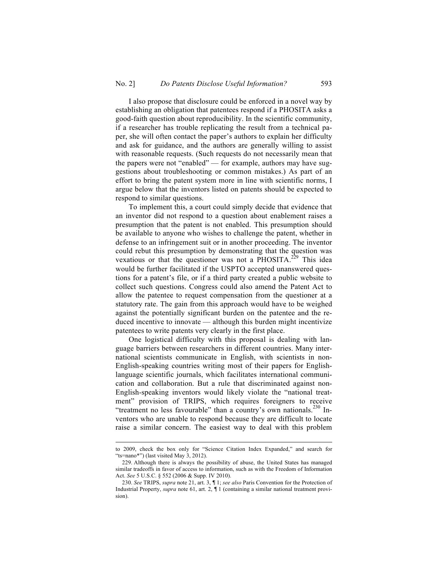I also propose that disclosure could be enforced in a novel way by establishing an obligation that patentees respond if a PHOSITA asks a good-faith question about reproducibility. In the scientific community, if a researcher has trouble replicating the result from a technical paper, she will often contact the paper's authors to explain her difficulty and ask for guidance, and the authors are generally willing to assist with reasonable requests. (Such requests do not necessarily mean that the papers were not "enabled" — for example, authors may have suggestions about troubleshooting or common mistakes.) As part of an effort to bring the patent system more in line with scientific norms, I argue below that the inventors listed on patents should be expected to respond to similar questions.

To implement this, a court could simply decide that evidence that an inventor did not respond to a question about enablement raises a presumption that the patent is not enabled. This presumption should be available to anyone who wishes to challenge the patent, whether in defense to an infringement suit or in another proceeding. The inventor could rebut this presumption by demonstrating that the question was vexatious or that the questioner was not a PHOSITA.<sup>229</sup> This idea would be further facilitated if the USPTO accepted unanswered questions for a patent's file, or if a third party created a public website to collect such questions. Congress could also amend the Patent Act to allow the patentee to request compensation from the questioner at a statutory rate. The gain from this approach would have to be weighed against the potentially significant burden on the patentee and the reduced incentive to innovate — although this burden might incentivize patentees to write patents very clearly in the first place.

One logistical difficulty with this proposal is dealing with language barriers between researchers in different countries. Many international scientists communicate in English, with scientists in non-English-speaking countries writing most of their papers for Englishlanguage scientific journals, which facilitates international communication and collaboration. But a rule that discriminated against non-English-speaking inventors would likely violate the "national treatment" provision of TRIPS, which requires foreigners to receive "treatment no less favourable" than a country's own nationals.<sup>230</sup> Inventors who are unable to respond because they are difficult to locate raise a similar concern. The easiest way to deal with this problem

to 2009, check the box only for "Science Citation Index Expanded," and search for "ts=nano\*") (last visited May 3, 2012).

<sup>229.</sup> Although there is always the possibility of abuse, the United States has managed similar tradeoffs in favor of access to information, such as with the Freedom of Information Act. *See* 5 U.S.C. § 552 (2006 & Supp. IV 2010).

<sup>230.</sup> *See* TRIPS, *supra* note 21, art. 3, ¶ 1; *see also* Paris Convention for the Protection of Industrial Property, *supra* note 61, art. 2, ¶ 1 (containing a similar national treatment provision)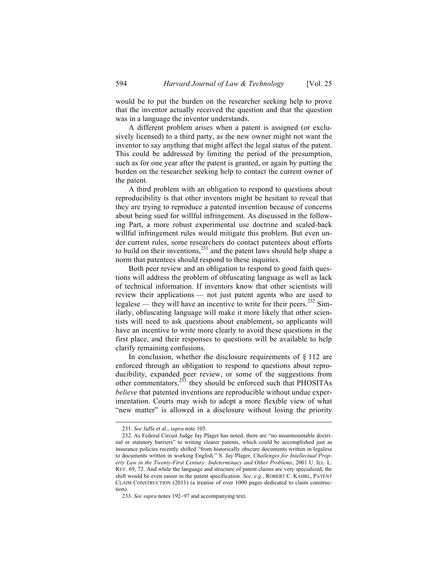would be to put the burden on the researcher seeking help to prove that the inventor actually received the question and that the question was in a language the inventor understands.

A different problem arises when a patent is assigned (or exclusively licensed) to a third party, as the new owner might not want the inventor to say anything that might affect the legal status of the patent. This could be addressed by limiting the period of the presumption, such as for one year after the patent is granted, or again by putting the burden on the researcher seeking help to contact the current owner of the patent.

A third problem with an obligation to respond to questions about reproducibility is that other inventors might be hesitant to reveal that they are trying to reproduce a patented invention because of concerns about being sued for willful infringement. As discussed in the following Part, a more robust experimental use doctrine and scaled-back willful infringement rules would mitigate this problem. But even under current rules, some researchers do contact patentees about efforts to build on their inventions, $^{231}$  and the patent laws should help shape a norm that patentees should respond to these inquiries.

Both peer review and an obligation to respond to good faith questions will address the problem of obfuscating language as well as lack of technical information. If inventors know that other scientists will review their applications — not just patent agents who are used to legalese — they will have an incentive to write for their peers.<sup>232</sup> Similarly, obfuscating language will make it more likely that other scientists will need to ask questions about enablement, so applicants will have an incentive to write more clearly to avoid these questions in the first place, and their responses to questions will be available to help clarify remaining confusions.

In conclusion, whether the disclosure requirements of  $\S$  112 are enforced through an obligation to respond to questions about reproducibility, expanded peer review, or some of the suggestions from other commentators,233 they should be enforced such that PHOSITAs *believe* that patented inventions are reproducible without undue experimentation. Courts may wish to adopt a more flexible view of what "new matter" is allowed in a disclosure without losing the priority

 <sup>231.</sup> *See* Jaffe et al., *supra* note 105.

<sup>232.</sup> As Federal Circuit Judge Jay Plager has noted, there are "no insurmountable doctrinal or statutory barriers" to writing clearer patents, which could be accomplished just as insurance policies recently shifted "from historically obscure documents written in legalese to documents written in working English." S. Jay Plager, *Challenges for Intellectual Property Law in the Twenty-First Century: Indeterminacy and Other Problems*, 2001 U. ILL. L. REV. 69, 72. And while the language and structure of patent claims are very specialized, the shift would be even easier in the patent specification. *See, e.g.*, ROBERT C. KAHRL, PATENT CLAIM CONSTRUCTION (2011) (a treatise of over 1000 pages dedicated to claim construction).

<sup>233.</sup> *See supra* notes 192–97 and accompanying text.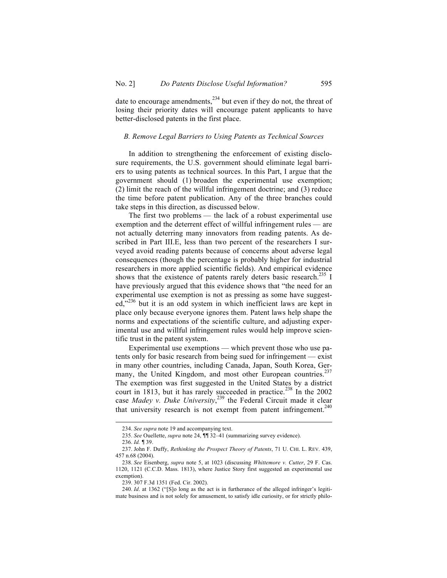date to encourage amendments,  $^{234}$  but even if they do not, the threat of losing their priority dates will encourage patent applicants to have better-disclosed patents in the first place.

### *B. Remove Legal Barriers to Using Patents as Technical Sources*

In addition to strengthening the enforcement of existing disclosure requirements, the U.S. government should eliminate legal barriers to using patents as technical sources. In this Part, I argue that the government should (1) broaden the experimental use exemption; (2) limit the reach of the willful infringement doctrine; and (3) reduce the time before patent publication. Any of the three branches could take steps in this direction, as discussed below.

The first two problems — the lack of a robust experimental use exemption and the deterrent effect of willful infringement rules — are not actually deterring many innovators from reading patents. As described in Part III.E, less than two percent of the researchers I surveyed avoid reading patents because of concerns about adverse legal consequences (though the percentage is probably higher for industrial researchers in more applied scientific fields). And empirical evidence shows that the existence of patents rarely deters basic research.<sup>235</sup> I have previously argued that this evidence shows that "the need for an experimental use exemption is not as pressing as some have suggested,<sup>3236</sup> but it is an odd system in which inefficient laws are kept in place only because everyone ignores them. Patent laws help shape the norms and expectations of the scientific culture, and adjusting experimental use and willful infringement rules would help improve scientific trust in the patent system.

Experimental use exemptions — which prevent those who use patents only for basic research from being sued for infringement — exist in many other countries, including Canada, Japan, South Korea, Germany, the United Kingdom, and most other European countries.<sup>237</sup> The exemption was first suggested in the United States by a district court in 1813, but it has rarely succeeded in practice.<sup>238</sup> In the 2002 case *Madey v. Duke University*, <sup>239</sup> the Federal Circuit made it clear that university research is not exempt from patent infringement.<sup>240</sup>

 <sup>234.</sup> *See supra* note 19 and accompanying text.

<sup>235.</sup> *See* Ouellette, *supra* note 24, ¶¶ 32–41 (summarizing survey evidence).

<sup>236.</sup> *Id.* ¶ 39.

<sup>237.</sup> John F. Duffy, *Rethinking the Prospect Theory of Patents*, 71 U. CHI. L. REV. 439, 457 n.68 (2004).

<sup>238.</sup> *See* Eisenberg, *supra* note 5, at 1023 (discussing *Whittemore v. Cutter*, 29 F. Cas. 1120, 1121 (C.C.D. Mass. 1813), where Justice Story first suggested an experimental use exemption).

<sup>239.</sup> 307 F.3d 1351 (Fed. Cir. 2002).

<sup>240.</sup> *Id*. at 1362 ("[S]o long as the act is in furtherance of the alleged infringer's legitimate business and is not solely for amusement, to satisfy idle curiosity, or for strictly philo-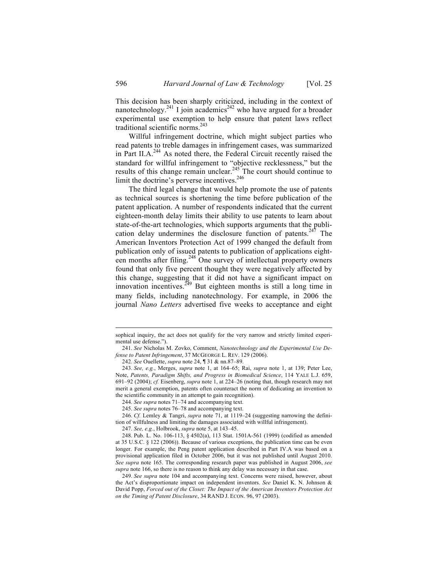This decision has been sharply criticized, including in the context of nanotechnology.<sup>241</sup> I join academics<sup>242</sup> who have argued for a broader experimental use exemption to help ensure that patent laws reflect traditional scientific norms.<sup>243</sup>

Willful infringement doctrine, which might subject parties who read patents to treble damages in infringement cases, was summarized in Part II.A.<sup>244</sup> As noted there, the Federal Circuit recently raised the standard for willful infringement to "objective recklessness," but the results of this change remain unclear.<sup>245</sup> The court should continue to limit the doctrine's perverse incentives.<sup>246</sup>

The third legal change that would help promote the use of patents as technical sources is shortening the time before publication of the patent application. A number of respondents indicated that the current eighteen-month delay limits their ability to use patents to learn about state-of-the-art technologies, which supports arguments that the publication delay undermines the disclosure function of patents.<sup>247</sup> The American Inventors Protection Act of 1999 changed the default from publication only of issued patents to publication of applications eighteen months after filing.<sup>248</sup> One survey of intellectual property owners found that only five percent thought they were negatively affected by this change, suggesting that it did not have a significant impact on innovation incentives. $2^{249}$  But eighteen months is still a long time in many fields, including nanotechnology. For example, in 2006 the journal *Nano Letters* advertised five weeks to acceptance and eight

sophical inquiry, the act does not qualify for the very narrow and strictly limited experimental use defense.").

<sup>241.</sup> *See* Nicholas M. Zovko, Comment, *Nanotechnology and the Experimental Use Defense to Patent Infringement*, 37 MCGEORGE L. REV. 129 (2006).

<sup>242.</sup> *See* Ouellette, *supra* note 24, ¶ 31 & nn.87–89.

<sup>243.</sup> *See, e.g.*, Merges, *supra* note 1, at 164–65; Rai, *supra* note 1, at 139; Peter Lee, Note, *Patents, Paradigm Shifts, and Progress in Biomedical Science*, 114 YALE L.J. 659, 691–92 (2004); *cf.* Eisenberg, *supra* note 1, at 224–26 (noting that, though research may not merit a general exemption, patents often counteract the norm of dedicating an invention to the scientific community in an attempt to gain recognition).

<sup>244.</sup> *See supra* notes 71–74 and accompanying text.

<sup>245.</sup> *See supra* notes 76–78 and accompanying text.

<sup>246.</sup> *Cf.* Lemley & Tangri, *supra* note 71, at 1119–24 (suggesting narrowing the definition of willfulness and limiting the damages associated with willful infringement).

<sup>247.</sup> *See, e.g.*, Holbrook, *supra* note 5, at 143–45.

<sup>248.</sup> Pub. L. No. 106-113, § 4502(a), 113 Stat. 1501A-561 (1999) (codified as amended at 35 U.S.C. § 122 (2006)). Because of various exceptions, the publication time can be even longer. For example, the Peng patent application described in Part IV.A was based on a provisional application filed in October 2006, but it was not published until August 2010. *See supra* note 165. The corresponding research paper was published in August 2006, *see supra* note 166, so there is no reason to think any delay was necessary in that case.

<sup>249.</sup> *See supra* note 104 and accompanying text. Concerns were raised, however, about the Act's disproportionate impact on independent inventors. *See* Daniel K. N. Johnson & David Popp, *Forced out of the Closet: The Impact of the American Inventors Protection Act on the Timing of Patent Disclosure*, 34 RAND J. ECON. 96, 97 (2003).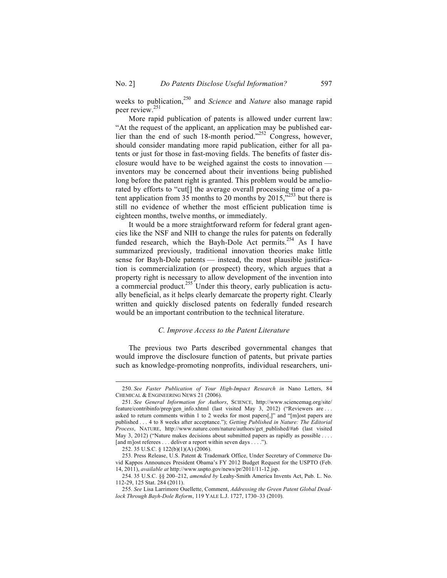weeks to publication,<sup>250</sup> and *Science* and *Nature* also manage rapid peer review.251

More rapid publication of patents is allowed under current law: "At the request of the applicant, an application may be published earlier than the end of such 18-month period."<sup>252</sup> Congress, however, should consider mandating more rapid publication, either for all patents or just for those in fast-moving fields. The benefits of faster disclosure would have to be weighed against the costs to innovation inventors may be concerned about their inventions being published long before the patent right is granted. This problem would be ameliorated by efforts to "cut[] the average overall processing time of a patent application from  $35$  months to 20 months by 2015,<sup>5253</sup> but there is still no evidence of whether the most efficient publication time is eighteen months, twelve months, or immediately.

It would be a more straightforward reform for federal grant agencies like the NSF and NIH to change the rules for patents on federally funded research, which the Bayh-Dole Act permits.<sup>254</sup> As I have summarized previously, traditional innovation theories make little sense for Bayh-Dole patents — instead, the most plausible justification is commercialization (or prospect) theory, which argues that a property right is necessary to allow development of the invention into a commercial product.<sup>255</sup> Under this theory, early publication is actually beneficial, as it helps clearly demarcate the property right. Clearly written and quickly disclosed patents on federally funded research would be an important contribution to the technical literature.

### *C. Improve Access to the Patent Literature*

The previous two Parts described governmental changes that would improve the disclosure function of patents, but private parties such as knowledge-promoting nonprofits, individual researchers, uni-

 <sup>250.</sup> *See Faster Publication of Your High-Impact Research in* Nano Letters, 84 CHEMICAL & ENGINEERING NEWS 21 (2006).

<sup>251.</sup> *See General Information for Authors*, SCIENCE, http://www.sciencemag.org/site/ feature/contribinfo/prep/gen\_info.xhtml (last visited May 3, 2012) ("Reviewers are ... asked to return comments within 1 to 2 weeks for most papers[,]" and "[m]ost papers are published . . . 4 to 8 weeks after acceptance."); *Getting Published in Nature: The Editorial Process*, NATURE, http://www.nature.com/nature/authors/get\_published/#a6 (last visited May 3, 2012) ("Nature makes decisions about submitted papers as rapidly as possible . . . . [and m]ost referees . . . deliver a report within seven days . . . .").

<sup>252.</sup> 35 U.S.C. § 122(b)(1)(A) (2006).

<sup>253.</sup> Press Release, U.S. Patent & Trademark Office, Under Secretary of Commerce David Kappos Announces President Obama's FY 2012 Budget Request for the USPTO (Feb. 14, 2011), *available at* http://www.uspto.gov/news/pr/2011/11-12.jsp.

<sup>254.</sup> 35 U.S.C. §§ 200–212, *amended by* Leahy-Smith America Invents Act, Pub. L. No. 112-29, 125 Stat. 284 (2011).

<sup>255.</sup> *See* Lisa Larrimore Ouellette, Comment, *Addressing the Green Patent Global Deadlock Through Bayh-Dole Reform*, 119 YALE L.J. 1727, 1730–33 (2010).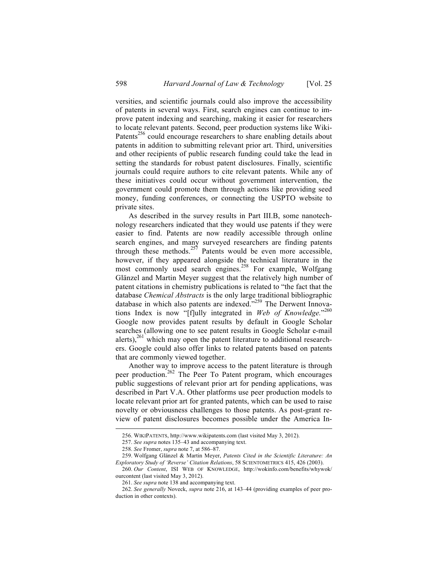versities, and scientific journals could also improve the accessibility of patents in several ways. First, search engines can continue to improve patent indexing and searching, making it easier for researchers to locate relevant patents. Second, peer production systems like Wiki-Patents<sup>256</sup> could encourage researchers to share enabling details about patents in addition to submitting relevant prior art. Third, universities and other recipients of public research funding could take the lead in setting the standards for robust patent disclosures. Finally, scientific journals could require authors to cite relevant patents. While any of these initiatives could occur without government intervention, the government could promote them through actions like providing seed money, funding conferences, or connecting the USPTO website to private sites.

As described in the survey results in Part III.B, some nanotechnology researchers indicated that they would use patents if they were easier to find. Patents are now readily accessible through online search engines, and many surveyed researchers are finding patents through these methods. $257$  Patents would be even more accessible, however, if they appeared alongside the technical literature in the most commonly used search engines.<sup>258</sup> For example, Wolfgang Glänzel and Martin Meyer suggest that the relatively high number of patent citations in chemistry publications is related to "the fact that the database *Chemical Abstracts* is the only large traditional bibliographic database in which also patents are indexed."<sup>259</sup> The Derwent Innovations Index is now "[f]ully integrated in *Web of Knowledge*."<sup>260</sup> Google now provides patent results by default in Google Scholar searches (allowing one to see patent results in Google Scholar e-mail alerts), $^{261}$  which may open the patent literature to additional researchers. Google could also offer links to related patents based on patents that are commonly viewed together.

Another way to improve access to the patent literature is through peer production.<sup>262</sup> The Peer To Patent program, which encourages public suggestions of relevant prior art for pending applications, was described in Part V.A. Other platforms use peer production models to locate relevant prior art for granted patents, which can be used to raise novelty or obviousness challenges to those patents. As post-grant review of patent disclosures becomes possible under the America In-

 <sup>256.</sup> WIKIPATENTS, http://www.wikipatents.com (last visited May 3, 2012).

<sup>257.</sup> *See supra* notes 135–43 and accompanying text.

<sup>258.</sup> *See* Fromer, *supra* note 7, at 586–87.

<sup>259.</sup> Wolfgang Glänzel & Martin Meyer, *Patents Cited in the Scientific Literature: An Exploratory Study of 'Reverse' Citation Relations*, 58 SCIENTOMETRICS 415, 426 (2003).

<sup>260.</sup> *Our Content*, ISI WEB OF KNOWLEDGE, http://wokinfo.com/benefits/whywok/ ourcontent (last visited May 3, 2012).

<sup>261.</sup> *See supra* note 138 and accompanying text.

<sup>262.</sup> *See generally* Noveck, *supra* note 216, at 143–44 (providing examples of peer production in other contexts).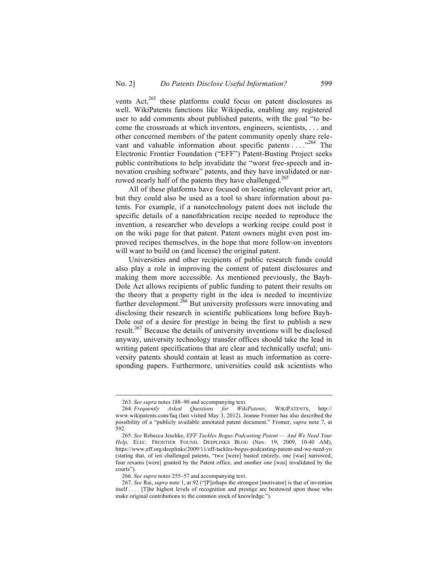vents  $Act<sub>2</sub><sup>263</sup>$  these platforms could focus on patent disclosures as well. WikiPatents functions like Wikipedia, enabling any registered user to add comments about published patents, with the goal "to become the crossroads at which inventors, engineers, scientists, . . . and other concerned members of the patent community openly share relevant and valuable information about specific patents  $\ldots$ <sup>264</sup>. The Electronic Frontier Foundation ("EFF") Patent-Busting Project seeks public contributions to help invalidate the "worst free-speech and innovation crushing software" patents, and they have invalidated or narrowed nearly half of the patents they have challenged.<sup>265</sup>

All of these platforms have focused on locating relevant prior art, but they could also be used as a tool to share information about patents. For example, if a nanotechnology patent does not include the specific details of a nanofabrication recipe needed to reproduce the invention, a researcher who develops a working recipe could post it on the wiki page for that patent. Patent owners might even post improved recipes themselves, in the hope that more follow-on inventors will want to build on (and license) the original patent.

Universities and other recipients of public research funds could also play a role in improving the content of patent disclosures and making them more accessible. As mentioned previously, the Bayh-Dole Act allows recipients of public funding to patent their results on the theory that a property right in the idea is needed to incentivize further development.<sup>266</sup> But university professors were innovating and disclosing their research in scientific publications long before Bayh-Dole out of a desire for prestige in being the first to publish a new result.<sup>267</sup> Because the details of university inventions will be disclosed anyway, university technology transfer offices should take the lead in writing patent specifications that are clear and technically useful; university patents should contain at least as much information as corresponding papers. Furthermore, universities could ask scientists who

 <sup>263.</sup> *See supra* notes 188–90 and accompanying text.

<sup>264.</sup> *Frequently Asked Questions for WikiPatents*, WIKIPATENTS, http:// www.wikipatents.com/faq (last visited May 3, 2012). Jeanne Fromer has also described the possibility of a "publicly available annotated patent document." Fromer, *supra* note 7, at 592.

<sup>265.</sup> *See* Rebecca Jeschke, *EFF Tackles Bogus Podcasting Patent* — *And We Need Your Help*, ELEC. FRONTIER FOUND. DEEPLINKS BLOG (Nov. 19, 2009, 10:40 AM), https://www.eff.org/deeplinks/2009/11/eff-tackles-bogus-podcasting-patent-and-we-need-yo (stating that, of ten challenged patents, "two [were] busted entirely, one [was] narrowed, four rexams [were] granted by the Patent office, and another one [was] invalidated by the courts").

<sup>266.</sup> *See supra* notes 255–57 and accompanying text.

<sup>267.</sup> *See* Rai, *supra* note 1, at 92 ("[P]erhaps the strongest [motivator] is that of invention itself . . . . [T]he highest levels of recognition and prestige are bestowed upon those who make original contributions to the common stock of knowledge.").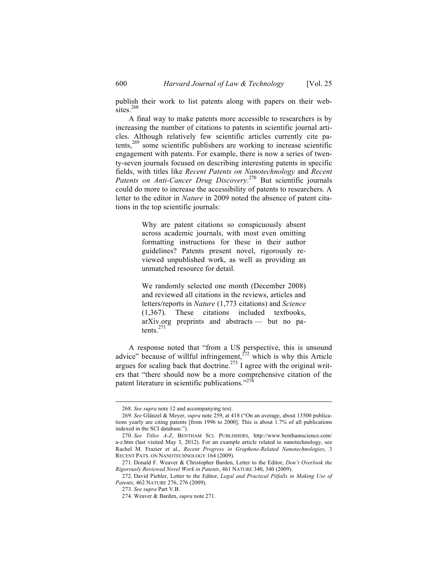publish their work to list patents along with papers on their websites.<sup>268</sup>

A final way to make patents more accessible to researchers is by increasing the number of citations to patents in scientific journal articles. Although relatively few scientific articles currently cite patents, $269$  some scientific publishers are working to increase scientific engagement with patents. For example, there is now a series of twenty-seven journals focused on describing interesting patents in specific fields, with titles like *Recent Patents on Nanotechnology* and *Recent*  Patents on Anti-Cancer Drug Discovery.<sup>270</sup> But scientific journals could do more to increase the accessibility of patents to researchers. A letter to the editor in *Nature* in 2009 noted the absence of patent citations in the top scientific journals:

> Why are patent citations so conspicuously absent across academic journals, with most even omitting formatting instructions for these in their author guidelines? Patents present novel, rigorously reviewed unpublished work, as well as providing an unmatched resource for detail.

> We randomly selected one month (December 2008) and reviewed all citations in the reviews, articles and letters/reports in *Nature* (1,773 citations) and *Science* (1,367). These citations included textbooks, arXiv.org preprints and abstracts — but no patents.<sup>271</sup>

A response noted that "from a US perspective, this is unsound advice" because of willful infringement,<sup>272</sup> which is why this Article argues for scaling back that doctrine.<sup>273</sup> I agree with the original writers that "there should now be a more comprehensive citation of the patent literature in scientific publications."<sup>274</sup>

 <sup>268.</sup> *See supra* note 12 and accompanying text.

<sup>269.</sup> *See* Glänzel & Meyer, *supra* note 259, at 418 ("On an average, about 13500 publications yearly are citing patents [from 1996 to 2000]. This is about 1.7% of all publications indexed in the SCI database.").

<sup>270.</sup> *See Titles A-Z*, BENTHAM SCI. PUBLISHERS, http://www.benthamscience.com/ a-z.htm (last visited May 3, 2012). For an example article related to nanotechnology, see Rachel M. Frazier et al., *Recent Progress in Graphene-Related Nanotechnologies*, 3 RECENT PATS. ON NANOTECHNOLOGY 164 (2009).

<sup>271.</sup> Donald F. Weaver & Christopher Barden, Letter to the Editor, *Don't Overlook the Rigorously Reviewed Novel Work in Patents*, 461 NATURE 340, 340 (2009).

<sup>272.</sup> David Piehler, Letter to the Editor, *Legal and Practical Pitfalls in Making Use of Patents*, 462 NATURE 276, 276 (2009).

<sup>273.</sup> *See supra* Part V.B.

<sup>274.</sup> Weaver & Barden, *supra* note 271.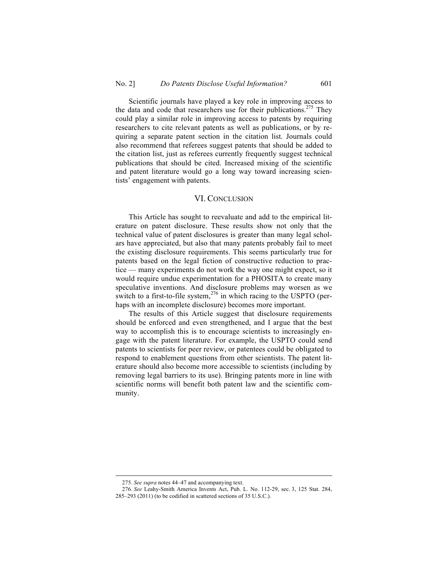Scientific journals have played a key role in improving access to the data and code that researchers use for their publications.<sup>275</sup> They could play a similar role in improving access to patents by requiring researchers to cite relevant patents as well as publications, or by requiring a separate patent section in the citation list. Journals could also recommend that referees suggest patents that should be added to the citation list, just as referees currently frequently suggest technical publications that should be cited. Increased mixing of the scientific and patent literature would go a long way toward increasing scientists' engagement with patents.

### VI. CONCLUSION

This Article has sought to reevaluate and add to the empirical literature on patent disclosure. These results show not only that the technical value of patent disclosures is greater than many legal scholars have appreciated, but also that many patents probably fail to meet the existing disclosure requirements. This seems particularly true for patents based on the legal fiction of constructive reduction to practice — many experiments do not work the way one might expect, so it would require undue experimentation for a PHOSITA to create many speculative inventions. And disclosure problems may worsen as we switch to a first-to-file system,<sup>276</sup> in which racing to the USPTO (perhaps with an incomplete disclosure) becomes more important.

The results of this Article suggest that disclosure requirements should be enforced and even strengthened, and I argue that the best way to accomplish this is to encourage scientists to increasingly engage with the patent literature. For example, the USPTO could send patents to scientists for peer review, or patentees could be obligated to respond to enablement questions from other scientists. The patent literature should also become more accessible to scientists (including by removing legal barriers to its use). Bringing patents more in line with scientific norms will benefit both patent law and the scientific community.

 <sup>275.</sup> *See supra* notes 44–47 and accompanying text.

<sup>276.</sup> *See* Leahy-Smith America Invents Act, Pub. L. No. 112-29, sec. 3, 125 Stat. 284, 285–293 (2011) (to be codified in scattered sections of 35 U.S.C.).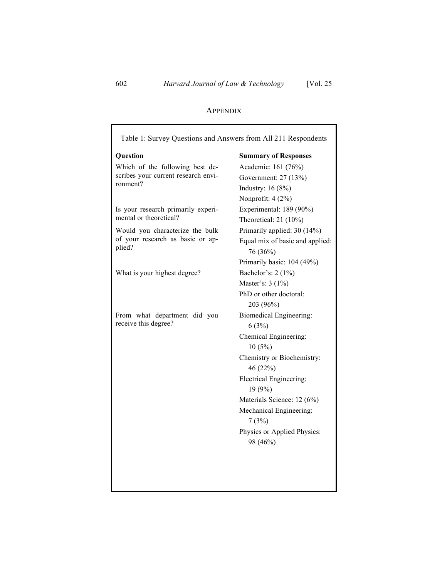# APPENDIX

| Table 1: Survey Questions and Answers from All 211 Respondents      |                                 |  |  |
|---------------------------------------------------------------------|---------------------------------|--|--|
| Question                                                            | <b>Summary of Responses</b>     |  |  |
| Which of the following best de-                                     | Academic: 161 (76%)             |  |  |
| scribes your current research envi-                                 | Government: 27 (13%)            |  |  |
| ronment?                                                            | Industry: $16(8%)$              |  |  |
|                                                                     | Nonprofit: 4 (2%)               |  |  |
| Is your research primarily experi-                                  | Experimental: 189 (90%)         |  |  |
| mental or theoretical?                                              | Theoretical: $21(10\%)$         |  |  |
| Would you characterize the bulk<br>of your research as basic or ap- | Primarily applied: 30 (14%)     |  |  |
|                                                                     | Equal mix of basic and applied: |  |  |
| plied?                                                              | 76 (36%)                        |  |  |
|                                                                     | Primarily basic: 104 (49%)      |  |  |
| What is your highest degree?                                        | Bachelor's: 2 (1%)              |  |  |
|                                                                     | Master's: 3 (1%)                |  |  |
|                                                                     | PhD or other doctoral:          |  |  |
|                                                                     | 203 (96%)                       |  |  |
| From what department did you                                        | <b>Biomedical Engineering:</b>  |  |  |
| receive this degree?                                                | 6(3%)                           |  |  |
|                                                                     | Chemical Engineering:           |  |  |
|                                                                     | 10(5%)                          |  |  |
|                                                                     | Chemistry or Biochemistry:      |  |  |
|                                                                     | 46 (22%)                        |  |  |
|                                                                     | <b>Electrical Engineering:</b>  |  |  |
|                                                                     | 19 (9%)                         |  |  |
|                                                                     | Materials Science: 12 (6%)      |  |  |
|                                                                     | Mechanical Engineering:         |  |  |
|                                                                     | 7(3%)                           |  |  |
|                                                                     | Physics or Applied Physics:     |  |  |
|                                                                     | 98 (46%)                        |  |  |
|                                                                     |                                 |  |  |
|                                                                     |                                 |  |  |
|                                                                     |                                 |  |  |
|                                                                     |                                 |  |  |

Г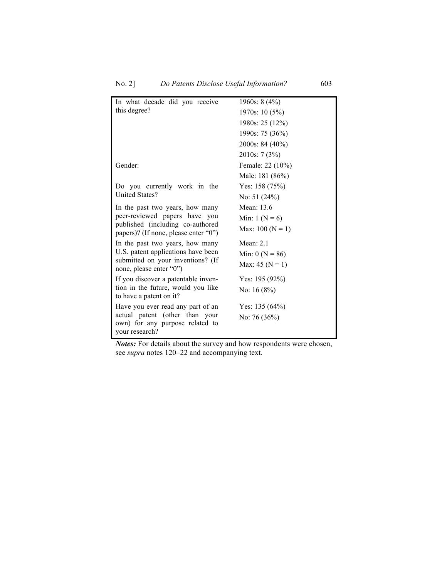| In what decade did you receive                                           | 1960s: $8(4\%)$     |  |  |
|--------------------------------------------------------------------------|---------------------|--|--|
| this degree?                                                             | 1970s: 10 (5%)      |  |  |
|                                                                          | 1980s: 25 (12%)     |  |  |
|                                                                          | 1990s: 75 (36%)     |  |  |
|                                                                          | $2000s$ : 84 (40%)  |  |  |
|                                                                          | 2010s: $7(3%)$      |  |  |
| Gender:                                                                  | Female: 22 (10%)    |  |  |
|                                                                          | Male: 181 (86%)     |  |  |
| Do you currently work in the                                             | Yes: $158(75%)$     |  |  |
| <b>United States?</b>                                                    | No: $51(24%)$       |  |  |
| In the past two years, how many                                          | Mean: 13.6          |  |  |
| peer-reviewed papers have you                                            | Min: $1 (N = 6)$    |  |  |
| published (including co-authored<br>papers)? (If none, please enter "0") | Max: $100 (N = 1)$  |  |  |
| In the past two years, how many                                          | Mean: $2.1$         |  |  |
| U.S. patent applications have been                                       | Min: $0 (N = 86)$   |  |  |
| submitted on your inventions? (If<br>none, please enter "0")             | Max: 45 ( $N = 1$ ) |  |  |
| If you discover a patentable inven-                                      | Yes: $195(92%)$     |  |  |
| tion in the future, would you like<br>to have a patent on it?            | No: $16(8%)$        |  |  |
| Have you ever read any part of an                                        | Yes: $135(64%)$     |  |  |
| actual patent (other than your                                           | No: 76 $(36\%)$     |  |  |
| own) for any purpose related to                                          |                     |  |  |
| your research?                                                           |                     |  |  |

*Notes:* For details about the survey and how respondents were chosen, see *supra* notes 120–22 and accompanying text.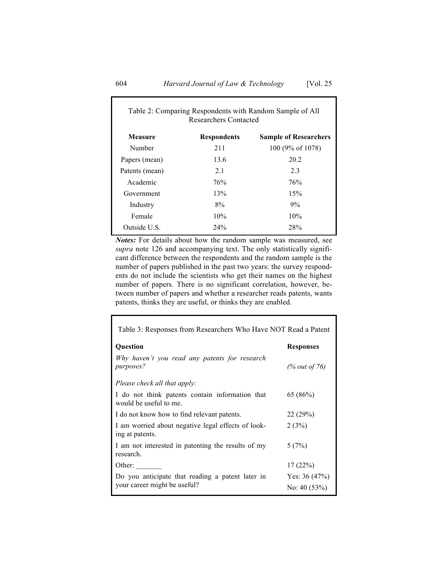| Table 2: Comparing Respondents with Random Sample of All<br>Researchers Contacted |                    |                              |  |
|-----------------------------------------------------------------------------------|--------------------|------------------------------|--|
| <b>Measure</b>                                                                    | <b>Respondents</b> | <b>Sample of Researchers</b> |  |
| Number                                                                            | 211                | 100 (9% of 1078)             |  |
| Papers (mean)                                                                     | 13.6               | 20.2                         |  |
| Patents (mean)                                                                    | 2.1                | 2.3                          |  |
| Academic                                                                          | 76%                | 76%                          |  |
| Government                                                                        | 13%                | 15%                          |  |
| Industry                                                                          | 8%                 | 9%                           |  |
| Female                                                                            | 10%                | 10%                          |  |
| Outside U.S.                                                                      | 24%                | 28%                          |  |

*Notes:* For details about how the random sample was measured, see *supra* note 126 and accompanying text. The only statistically significant difference between the respondents and the random sample is the number of papers published in the past two years: the survey respondents do not include the scientists who get their names on the highest number of papers. There is no significant correlation, however, between number of papers and whether a researcher reads patents, wants patents, thinks they are useful, or thinks they are enabled.

| Table 3: Responses from Researchers Who Have NOT Read a Patent            |                  |  |  |
|---------------------------------------------------------------------------|------------------|--|--|
| <b>Question</b>                                                           | <b>Responses</b> |  |  |
| Why haven't you read any patents for research<br><i>purposes?</i>         | (% out of 76)    |  |  |
| Please check all that apply:                                              |                  |  |  |
| I do not think patents contain information that<br>would be useful to me. | 65 (86%)         |  |  |
| I do not know how to find relevant patents.                               | 22(29%)          |  |  |
| I am worried about negative legal effects of look-<br>ing at patents.     | 2(3%)            |  |  |
| I am not interested in patenting the results of my<br>research.           | 5(7%)            |  |  |
| Other:                                                                    | 17(22%)          |  |  |
| Do you anticipate that reading a patent later in                          | Yes: $36(47%)$   |  |  |
| your career might be useful?                                              | No: 40 $(53%)$   |  |  |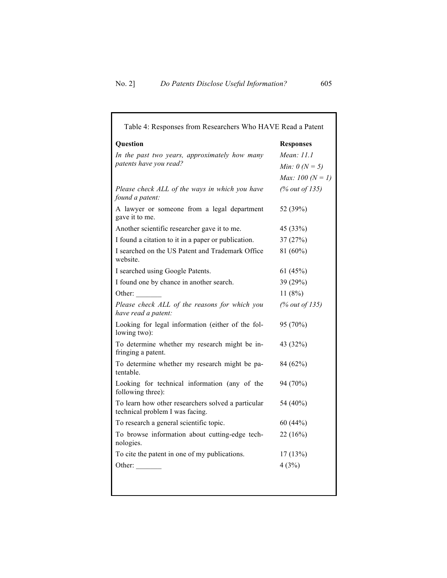| Table 4: Responses from Researchers Who HAVE Read a Patent                            |                           |  |  |
|---------------------------------------------------------------------------------------|---------------------------|--|--|
| <b>Question</b>                                                                       | <b>Responses</b>          |  |  |
| In the past two years, approximately how many                                         | Mean: 11.1                |  |  |
| patents have you read?                                                                | <i>Min</i> : $0 (N = 5)$  |  |  |
|                                                                                       | <i>Max:</i> $100 (N = 1)$ |  |  |
| Please check ALL of the ways in which you have<br>found a patent:                     | (% out of 135)            |  |  |
| A lawyer or someone from a legal department<br>gave it to me.                         | 52 (39%)                  |  |  |
| Another scientific researcher gave it to me.                                          | 45 (33%)                  |  |  |
| I found a citation to it in a paper or publication.                                   | 37(27%)                   |  |  |
| I searched on the US Patent and Trademark Office<br>website.                          | 81 (60%)                  |  |  |
| I searched using Google Patents.                                                      | 61(45%)                   |  |  |
| I found one by chance in another search.                                              | 39 (29%)                  |  |  |
| Other:                                                                                | 11(8%)                    |  |  |
| Please check ALL of the reasons for which you<br>have read a patent:                  | (% out of $135$ )         |  |  |
| Looking for legal information (either of the fol-<br>lowing two):                     | 95 (70%)                  |  |  |
| To determine whether my research might be in-<br>fringing a patent.                   | 43 (32%)                  |  |  |
| To determine whether my research might be pa-<br>tentable.                            | 84 (62%)                  |  |  |
| Looking for technical information (any of the<br>following three):                    | 94 (70%)                  |  |  |
| To learn how other researchers solved a particular<br>technical problem I was facing. | 54 (40%)                  |  |  |
| To research a general scientific topic.                                               | 60 (44%)                  |  |  |
| To browse information about cutting-edge tech-<br>nologies.                           | 22 (16%)                  |  |  |
| To cite the patent in one of my publications.                                         | 17(13%)                   |  |  |
| Other: $\_\_$                                                                         | 4(3%)                     |  |  |
|                                                                                       |                           |  |  |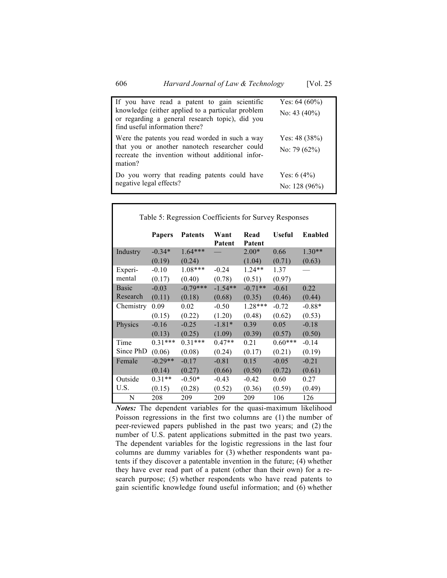| If you have read a patent to gain scientific<br>knowledge (either applied to a particular problem<br>or regarding a general research topic), did you<br>find useful information there? | Yes: $64(60\%)$<br>No: $43(40\%)$ |
|----------------------------------------------------------------------------------------------------------------------------------------------------------------------------------------|-----------------------------------|
| Were the patents you read worded in such a way<br>that you or another nanotech researcher could<br>recreate the invention without additional infor-<br>mation?                         | Yes: $48(38%)$<br>No: 79 $(62%)$  |
| Do you worry that reading patents could have<br>negative legal effects?                                                                                                                | Yes: $6(4\%)$<br>No: 128 $(96\%)$ |

| Table 5: Regression Coefficients for Survey Responses |               |                |                |                |               |                |
|-------------------------------------------------------|---------------|----------------|----------------|----------------|---------------|----------------|
|                                                       | <b>Papers</b> | <b>Patents</b> | Want<br>Patent | Read<br>Patent | <b>Useful</b> | <b>Enabled</b> |
| Industry                                              | $-0.34*$      | $1.64***$      |                | $2.00*$        | 0.66          | $1.30**$       |
|                                                       | (0.19)        | (0.24)         |                | (1.04)         | (0.71)        | (0.63)         |
| Experi-                                               | $-0.10$       | $1.08***$      | $-0.24$        | $1.24**$       | 1.37          |                |
| mental                                                | (0.17)        | (0.40)         | (0.78)         | (0.51)         | (0.97)        |                |
| <b>Basic</b>                                          | $-0.03$       | $-0.79***$     | $-1.54**$      | $-0.71**$      | $-0.61$       | 0.22           |
| Research                                              | (0.11)        | (0.18)         | (0.68)         | (0.35)         | (0.46)        | (0.44)         |
| Chemistry                                             | 0.09          | 0.02           | $-0.50$        | $1.28***$      | $-0.72$       | $-0.88*$       |
|                                                       | (0.15)        | (0.22)         | (1.20)         | (0.48)         | (0.62)        | (0.53)         |
| Physics                                               | $-0.16$       | $-0.25$        | $-1.81*$       | 0.39           | 0.05          | $-0.18$        |
|                                                       | (0.13)        | (0.25)         | (1.09)         | (0.39)         | (0.57)        | (0.50)         |
| Time                                                  | $0.31***$     | $0.31***$      | $0.47**$       | 0.21           | $0.60***$     | $-0.14$        |
| Since PhD                                             | (0.06)        | (0.08)         | (0.24)         | (0.17)         | (0.21)        | (0.19)         |
| Female                                                | $-0.29**$     | $-0.17$        | $-0.81$        | 0.15           | $-0.05$       | $-0.21$        |
|                                                       | (0.14)        | (0.27)         | (0.66)         | (0.50)         | (0.72)        | (0.61)         |
| Outside                                               | $0.31**$      | $-0.50*$       | $-0.43$        | $-0.42$        | 0.60          | 0.27           |
| U.S.                                                  | (0.15)        | (0.28)         | (0.52)         | (0.36)         | (0.59)        | (0.49)         |
| N                                                     | 208           | 209            | 209            | 209            | 106           | 126            |

*Notes:* The dependent variables for the quasi-maximum likelihood Poisson regressions in the first two columns are (1) the number of peer-reviewed papers published in the past two years; and (2) the number of U.S. patent applications submitted in the past two years. The dependent variables for the logistic regressions in the last four columns are dummy variables for (3) whether respondents want patents if they discover a patentable invention in the future; (4) whether they have ever read part of a patent (other than their own) for a research purpose; (5) whether respondents who have read patents to gain scientific knowledge found useful information; and (6) whether